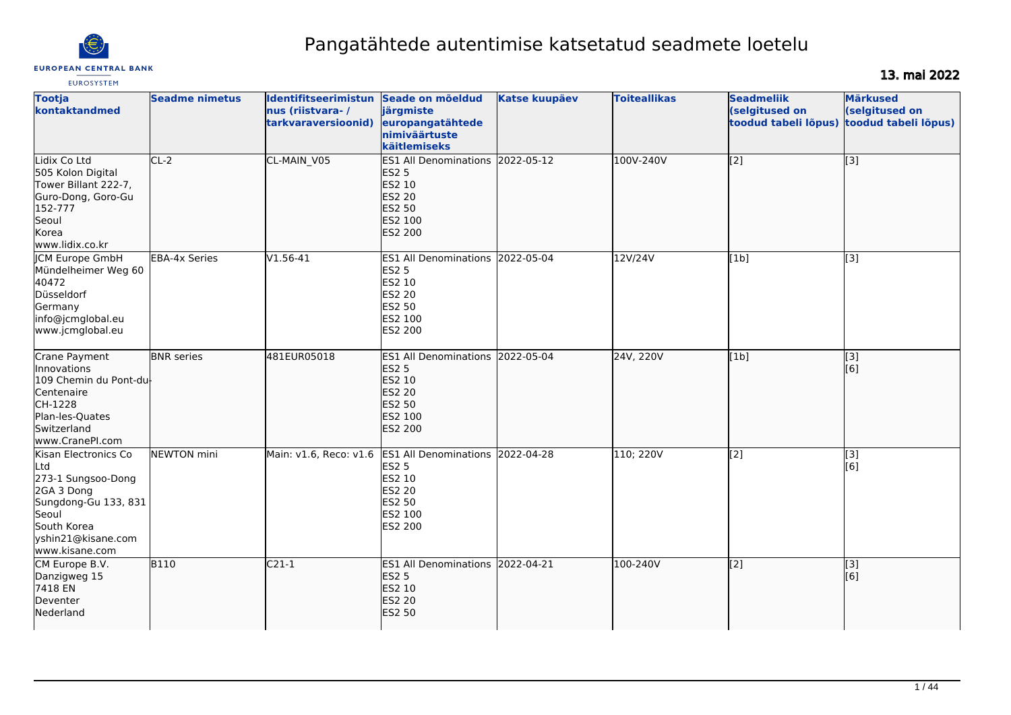

# Pangatähtede autentimise katsetatud seadmete loetelu

# 13. mai 2022

| <b>EUROSYSTEM</b>                                                                                                                                        |                       |                                                                 |                                                                                                                    |                      |                     |                                     |                                                                                |
|----------------------------------------------------------------------------------------------------------------------------------------------------------|-----------------------|-----------------------------------------------------------------|--------------------------------------------------------------------------------------------------------------------|----------------------|---------------------|-------------------------------------|--------------------------------------------------------------------------------|
| <b>Tootja</b><br>kontaktandmed                                                                                                                           | <b>Seadme nimetus</b> | Identifitseerimistun<br>nus (riistvara-/<br>tarkvaraversioonid) | Seade on mõeldud<br>järgmiste<br>europangatähtede<br>nimiväärtuste<br>käitlemiseks                                 | <b>Katse kuupäev</b> | <b>Toiteallikas</b> | <b>Seadmeliik</b><br>(selgitused on | <b>Märkused</b><br>(selgitused on<br>toodud tabeli lõpus) toodud tabeli lõpus) |
| Lidix Co Ltd<br>505 Kolon Digital<br>Tower Billant 222-7,<br>Guro-Dong, Goro-Gu<br>152-777<br>Seoul<br>Korea<br>www.lidix.co.kr                          | $CL-2$                | CL-MAIN V05                                                     | ES1 All Denominations 2022-05-12<br><b>ES2 5</b><br>ES2 10<br><b>ES2 20</b><br>ES2 50<br>ES2 100<br><b>ES2 200</b> |                      | 100V-240V           | [[2]                                | [3]                                                                            |
| <b>CM Europe GmbH</b><br>Mündelheimer Weg 60<br>40472<br>Düsseldorf<br>Germany<br>info@jcmglobal.eu<br>www.jcmglobal.eu                                  | <b>EBA-4x Series</b>  | $V1.56-41$                                                      | ES1 All Denominations 2022-05-04<br><b>ES2 5</b><br>ES2 10<br>ES2 20<br>ES2 50<br>ES2 100<br>ES2 200               |                      | 12V/24V             | [1b]                                | [3]                                                                            |
| Crane Payment<br>Innovations<br>109 Chemin du Pont-du-<br>Centenaire<br>CH-1228<br>Plan-les-Quates<br>Switzerland<br>www.CranePI.com                     | <b>BNR</b> series     | 481EUR05018                                                     | ES1 All Denominations 2022-05-04<br><b>ES2 5</b><br>ES2 10<br><b>ES2 20</b><br>ES2 50<br>ES2 100<br><b>ES2 200</b> |                      | 24V, 220V           | [1b]                                | $\overline{[}3]$<br>[6]                                                        |
| Kisan Electronics Co<br>lLtd<br>273-1 Sungsoo-Dong<br>2GA 3 Dong<br>Sungdong-Gu 133, 831<br>Seoul<br>South Korea<br>yshin21@kisane.com<br>www.kisane.com | NEWTON mini           | Main: v1.6, Reco: v1.6                                          | ES1 All Denominations 2022-04-28<br><b>ES2 5</b><br>ES2 10<br>ES2 20<br>ES2 50<br>ES2 100<br>ES2 200               |                      | 110; 220V           | $\sqrt{2}$                          | [3]<br>[6]                                                                     |
| CM Europe B.V.<br>Danzigweg 15<br>7418 EN<br>Deventer<br>Nederland                                                                                       | <b>B110</b>           | $C21-1$                                                         | <b>ES1 All Denominations</b><br><b>ES2 5</b><br>ES2 10<br><b>ES2 20</b><br><b>ES2 50</b>                           | 2022-04-21           | 100-240V            | [[2]                                | $\left[ \begin{matrix} 3 \end{matrix} \right]$<br>[6]                          |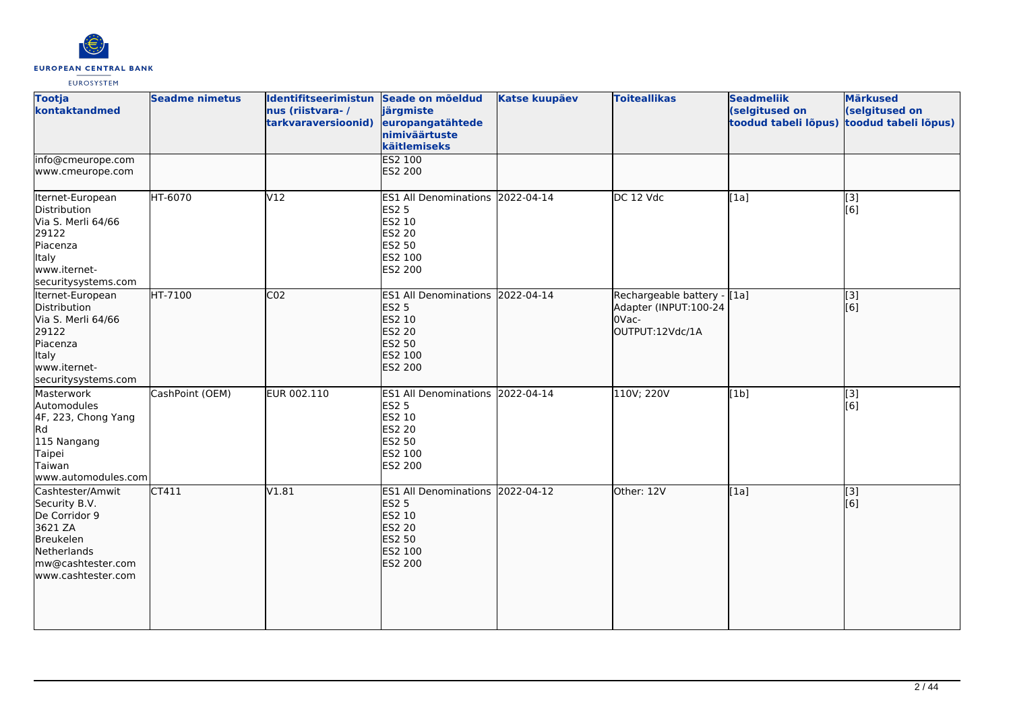

| <b>Tootja</b><br>kontaktandmed                                                                                                       | <b>Seadme nimetus</b> | Identifitseerimistun Seade on mõeldud<br>nus (riistvara-/<br>tarkvaraversioonid) | järgmiste<br>europangatähtede<br>nimiväärtuste<br>käitlemiseks                                                 | <b>Katse kuupäev</b> | <b>Toiteallikas</b>                                                                | <b>Seadmeliik</b><br>(selgitused on<br>toodud tabeli lõpus) | <b>Märkused</b><br>(selgitused on<br>toodud tabeli lõpus) |
|--------------------------------------------------------------------------------------------------------------------------------------|-----------------------|----------------------------------------------------------------------------------|----------------------------------------------------------------------------------------------------------------|----------------------|------------------------------------------------------------------------------------|-------------------------------------------------------------|-----------------------------------------------------------|
| info@cmeurope.com<br>www.cmeurope.com                                                                                                |                       |                                                                                  | ES2 100<br><b>ES2 200</b>                                                                                      |                      |                                                                                    |                                                             |                                                           |
| Iternet-European<br>Distribution<br>Via S. Merli 64/66<br>29122<br>Piacenza<br>Italy<br>www.iternet-<br>securitysystems.com          | HT-6070               | V12                                                                              | ES1 All Denominations 2022-04-14<br><b>ES2 5</b><br>ES2 10<br>ES2 20<br>ES2 50<br>ES2 100<br>ES2 200           |                      | DC 12 Vdc                                                                          | [1a]                                                        | [3]<br>[6]                                                |
| Iternet-European<br>Distribution<br>Via S. Merli 64/66<br>29122<br>Piacenza<br>Italy<br>www.iternet-<br>securitysystems.com          | HT-7100               | CO <sub>2</sub>                                                                  | <b>ES1 All Denominations</b><br><b>ES2 5</b><br><b>ES2 10</b><br>ES2 20<br>ES2 50<br>ES2 100<br><b>ES2 200</b> | 2022-04-14           | Rechargeable battery - [[1a]<br>Adapter (INPUT:100-24<br>l0Vac-<br>OUTPUT:12Vdc/1A |                                                             | [3]<br>[6]                                                |
| Masterwork<br>Automodules<br>4F, 223, Chong Yang<br>Rd<br>115 Nangang<br>Taipei<br>Taiwan<br>www.automodules.com                     | CashPoint (OEM)       | EUR 002.110                                                                      | ES1 All Denominations 2022-04-14<br><b>ES2 5</b><br>ES2 10<br>ES2 20<br>ES2 50<br>ES2 100<br>ES2 200           |                      | 110V; 220V                                                                         | [1b]                                                        | [3]<br>[6]                                                |
| Cashtester/Amwit<br>Security B.V.<br>De Corridor 9<br>3621 ZA<br>Breukelen<br>Netherlands<br>mw@cashtester.com<br>www.cashtester.com | CT411                 | V1.81                                                                            | ES1 All Denominations 2022-04-12<br><b>ES2 5</b><br>ES2 10<br><b>ES2 20</b><br>ES2 50<br>ES2 100<br>ES2 200    |                      | Other: 12V                                                                         | [1a]                                                        | $\overline{[}$ [3]<br>[6]                                 |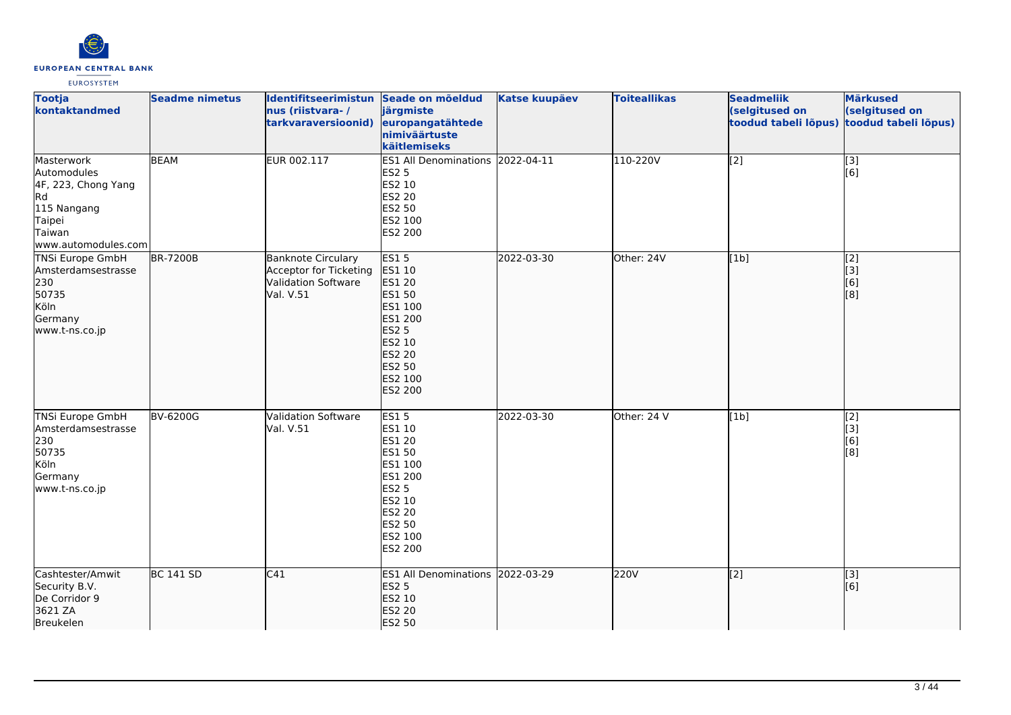

| <b>Tootja</b><br>kontaktandmed                                                                                   | <b>Seadme nimetus</b> | Identifitseerimistun Seade on mõeldud<br>nus (riistvara-/<br>tarkvaraversioonid)               | järgmiste<br>europangatähtede<br>nimiväärtuste<br>käitlemiseks                                                                                    | <b>Katse kuupäev</b> | <b>Toiteallikas</b> | <b>Seadmeliik</b><br>(selgitused on<br>toodud tabeli lõpus) | <b>Märkused</b><br>(selgitused on<br>toodud tabeli lõpus) |
|------------------------------------------------------------------------------------------------------------------|-----------------------|------------------------------------------------------------------------------------------------|---------------------------------------------------------------------------------------------------------------------------------------------------|----------------------|---------------------|-------------------------------------------------------------|-----------------------------------------------------------|
| Masterwork<br>Automodules<br>4F, 223, Chong Yang<br>Rd<br>115 Nangang<br>Taipei<br>Taiwan<br>www.automodules.com | <b>BEAM</b>           | EUR 002.117                                                                                    | ES1 All Denominations 2022-04-11<br><b>ES2 5</b><br>ES2 10<br><b>ES2 20</b><br>ES2 50<br>ES2 100<br>ES2 200                                       |                      | 110-220V            | $\overline{[2]}$                                            | $\vert$ [3]<br>[6]                                        |
| <b>TNSi Europe GmbH</b><br>Amsterdamsestrasse<br>230<br>50735<br>Köln<br>Germany<br>www.t-ns.co.jp               | <b>BR-7200B</b>       | <b>Banknote Circulary</b><br>Acceptor for Ticketing<br><b>Validation Software</b><br>Val. V.51 | <b>ES15</b><br>ES1 10<br><b>ES1 20</b><br>ES1 50<br>ES1 100<br>ES1 200<br><b>ES2 5</b><br>ES2 10<br><b>ES2 20</b><br>ES2 50<br>ES2 100<br>ES2 200 | 2022-03-30           | Other: 24V          | [1b]                                                        | $\sqrt{2}$<br>$\vert$ [3]<br>[6]<br>[8]                   |
| <b>TNSi Europe GmbH</b><br>Amsterdamsestrasse<br>230<br>50735<br>Köln<br>Germany<br>www.t-ns.co.jp               | <b>BV-6200G</b>       | <b>Validation Software</b><br>Val. V.51                                                        | <b>ES15</b><br>ES1 10<br>ES1 20<br>ES1 50<br>ES1 100<br>ES1 200<br><b>ES2 5</b><br>ES2 10<br>ES2 20<br>ES2 50<br>ES2 100<br>ES2 200               | 2022-03-30           | Other: 24 V         | [1b]                                                        | [2]<br>[3]<br>[6]<br>[8]                                  |
| Cashtester/Amwit<br>Security B.V.<br>De Corridor 9<br>3621 ZA<br>Breukelen                                       | <b>BC 141 SD</b>      | C41                                                                                            | ES1 All Denominations 2022-03-29<br><b>ES2 5</b><br>ES2 10<br><b>ES2 20</b><br><b>ES2 50</b>                                                      |                      | 220V                | $\overline{[2]}$                                            | [3]<br>[6]                                                |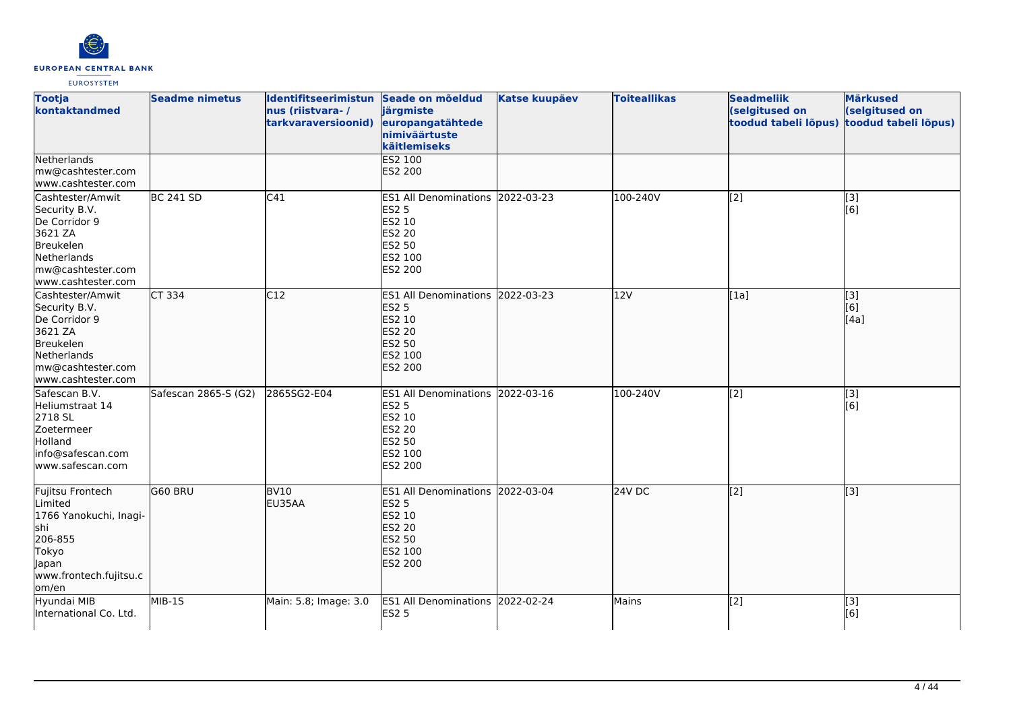

| <b>Tootja</b><br>kontaktandmed                                                                                                       | <b>Seadme nimetus</b>      | Identifitseerimistun Seade on mõeldud<br>nus (riistvara-/<br>tarkvaraversioonid) | järgmiste<br>europangatähtede<br>nimiväärtuste<br>käitlemiseks                                                     | <b>Katse kuupäev</b> | <b>Toiteallikas</b> | <b>Seadmeliik</b><br>(selgitused on<br>toodud tabeli lõpus) | <b>Märkused</b><br>(selgitused on<br>toodud tabeli lõpus) |
|--------------------------------------------------------------------------------------------------------------------------------------|----------------------------|----------------------------------------------------------------------------------|--------------------------------------------------------------------------------------------------------------------|----------------------|---------------------|-------------------------------------------------------------|-----------------------------------------------------------|
| Netherlands<br>mw@cashtester.com<br>www.cashtester.com                                                                               |                            |                                                                                  | ES2 100<br><b>ES2 200</b>                                                                                          |                      |                     |                                                             |                                                           |
| Cashtester/Amwit<br>Security B.V.<br>De Corridor 9<br>3621 ZA<br>Breukelen<br>Netherlands<br>mw@cashtester.com<br>www.cashtester.com | <b>BC 241 SD</b>           | C <sub>41</sub>                                                                  | ES1 All Denominations 2022-03-23<br><b>ES2 5</b><br>ES2 10<br>ES2 20<br>ES2 50<br>ES2 100<br><b>ES2 200</b>        |                      | 100-240V            | $\overline{[2]}$                                            | [3]<br>[6]                                                |
| Cashtester/Amwit<br>Security B.V.<br>De Corridor 9<br>3621 ZA<br>Breukelen<br>Netherlands<br>mw@cashtester.com<br>www.cashtester.com | $\overline{\text{CT}}$ 334 | C12                                                                              | <b>ES1 All Denominations</b><br><b>ES2 5</b><br>ES2 10<br><b>ES2 20</b><br>ES2 50<br>ES2 100<br><b>ES2 200</b>     | 2022-03-23           | 12V                 | [1a]                                                        | [3]<br>[6]<br>[4a]                                        |
| Safescan B.V.<br>Heliumstraat 14<br>2718 SL<br>Zoetermeer<br>Holland<br>info@safescan.com<br>www.safescan.com                        | Safescan 2865-S (G2)       | 2865SG2-E04                                                                      | ES1 All Denominations 2022-03-16<br><b>ES2 5</b><br>ES2 10<br>ES2 20<br>ES2 50<br>ES2 100<br>ES2 200               |                      | 100-240V            | $\overline{[2]}$                                            | $\overline{[3]}$<br>[6]                                   |
| Fujitsu Frontech<br>Limited<br>1766 Yanokuchi, Inagi-<br>lshi<br>206-855<br>Tokyo<br>Japan<br>www.frontech.fujitsu.c<br>om/en        | G60 BRU                    | BV <sub>10</sub><br>EU35AA                                                       | ES1 All Denominations 2022-03-04<br><b>ES2 5</b><br>ES2 10<br><b>ES2 20</b><br>ES2 50<br>ES2 100<br><b>ES2 200</b> |                      | $24V$ DC            | $\overline{[2]}$                                            | $\overline{[3]}$                                          |
| Hyundai MIB<br>International Co. Ltd.                                                                                                | MIB-1S                     | Main: 5.8; Image: 3.0                                                            | ES1 All Denominations 2022-02-24<br><b>ES2 5</b>                                                                   |                      | Mains               | [2]                                                         | [3]<br>[6]                                                |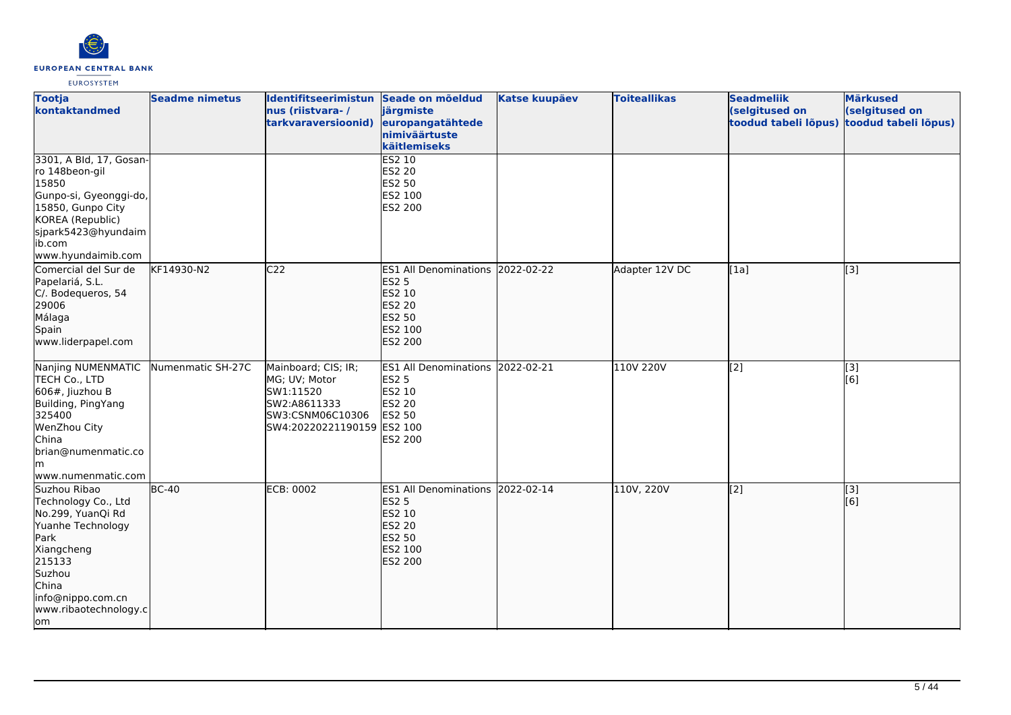

| <b>Tootja</b><br>kontaktandmed                                                                                                                                                       | <b>Seadme nimetus</b> | Identifitseerimistun Seade on mõeldud<br>nus (riistvara-/<br>tarkvaraversioonid)                                    | järgmiste<br>europangatähtede<br>nimiväärtuste<br>käitlemiseks                                                            | <b>Katse kuupäev</b> | <b>Toiteallikas</b> | <b>Seadmeliik</b><br>(selgitused on<br>toodud tabeli lõpus) | <b>Märkused</b><br>(selgitused on<br>toodud tabeli lõpus) |
|--------------------------------------------------------------------------------------------------------------------------------------------------------------------------------------|-----------------------|---------------------------------------------------------------------------------------------------------------------|---------------------------------------------------------------------------------------------------------------------------|----------------------|---------------------|-------------------------------------------------------------|-----------------------------------------------------------|
| 3301, A Bld, 17, Gosan-<br>ro 148beon-gil<br>15850<br>Gunpo-si, Gyeonggi-do,<br>15850, Gunpo City<br>KOREA (Republic)<br>sjpark5423@hyundaim<br>ib.com<br>www.hyundaimib.com         |                       |                                                                                                                     | ES2 10<br>ES2 20<br>ES2 50<br>ES2 100<br>ES2 200                                                                          |                      |                     |                                                             |                                                           |
| Comercial del Sur de<br>Papelariá, S.L.<br>C/. Bodequeros, 54<br>29006<br>Málaga<br>Spain<br>www.liderpapel.com                                                                      | KF14930-N2            | C <sub>22</sub>                                                                                                     | ES1 All Denominations 2022-02-22<br><b>ES2 5</b><br>ES2 10<br><b>ES2 20</b><br><b>ES2 50</b><br>ES2 100<br><b>ES2 200</b> |                      | Adapter 12V DC      | [1a]                                                        | $\overline{[}3]$                                          |
| Nanjing NUMENMATIC<br>TECH Co., LTD<br>$606#$ , Jiuzhou B<br>Building, PingYang<br>325400<br>WenZhou City<br>China<br>brian@numenmatic.co<br>lm.<br>www.numenmatic.com               | Numenmatic SH-27C     | Mainboard; CIS; IR;<br>MG; UV; Motor<br>SW1:11520<br>SW2:A8611333<br>SW3:CSNM06C10306<br>SW4:20220221190159 ES2 100 | ES1 All Denominations 2022-02-21<br><b>ES2 5</b><br>ES2 10<br>ES2 20<br>ES2 50<br>ES2 200                                 |                      | 110V 220V           | [2]                                                         | [3]<br>[6]                                                |
| Suzhou Ribao<br>Technology Co., Ltd<br>No.299, YuanQi Rd<br>Yuanhe Technology<br>Park<br>Xiangcheng<br>215133<br>Suzhou<br>China<br>info@nippo.com.cn<br>www.ribaotechnology.c<br>om | $BC-40$               | <b>ECB: 0002</b>                                                                                                    | ES1 All Denominations 2022-02-14<br><b>ES2 5</b><br>ES2 10<br><b>ES2 20</b><br>ES2 50<br>ES2 100<br><b>ES2 200</b>        |                      | 110V, 220V          | [2]                                                         | $\left[$ [3]<br>[6]                                       |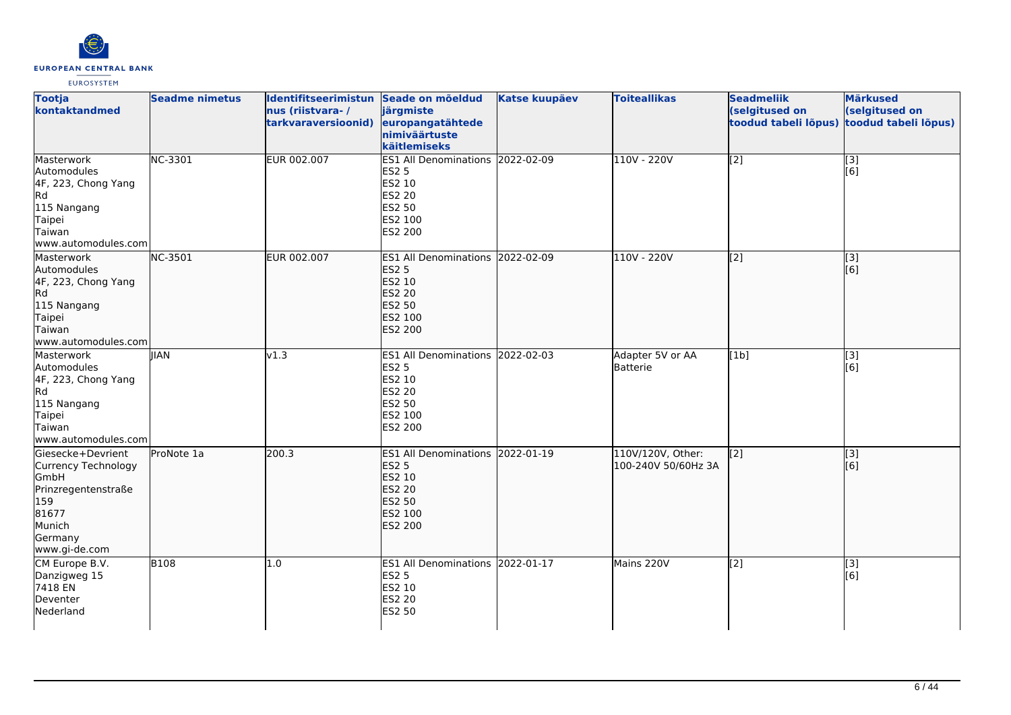

| <b>Tootja</b><br>kontaktandmed                                                                                                | <b>Seadme nimetus</b> | Identifitseerimistun Seade on mõeldud<br>nus (riistvara-/<br>tarkvaraversioonid) | järgmiste<br>europangatähtede<br>nimiväärtuste<br>käitlemiseks                                                            | <b>Katse kuupäev</b> | <b>Toiteallikas</b>                      | <b>Seadmeliik</b><br>(selgitused on<br>toodud tabeli lõpus) | <b>Märkused</b><br>(selgitused on<br>toodud tabeli lõpus) |
|-------------------------------------------------------------------------------------------------------------------------------|-----------------------|----------------------------------------------------------------------------------|---------------------------------------------------------------------------------------------------------------------------|----------------------|------------------------------------------|-------------------------------------------------------------|-----------------------------------------------------------|
| Masterwork<br>Automodules<br>4F, 223, Chong Yang<br><b>I</b> Rd<br>115 Nangang<br>Taipei<br>Taiwan<br>www.automodules.com     | NC-3301               | <b>EUR 002.007</b>                                                               | ES1 All Denominations 2022-02-09<br><b>ES2 5</b><br>ES2 10<br><b>ES2 20</b><br>ES2 50<br>ES2 100<br>ES2 200               |                      | 110V - 220V                              | $\overline{[2]}$                                            | $\overline{[}3]$<br>[6]                                   |
| Masterwork<br>Automodules<br>4F, 223, Chong Yang<br>lRd<br>115 Nangang<br>Taipei<br>Taiwan<br>www.automodules.com             | NC-3501               | EUR 002.007                                                                      | ES1 All Denominations 2022-02-09<br><b>ES2 5</b><br>ES2 10<br><b>ES2 20</b><br><b>ES2 50</b><br>ES2 100<br><b>ES2 200</b> |                      | 110V - 220V                              | $\overline{[2]}$                                            | [3]<br>[6]                                                |
| Masterwork<br>Automodules<br>4F, 223, Chong Yang<br>Rd<br>115 Nangang<br>Taipei<br>Taiwan<br>www.automodules.com              | <b>IIAN</b>           | v1.3                                                                             | ES1 All Denominations 2022-02-03<br><b>ES2 5</b><br>ES2 10<br><b>ES2 20</b><br>ES2 50<br>ES2 100<br>ES2 200               |                      | Adapter 5V or AA<br>Batterie             | [1b]                                                        | [3]<br>[6]                                                |
| Giesecke+Devrient<br>Currency Technology<br>GmbH<br>Prinzregentenstraße<br>159<br>81677<br>Munich<br>Germany<br>www.gi-de.com | ProNote 1a            | 200.3                                                                            | ES1 All Denominations 2022-01-19<br><b>ES2 5</b><br>ES2 10<br><b>ES2 20</b><br>ES2 50<br>ES2 100<br><b>ES2 200</b>        |                      | 110V/120V, Other:<br>100-240V 50/60Hz 3A | [[2]                                                        | [3]<br>[6]                                                |
| CM Europe B.V.<br>Danzigweg 15<br>7418 EN<br>Deventer<br>Nederland                                                            | <b>B108</b>           | 1.0                                                                              | ES1 All Denominations 2022-01-17<br><b>ES2 5</b><br>ES2 10<br>ES2 20<br><b>ES2 50</b>                                     |                      | Mains 220V                               | $\overline{[2]}$                                            | [3]<br>[6]                                                |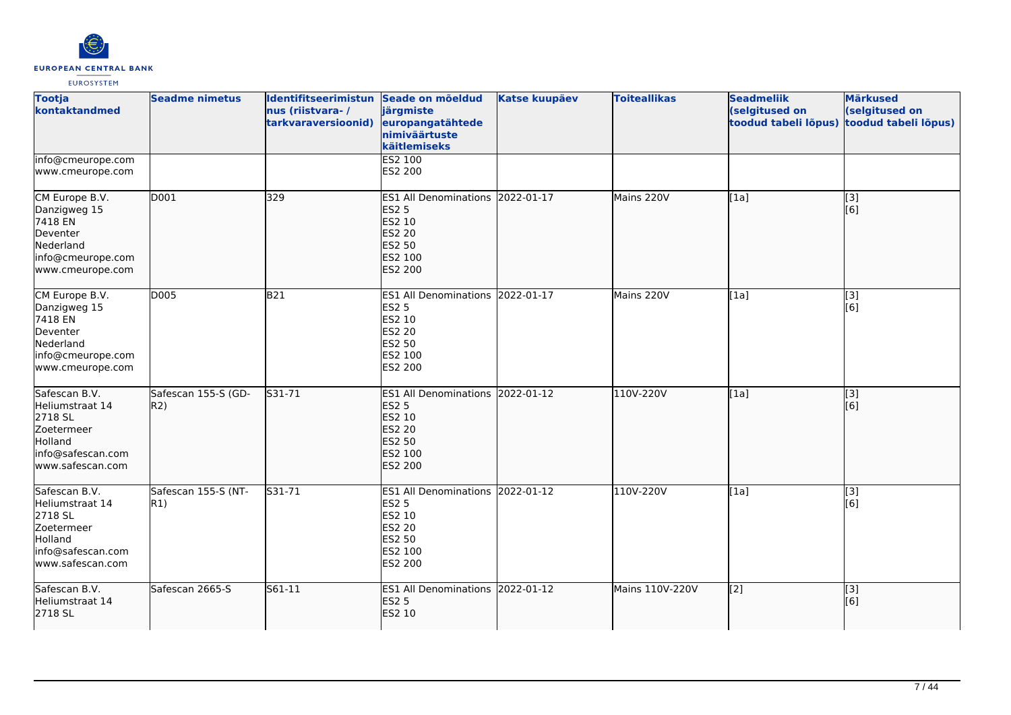

| <b>Tootja</b><br>kontaktandmed                                                                                 | <b>Seadme nimetus</b>       | Identifitseerimistun Seade on mõeldud<br>nus (riistvara-/<br>tarkvaraversioonid) | järgmiste<br>europangatähtede<br>nimiväärtuste<br>käitlemiseks                                                     | <b>Katse kuupäev</b> | <b>Toiteallikas</b> | <b>Seadmeliik</b><br>(selgitused on<br>toodud tabeli lõpus) | <b>Märkused</b><br>(selgitused on<br>toodud tabeli lõpus) |
|----------------------------------------------------------------------------------------------------------------|-----------------------------|----------------------------------------------------------------------------------|--------------------------------------------------------------------------------------------------------------------|----------------------|---------------------|-------------------------------------------------------------|-----------------------------------------------------------|
| info@cmeurope.com<br>www.cmeurope.com                                                                          |                             |                                                                                  | ES2 100<br>ES2 200                                                                                                 |                      |                     |                                                             |                                                           |
| CM Europe B.V.<br>Danzigweg 15<br>7418 EN<br>Deventer<br>Nederland<br>info@cmeurope.com<br>www.cmeurope.com    | D001                        | 329                                                                              | ES1 All Denominations 2022-01-17<br><b>ES2 5</b><br>ES2 10<br>ES2 20<br>ES2 50<br>ES2 100<br>ES2 200               |                      | Mains 220V          | [1a]                                                        | [3]<br>[6]                                                |
| CM Europe B.V.<br>Danzigweg 15<br>7418 EN<br>Deventer<br>Nederland<br>info@cmeurope.com<br>www.cmeurope.com    | D005                        | <b>B21</b>                                                                       | ES1 All Denominations 2022-01-17<br><b>ES2 5</b><br>ES2 10<br><b>ES2 20</b><br>ES2 50<br>ES2 100<br>ES2 200        |                      | Mains 220V          | [1a]                                                        | [3]<br>[6]                                                |
| Safescan B.V.<br>Heliumstraat 14<br>2718 SL<br>Zoetermeer<br>Holland<br>info@safescan.com<br>www.safescan.com  | Safescan 155-S (GD-<br>R2)  | $531 - 71$                                                                       | ES1 All Denominations 2022-01-12<br><b>ES2 5</b><br>ES2 10<br><b>ES2 20</b><br>ES2 50<br>ES2 100<br><b>ES2 200</b> |                      | 110V-220V           | [1a]                                                        | $\overline{[}3]$<br>[6]                                   |
| Safescan B.V.<br>Heliumstraat 14<br>2718 SL<br>Zoetermeer<br>Holland<br>info@safescan.com<br>lwww.safescan.com | Safescan 155-S (NT-<br> R1) | S31-71                                                                           | ES1 All Denominations 2022-01-12<br><b>ES2 5</b><br>ES2 10<br>ES2 20<br>ES2 50<br>ES2 100<br>ES2 200               |                      | 110V-220V           | [1a]                                                        | [3]<br>[6]                                                |
| Safescan B.V.<br>Heliumstraat 14<br>2718 SL                                                                    | Safescan 2665-S             | S61-11                                                                           | ES1 All Denominations 2022-01-12<br><b>ES2 5</b><br>ES2 10                                                         |                      | Mains 110V-220V     | [[2]                                                        | $\left[ \begin{matrix} 3 \end{matrix} \right]$<br>[6]     |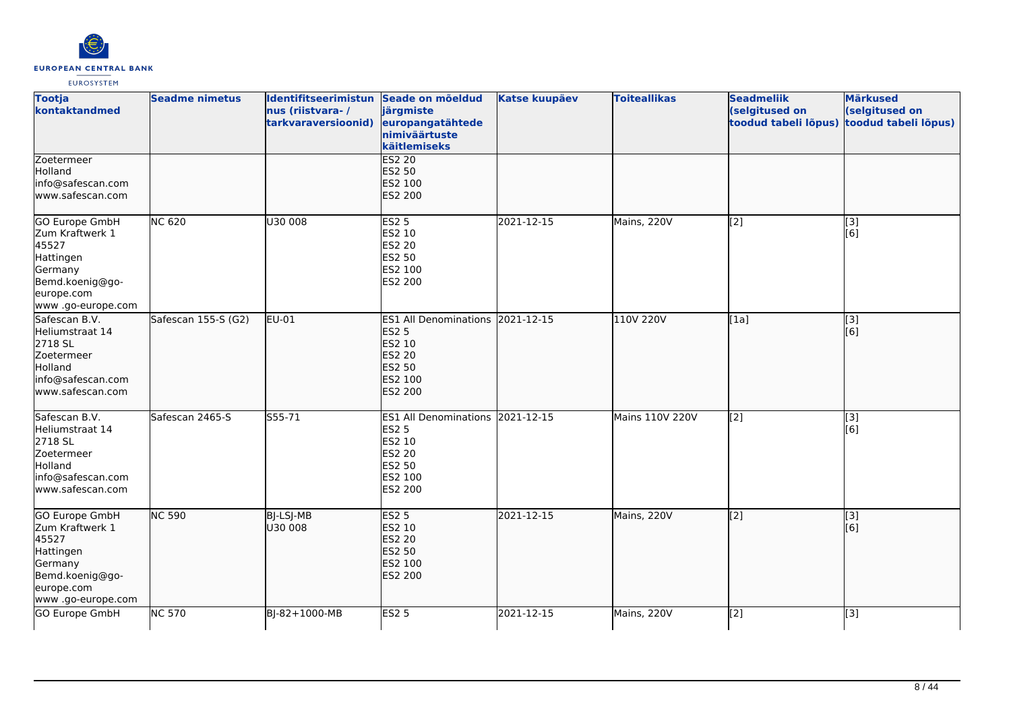

| <b>Tootja</b><br>kontaktandmed                                                                                                   | <b>Seadme nimetus</b> | Identifitseerimistun Seade on mõeldud<br>nus (riistvara-/<br>tarkvaraversioonid) | järgmiste<br>europangatähtede<br>nimiväärtuste<br>käitlemiseks                                              | <b>Katse kuupäev</b> | <b>Toiteallikas</b> | <b>Seadmeliik</b><br>(selgitused on<br>toodud tabeli lõpus) | <b>Märkused</b><br>(selgitused on<br>toodud tabeli lõpus) |
|----------------------------------------------------------------------------------------------------------------------------------|-----------------------|----------------------------------------------------------------------------------|-------------------------------------------------------------------------------------------------------------|----------------------|---------------------|-------------------------------------------------------------|-----------------------------------------------------------|
| Zoetermeer<br>Holland<br>info@safescan.com<br>www.safescan.com                                                                   |                       |                                                                                  | <b>ES2 20</b><br>ES2 50<br>ES2 100<br>ES2 200                                                               |                      |                     |                                                             |                                                           |
| <b>GO Europe GmbH</b><br>Zum Kraftwerk 1<br>45527<br>Hattingen<br>Germany<br>Bemd.koenig@go-<br>europe.com<br>www.go-europe.com  | <b>NC 620</b>         | U30 008                                                                          | <b>ES2 5</b><br>ES2 10<br>ES2 20<br>ES2 50<br>ES2 100<br>ES2 200                                            | 2021-12-15           | Mains, 220V         | $\left[2\right]$                                            | [3]<br>[6]                                                |
| lSafescan B.V.<br>Heliumstraat 14<br>2718 SL<br>Zoetermeer<br>Holland<br>info@safescan.com<br>lwww.safescan.com                  | Safescan 155-S (G2)   | $EU-01$                                                                          | ES1 All Denominations 2021-12-15<br><b>ES2 5</b><br>ES2 10<br><b>ES2 20</b><br>ES2 50<br>ES2 100<br>ES2 200 |                      | 110V 220V           | [1a]                                                        | $\vert$ [3]<br>[6]                                        |
| Safescan B.V.<br>Heliumstraat 14<br>2718 SL<br>Zoetermeer<br>Holland<br>info@safescan.com<br>www.safescan.com                    | Safescan 2465-S       | S55-71                                                                           | ES1 All Denominations 2021-12-15<br>ES2 5<br>ES2 10<br>ES2 20<br>ES2 50<br>ES2 100<br>ES2 200               |                      | Mains 110V 220V     | [2]                                                         | [3]<br>[6]                                                |
| <b>GO Europe GmbH</b><br>Zum Kraftwerk 1<br>45527<br>Hattingen<br>Germany<br>Bemd.koenig@go-<br>europe.com<br>www .go-europe.com | <b>NC 590</b>         | BJ-LSJ-MB<br>U30 008                                                             | <b>ES2 5</b><br>ES2 10<br>ES2 20<br>ES2 50<br>ES2 100<br>ES2 200                                            | 2021-12-15           | Mains, 220V         | $\overline{[2]}$                                            | $\overline{[}3]$<br>[6]                                   |
| GO Europe GmbH                                                                                                                   | <b>NC 570</b>         | BJ-82+1000-MB                                                                    | ES2 <sub>5</sub>                                                                                            | 2021-12-15           | Mains, 220V         | [2]                                                         | $\overline{[}3]$                                          |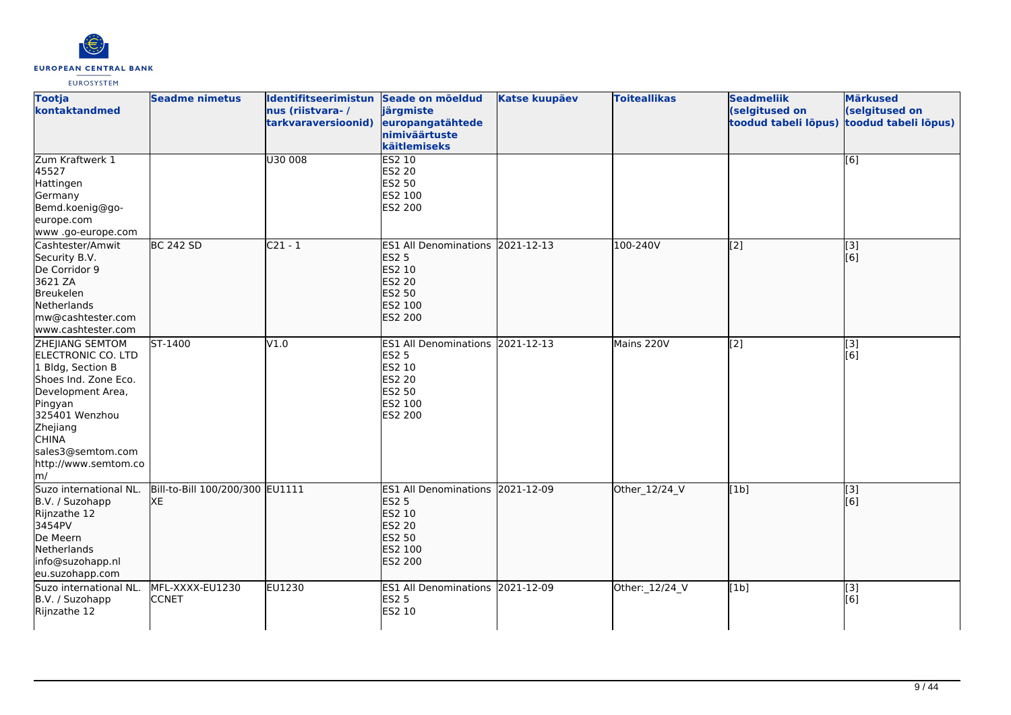

| <b>Tootja</b><br>kontaktandmed                                                                                                                                                                                                                   | <b>Seadme nimetus</b>                  | Identifitseerimistun Seade on mõeldud<br>nus (riistvara-/<br>tarkvaraversioonid) | järgmiste<br>europangatähtede<br>nimiväärtuste<br>käitlemiseks                                                     | <b>Katse kuupäev</b> | <b>Toiteallikas</b> | <b>Seadmeliik</b><br>(selgitused on<br>toodud tabeli lõpus) | <b>Märkused</b><br>(selgitused on<br>toodud tabeli lõpus) |
|--------------------------------------------------------------------------------------------------------------------------------------------------------------------------------------------------------------------------------------------------|----------------------------------------|----------------------------------------------------------------------------------|--------------------------------------------------------------------------------------------------------------------|----------------------|---------------------|-------------------------------------------------------------|-----------------------------------------------------------|
| Zum Kraftwerk 1<br>45527<br>Hattingen<br>Germany<br>Bemd.koenig@go-<br>europe.com<br>www.go-europe.com                                                                                                                                           |                                        | U30 008                                                                          | ES2 10<br>ES2 20<br>ES2 50<br>ES2 100<br>ES2 200                                                                   |                      |                     |                                                             | [6]                                                       |
| Cashtester/Amwit<br>Security B.V.<br>De Corridor 9<br>3621 ZA<br>Breukelen<br>Netherlands<br>mw@cashtester.com<br>www.cashtester.com                                                                                                             | <b>BC 242 SD</b>                       | $C21 - 1$                                                                        | ES1 All Denominations 2021-12-13<br><b>ES2 5</b><br>ES2 10<br><b>ES2 20</b><br>ES2 50<br>ES2 100<br><b>ES2 200</b> |                      | 100-240V            | $\overline{[2]}$                                            | $\sqrt{3}$<br>$\overline{[}6\overline{)}$                 |
| <b>ZHEJIANG SEMTOM</b><br>ELECTRONIC CO. LTD<br>1 Bldg, Section B<br>Shoes Ind. Zone Eco.<br>Development Area,<br>Pingyan<br>325401 Wenzhou<br>Zhejiang<br><b>CHINA</b><br>sales3@semtom.com<br>http://www.semtom.co<br>$\mathsf{Im}/\mathsf{I}$ | ST-1400                                | V1.0                                                                             | ES1 All Denominations 2021-12-13<br><b>ES2 5</b><br>ES2 10<br>ES2 20<br>ES2 50<br>ES2 100<br>ES2 200               |                      | Mains 220V          | [2]                                                         | [3]<br>[6]                                                |
| Suzo international NL.<br>B.V. / Suzohapp<br>Rijnzathe 12<br>3454PV<br>De Meern<br>Netherlands<br>info@suzohapp.nl<br>eu.suzohapp.com                                                                                                            | Bill-to-Bill 100/200/300 EU1111<br>lхE |                                                                                  | ES1 All Denominations 2021-12-09<br><b>ES2 5</b><br>ES2 10<br>ES2 20<br><b>ES2 50</b><br>ES2 100<br><b>ES2 200</b> |                      | Other_12/24_V       | [1b]                                                        | $\vert$ [3]<br>[6]                                        |
| Suzo international NL.<br>B.V. / Suzohapp<br>Rijnzathe 12                                                                                                                                                                                        | MFL-XXXX-EU1230<br><b>CCNET</b>        | <b>EU1230</b>                                                                    | ES1 All Denominations 2021-12-09<br><b>ES2 5</b><br>ES2 10                                                         |                      | Other: 12/24_V      | [1b]                                                        | [3]<br>[6]                                                |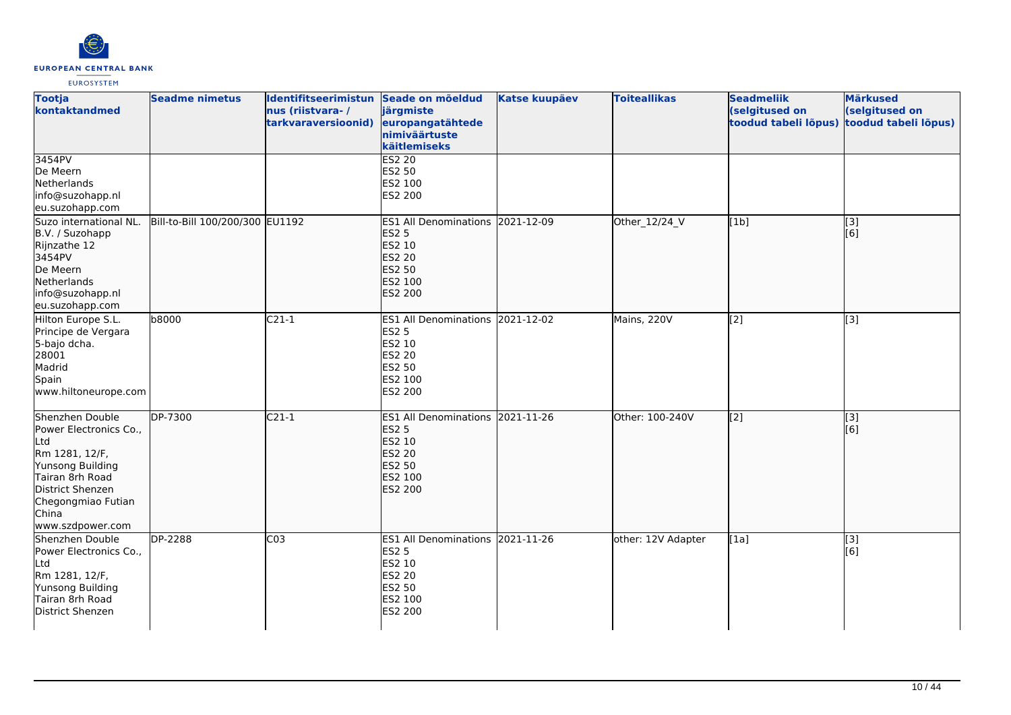

| <b>Tootja</b><br>kontaktandmed                                                                                                                                                   | <b>Seadme nimetus</b>           | Identifitseerimistun Seade on mõeldud<br>nus (riistvara-/<br>tarkvaraversioonid) | järgmiste<br>europangatähtede<br>nimiväärtuste<br>käitlemiseks                                              | <b>Katse kuupäev</b> | <b>Toiteallikas</b> | <b>Seadmeliik</b><br>(selgitused on<br>toodud tabeli lõpus) | <b>Märkused</b><br>(selgitused on<br>toodud tabeli lõpus) |
|----------------------------------------------------------------------------------------------------------------------------------------------------------------------------------|---------------------------------|----------------------------------------------------------------------------------|-------------------------------------------------------------------------------------------------------------|----------------------|---------------------|-------------------------------------------------------------|-----------------------------------------------------------|
| 3454PV<br>De Meern<br>Netherlands<br>info@suzohapp.nl<br>eu.suzohapp.com                                                                                                         |                                 |                                                                                  | <b>ES2 20</b><br>ES2 50<br>ES2 100<br>ES2 200                                                               |                      |                     |                                                             |                                                           |
| Suzo international NL.<br>B.V. / Suzohapp<br>Rijnzathe 12<br>3454PV<br>De Meern<br>Netherlands<br>info@suzohapp.nl<br>eu.suzohapp.com                                            | Bill-to-Bill 100/200/300 EU1192 |                                                                                  | ES1 All Denominations 2021-12-09<br><b>ES2 5</b><br>ES2 10<br><b>ES2 20</b><br>ES2 50<br>ES2 100<br>ES2 200 |                      | Other_12/24_V       | [1b]                                                        | $\overline{[3]}$<br>[6]                                   |
| Hilton Europe S.L.<br>Principe de Vergara<br>5-bajo dcha.<br>28001<br>Madrid<br>Spain<br>www.hiltoneurope.com                                                                    | b8000                           | $C21-1$                                                                          | ES1 All Denominations 2021-12-02<br><b>ES2 5</b><br>ES2 10<br>ES2 20<br>ES2 50<br>ES2 100<br>ES2 200        |                      | Mains, 220V         | [2]                                                         | [3]                                                       |
| Shenzhen Double<br>Power Electronics Co.,<br>Ltd<br>Rm 1281, 12/F,<br>Yunsong Building<br>Tairan 8rh Road<br>District Shenzen<br>Chegongmiao Futian<br>China<br>www.szdpower.com | DP-7300                         | $C21-1$                                                                          | ES1 All Denominations 2021-11-26<br><b>ES2 5</b><br>ES2 10<br><b>ES2 20</b><br>ES2 50<br>ES2 100<br>ES2 200 |                      | Other: 100-240V     | [2]                                                         | [3]<br>[6]                                                |
| Shenzhen Double<br>Power Electronics Co.,<br>Ltd<br>Rm 1281, 12/F,<br>Yunsong Building<br>Tairan 8rh Road<br>District Shenzen                                                    | DP-2288                         | CO <sub>3</sub>                                                                  | ES1 All Denominations 2021-11-26<br>ES2 5<br>ES2 10<br>ES2 20<br>ES2 50<br>ES2 100<br>ES2 200               |                      | other: 12V Adapter  | [1a]                                                        | [3]<br>[6]                                                |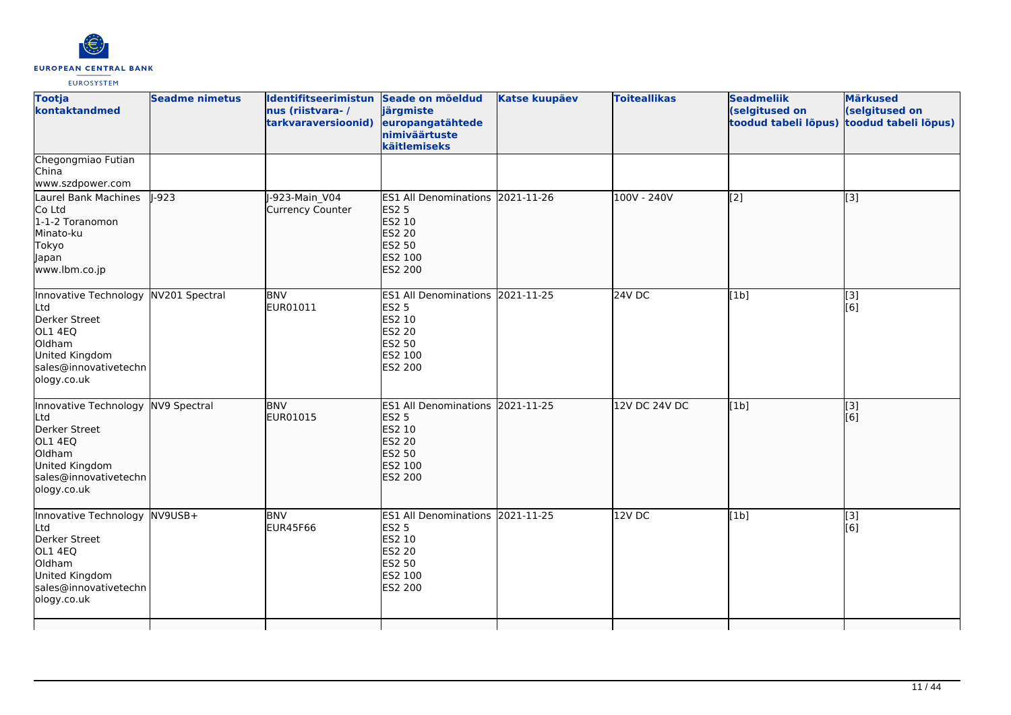

| <b>Tootja</b><br>kontaktandmed                                                                                                              | <b>Seadme nimetus</b> | Identifitseerimistun Seade on mõeldud<br>nus (riistvara-/<br>tarkvaraversioonid) | järgmiste<br>europangatähtede<br>nimiväärtuste<br>käitlemiseks                                                     | <b>Katse kuupäev</b> | <b>Toiteallikas</b> | <b>Seadmeliik</b><br>(selgitused on<br>toodud tabeli lõpus) | <b>Märkused</b><br>(selgitused on<br>toodud tabeli lõpus) |
|---------------------------------------------------------------------------------------------------------------------------------------------|-----------------------|----------------------------------------------------------------------------------|--------------------------------------------------------------------------------------------------------------------|----------------------|---------------------|-------------------------------------------------------------|-----------------------------------------------------------|
| Chegongmiao Futian<br>China<br>www.szdpower.com                                                                                             |                       |                                                                                  |                                                                                                                    |                      |                     |                                                             |                                                           |
| Laurel Bank Machines<br>Co Ltd<br>1-1-2 Toranomon<br>Minato-ku<br>Tokyo<br>Japan<br>www.lbm.co.jp                                           | $1-923$               | -923-Main V04<br>Currency Counter                                                | ES1 All Denominations 2021-11-26<br><b>ES2 5</b><br>ES2 10<br>ES2 20<br><b>ES2 50</b><br>ES2 100<br><b>ES2 200</b> |                      | 100V - 240V         | $\overline{[2]}$                                            | $\overline{[3]}$                                          |
| Innovative Technology NV201 Spectral<br>Ltd<br>Derker Street<br>OL1 4EQ<br>Oldham<br>United Kingdom<br>sales@innovativetechn<br>ology.co.uk |                       | <b>BNV</b><br>EUR01011                                                           | ES1 All Denominations 2021-11-25<br><b>ES2 5</b><br>ES2 10<br>ES2 20<br>ES2 50<br>ES2 100<br><b>ES2 200</b>        |                      | 24V DC              | [1b]                                                        | $\begin{bmatrix} 13 \\ 6 \end{bmatrix}$                   |
| Innovative Technology NV9 Spectral<br>Ltd<br>Derker Street<br>OL1 4EQ<br>Oldham<br>United Kingdom<br>sales@innovativetechn<br>ology.co.uk   |                       | <b>BNV</b><br>EUR01015                                                           | ES1 All Denominations 2021-11-25<br><b>ES2 5</b><br>ES2 10<br>ES2 20<br>ES2 50<br>ES2 100<br><b>ES2 200</b>        |                      | 12V DC 24V DC       | [1b]                                                        | $\overline{[3]}$<br>[6]                                   |
| Innovative Technology NV9USB+<br>Ltd<br>Derker Street<br>OL1 4EQ<br>Oldham<br>United Kingdom<br>sales@innovativetechn<br>ology.co.uk        |                       | <b>BNV</b><br><b>EUR45F66</b>                                                    | ES1 All Denominations 2021-11-25<br>ES2 5<br>ES2 10<br>ES2 20<br>ES2 50<br>ES2 100<br>ES2 200                      |                      | 12V DC              | [1b]                                                        | [3]<br>[6]                                                |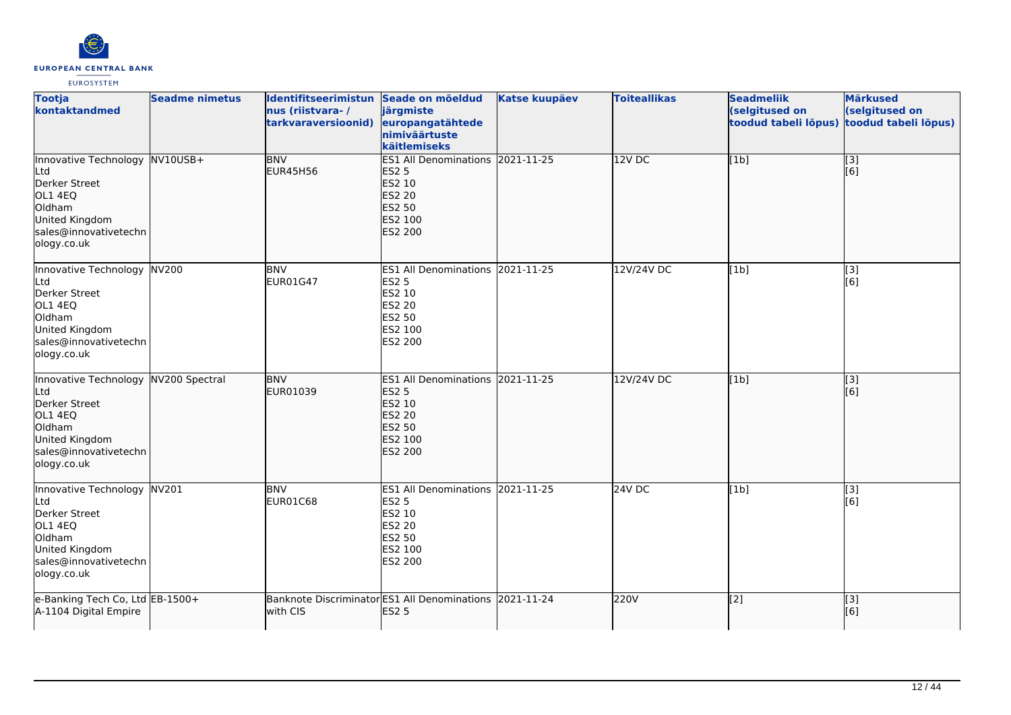

| <b>Tootja</b><br>kontaktandmed                                                                                                        | <b>Seadme nimetus</b> | Identifitseerimistun Seade on mõeldud<br>nus (riistvara-/<br>tarkvaraversioonid) | järgmiste<br>europangatähtede<br>nimiväärtuste<br>käitlemiseks                                                            | <b>Katse kuupäev</b> | <b>Toiteallikas</b> | <b>Seadmeliik</b><br>(selgitused on<br>toodud tabeli lõpus) | <b>Märkused</b><br>(selgitused on<br>toodud tabeli lõpus) |
|---------------------------------------------------------------------------------------------------------------------------------------|-----------------------|----------------------------------------------------------------------------------|---------------------------------------------------------------------------------------------------------------------------|----------------------|---------------------|-------------------------------------------------------------|-----------------------------------------------------------|
| Innovative Technology NV10USB+<br>Ltd<br>Derker Street<br>OL1 4EQ<br>Oldham<br>United Kingdom<br>sales@innovativetechn<br>ology.co.uk |                       | <b>BNV</b><br><b>EUR45H56</b>                                                    | ES1 All Denominations 2021-11-25<br><b>ES2 5</b><br>ES2 10<br><b>ES2 20</b><br><b>ES2 50</b><br>ES2 100<br><b>ES2 200</b> |                      | $12V$ DC            | [1b]                                                        | $\overline{[}$ [3]<br>$\overline{[}6\overline{)}$         |
| Innovative Technology<br>Ltd<br>Derker Street<br>OL1 4EQ<br>Oldham<br>United Kingdom<br>sales@innovativetechn<br>ology.co.uk          | NV200                 | <b>BNV</b><br>EUR01G47                                                           | ES1 All Denominations 2021-11-25<br><b>ES2 5</b><br>ES2 10<br><b>ES2 20</b><br><b>ES2 50</b><br>ES2 100<br>ES2 200        |                      | 12V/24V DC          | [1b]                                                        | [3]<br>[6]                                                |
| Innovative Technology<br>Ltd<br>Derker Street<br>OL1 4EQ<br>Oldham<br>United Kingdom<br>sales@innovativetechn<br>ology.co.uk          | NV200 Spectral        | <b>BNV</b><br>EUR01039                                                           | ES1 All Denominations 2021-11-25<br><b>ES2 5</b><br>ES2 10<br><b>ES2 20</b><br><b>ES2 50</b><br>ES2 100<br>ES2 200        |                      | 12V/24V DC          | [1b]                                                        | [3]<br>[6]                                                |
| Innovative Technology NV201<br>Ltd<br>Derker Street<br>OL1 4EQ<br>Oldham<br>United Kingdom<br>sales@innovativetechn<br>ology.co.uk    |                       | <b>BNV</b><br>EUR01C68                                                           | ES1 All Denominations 2021-11-25<br><b>ES2 5</b><br>ES2 10<br><b>ES2 20</b><br><b>ES2 50</b><br>ES2 100<br>ES2 200        |                      | 24V DC              | [1b]                                                        | [3]<br>[6]                                                |
| e-Banking Tech Co, Ltd EB-1500+<br>A-1104 Digital Empire                                                                              |                       | with CIS                                                                         | Banknote Discriminator ES1 All Denominations 2021-11-24<br><b>ES2 5</b>                                                   |                      | 220V                | [2]                                                         | $\overline{[}$ [3]<br>[6]                                 |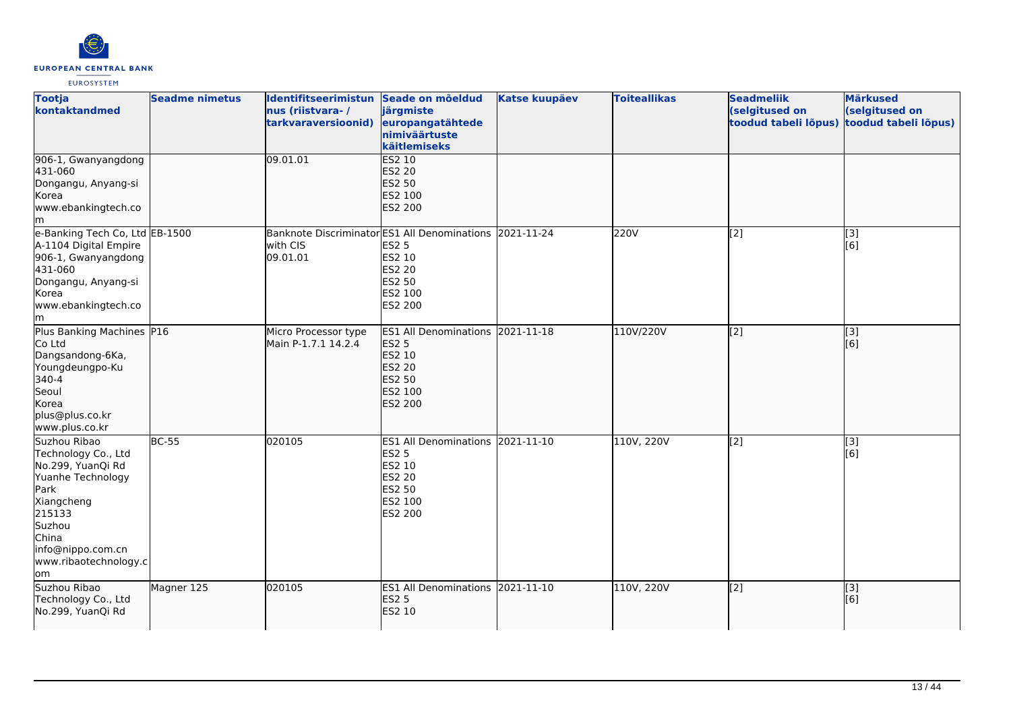

| <b>Tootja</b><br>kontaktandmed                                                                                                                                                        | <b>Seadme nimetus</b> | Identifitseerimistun Seade on mõeldud<br>nus (riistvara-/<br>tarkvaraversioonid) | järgmiste<br>europangatähtede<br>nimiväärtuste<br>käitlemiseks                                                                     | <b>Katse kuupäev</b> | <b>Toiteallikas</b> | <b>Seadmeliik</b><br>(selgitused on<br>toodud tabeli lõpus) | <b>Märkused</b><br>(selgitused on<br>toodud tabeli lõpus) |
|---------------------------------------------------------------------------------------------------------------------------------------------------------------------------------------|-----------------------|----------------------------------------------------------------------------------|------------------------------------------------------------------------------------------------------------------------------------|----------------------|---------------------|-------------------------------------------------------------|-----------------------------------------------------------|
| 906-1, Gwanyangdong<br>431-060<br>Dongangu, Anyang-si<br>Korea<br>www.ebankingtech.co<br>Im                                                                                           |                       | 09.01.01                                                                         | <b>ES2 10</b><br><b>ES2 20</b><br>ES2 50<br>ES2 100<br><b>ES2 200</b>                                                              |                      |                     |                                                             |                                                           |
| e-Banking Tech Co, Ltd EB-1500<br>A-1104 Digital Empire<br>906-1, Gwanyangdong<br>431-060<br>Dongangu, Anyang-si<br>Korea<br>www.ebankingtech.co<br>lm                                |                       | with CIS<br>09.01.01                                                             | Banknote Discriminator ES1 All Denominations 2021-11-24<br><b>ES2 5</b><br>ES2 10<br><b>ES2 20</b><br>ES2 50<br>ES2 100<br>ES2 200 |                      | 220V                | [2]                                                         | $[3]$<br>[6]                                              |
| Plus Banking Machines P16<br>Co Ltd<br>Dangsandong-6Ka,<br>Youngdeungpo-Ku<br>340-4<br>Seoul<br>Korea<br>plus@plus.co.kr<br>www.plus.co.kr                                            |                       | Micro Processor type<br>Main P-1.7.1 14.2.4                                      | ES1 All Denominations 2021-11-18<br><b>ES2 5</b><br>ES2 10<br><b>ES2 20</b><br>ES2 50<br>ES2 100<br><b>ES2 200</b>                 |                      | 110V/220V           | $\overline{[2]}$                                            | [3]<br>[6]                                                |
| Suzhou Ribao<br>Technology Co., Ltd<br>No.299, YuanQi Rd<br>Yuanhe Technology<br>Park<br>Xiangcheng<br>215133<br>Suzhou<br>China<br>info@nippo.com.cn<br>www.ribaotechnology.c<br>lom | $BC-55$               | 020105                                                                           | ES1 All Denominations 2021-11-10<br><b>ES2 5</b><br>ES2 10<br><b>ES2 20</b><br>ES2 50<br>ES2 100<br>ES2 200                        |                      | 110V, 220V          | [2]                                                         | $[3]$<br>[6]                                              |
| Suzhou Ribao<br>Technology Co., Ltd<br>No.299, YuanQi Rd                                                                                                                              | Magner 125            | 020105                                                                           | ES1 All Denominations 2021-11-10<br><b>ES2 5</b><br>ES2 10                                                                         |                      | 110V, 220V          | $\overline{[2]}$                                            | $\overline{[}$ [3]<br>[6]                                 |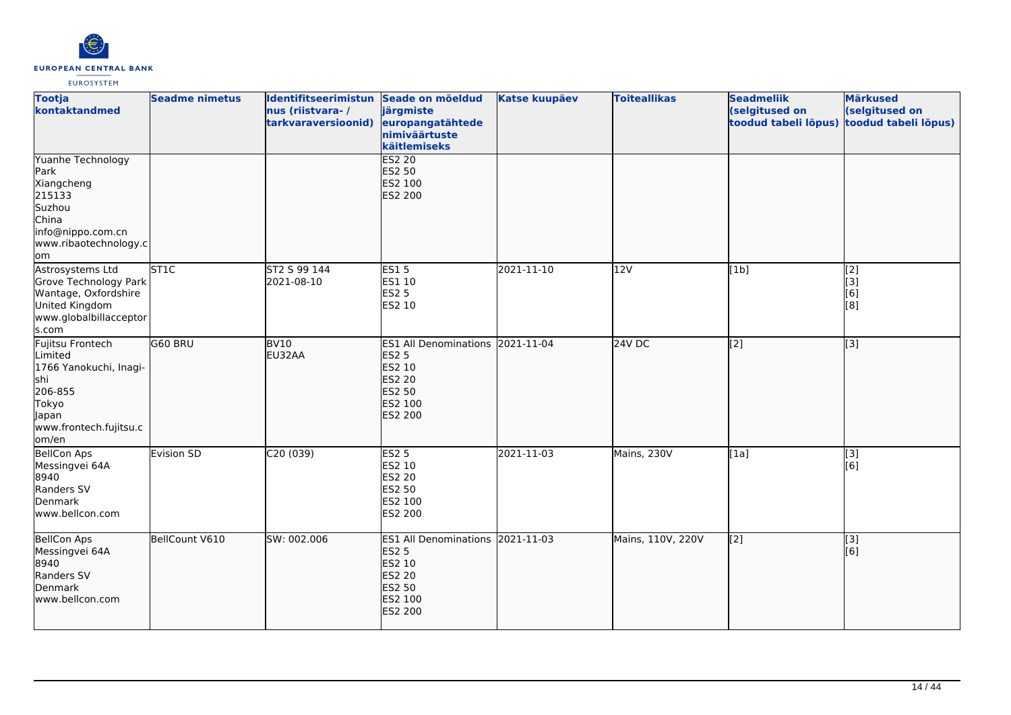

| <b>Tootja</b><br>kontaktandmed                                                                                                       | <b>Seadme nimetus</b> | Identifitseerimistun Seade on mõeldud<br>nus (riistvara-/<br>tarkvaraversioonid) | järgmiste<br>europangatähtede<br>nimiväärtuste<br>käitlemiseks                                                            | <b>Katse kuupäev</b> | <b>Toiteallikas</b> | <b>Seadmeliik</b><br>(selgitused on<br>toodud tabeli lõpus) | <b>Märkused</b><br>(selgitused on<br>toodud tabeli lõpus) |
|--------------------------------------------------------------------------------------------------------------------------------------|-----------------------|----------------------------------------------------------------------------------|---------------------------------------------------------------------------------------------------------------------------|----------------------|---------------------|-------------------------------------------------------------|-----------------------------------------------------------|
| Yuanhe Technology<br>Park<br>Xiangcheng<br>215133<br>Suzhou<br>China<br>info@nippo.com.cn<br>www.ribaotechnology.c<br>om,            |                       |                                                                                  | <b>ES2 20</b><br><b>ES2 50</b><br>ES2 100<br>ES2 200                                                                      |                      |                     |                                                             |                                                           |
| Astrosystems Ltd<br>Grove Technology Park<br>Wantage, Oxfordshire<br>United Kingdom<br>www.globalbillacceptor<br>s.com               | ST <sub>1C</sub>      | ST2 S 99 144<br>2021-08-10                                                       | ES15<br>ES1 10<br><b>ES2 5</b><br>ES2 10                                                                                  | 2021-11-10           | 12V                 | [1b]                                                        | [2]<br>$\begin{bmatrix} 3 \\ 6 \end{bmatrix}$<br>[8]      |
| Fujitsu Frontech<br>Limited<br>1766 Yanokuchi, Inagi-<br><b>s</b> hi<br>206-855<br>Tokyo<br>Japan<br>www.frontech.fujitsu.c<br>om/en | G60 BRU               | BV <sub>10</sub><br>EU32AA                                                       | ES1 All Denominations 2021-11-04<br><b>ES2 5</b><br>ES2 10<br>ES2 20<br>ES2 50<br>ES2 100<br><b>ES2 200</b>               |                      | $24V$ DC            | $\overline{[2]}$                                            | $\overline{[}3]$                                          |
| <b>BellCon Aps</b><br>Messingvei 64A<br>8940<br>Randers SV<br>Denmark<br>www.bellcon.com                                             | Evision SD            | C20(039)                                                                         | <b>ES2 5</b><br>ES2 10<br>ES2 20<br>ES2 50<br>ES2 100<br>ES2 200                                                          | 2021-11-03           | Mains, 230V         | [1a]                                                        | [3]<br>[6]                                                |
| <b>BellCon Aps</b><br>Messingvei 64A<br>8940<br>Randers SV<br>Denmark<br>www.bellcon.com                                             | BellCount V610        | SW: 002.006                                                                      | ES1 All Denominations 2021-11-03<br><b>ES2 5</b><br><b>ES2 10</b><br><b>ES2 20</b><br>ES2 50<br>ES2 100<br><b>ES2 200</b> |                      | Mains, 110V, 220V   | $\sqrt{2}$                                                  | [3]<br>[6]                                                |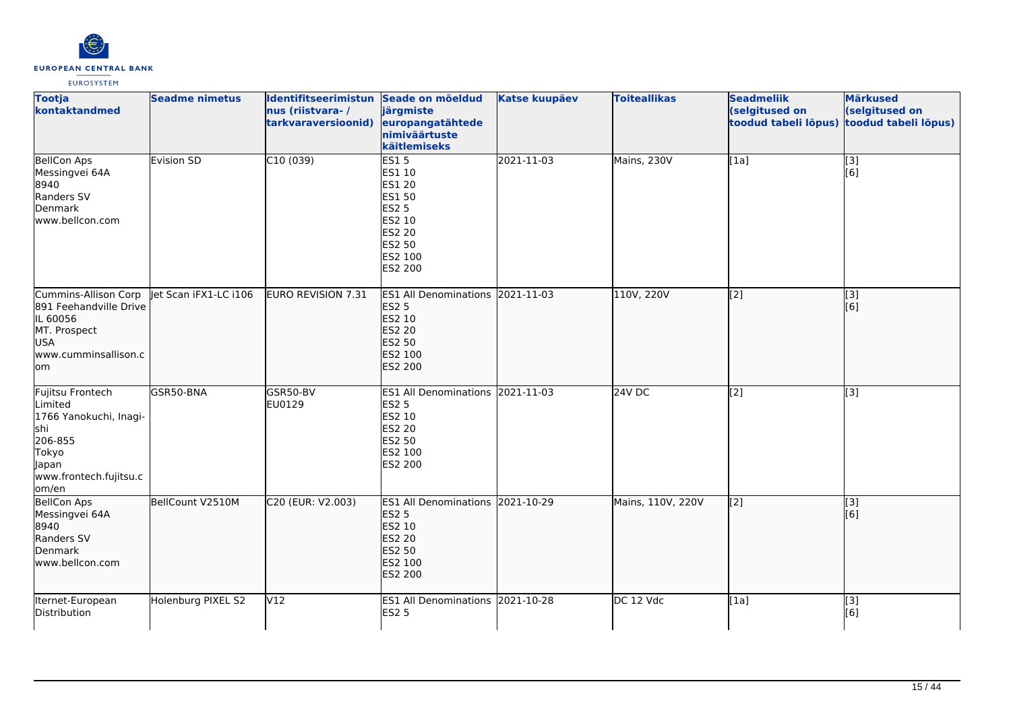

| <b>Tootja</b><br>kontaktandmed                                                                                               | <b>Seadme nimetus</b> | Identifitseerimistun Seade on mõeldud<br>nus (riistvara-/<br>tarkvaraversioonid) | järgmiste<br>europangatähtede<br>nimiväärtuste<br>käitlemiseks                                                     | <b>Katse kuupäev</b> | <b>Toiteallikas</b> | <b>Seadmeliik</b><br>(selgitused on<br>toodud tabeli lõpus) | <b>Märkused</b><br>(selgitused on<br>toodud tabeli lõpus) |
|------------------------------------------------------------------------------------------------------------------------------|-----------------------|----------------------------------------------------------------------------------|--------------------------------------------------------------------------------------------------------------------|----------------------|---------------------|-------------------------------------------------------------|-----------------------------------------------------------|
| <b>BellCon Aps</b><br>Messingvei 64A<br>8940<br>Randers SV<br>Denmark<br>www.bellcon.com                                     | Evision SD            | C10(039)                                                                         | <b>ES15</b><br>ES1 10<br>ES1 20<br>ES1 50<br><b>ES2 5</b><br>ES2 10<br>ES2 20<br>ES2 50<br>ES2 100<br>ES2 200      | 2021-11-03           | Mains, 230V         | [1a]                                                        | $\begin{bmatrix} 3 \\ 6 \end{bmatrix}$                    |
| Cummins-Allison Corp<br>891 Feehandville Drive<br>IL 60056<br>MT. Prospect<br>USA<br>www.cumminsallison.c<br>om              | let Scan iFX1-LC i106 | EURO REVISION 7.31                                                               | ES1 All Denominations 2021-11-03<br><b>ES2 5</b><br>ES2 10<br><b>ES2 20</b><br>ES2 50<br>ES2 100<br>ES2 200        |                      | 110V, 220V          | [[2]                                                        | $\overline{[}3]$<br>[6]                                   |
| Fujitsu Frontech<br>Limited<br>1766 Yanokuchi, Inagi-<br>shi<br>206-855<br>Tokyo<br>Japan<br>www.frontech.fujitsu.c<br>om/en | GSR50-BNA             | GSR50-BV<br>EU0129                                                               | ES1 All Denominations 2021-11-03<br><b>ES2 5</b><br>ES2 10<br>ES2 20<br>ES2 50<br>ES2 100<br>ES2 200               |                      | 24V DC              | $\overline{[2]}$                                            | $\overline{[3]}$                                          |
| <b>BellCon Aps</b><br>Messingvei 64A<br>8940<br>Randers SV<br>Denmark<br>www.bellcon.com                                     | BellCount V2510M      | C20 (EUR: V2.003)                                                                | ES1 All Denominations 2021-10-29<br><b>ES2 5</b><br>ES2 10<br><b>ES2 20</b><br><b>ES2 50</b><br>ES2 100<br>ES2 200 |                      | Mains, 110V, 220V   | [[2]                                                        | $\overline{[}3]$<br>[6]                                   |
| Iternet-European<br>Distribution                                                                                             | Holenburg PIXEL S2    | V12                                                                              | ES1 All Denominations 2021-10-28<br><b>ES2 5</b>                                                                   |                      | DC 12 Vdc           | [1a]                                                        | $\overline{[3]}$<br>[6]                                   |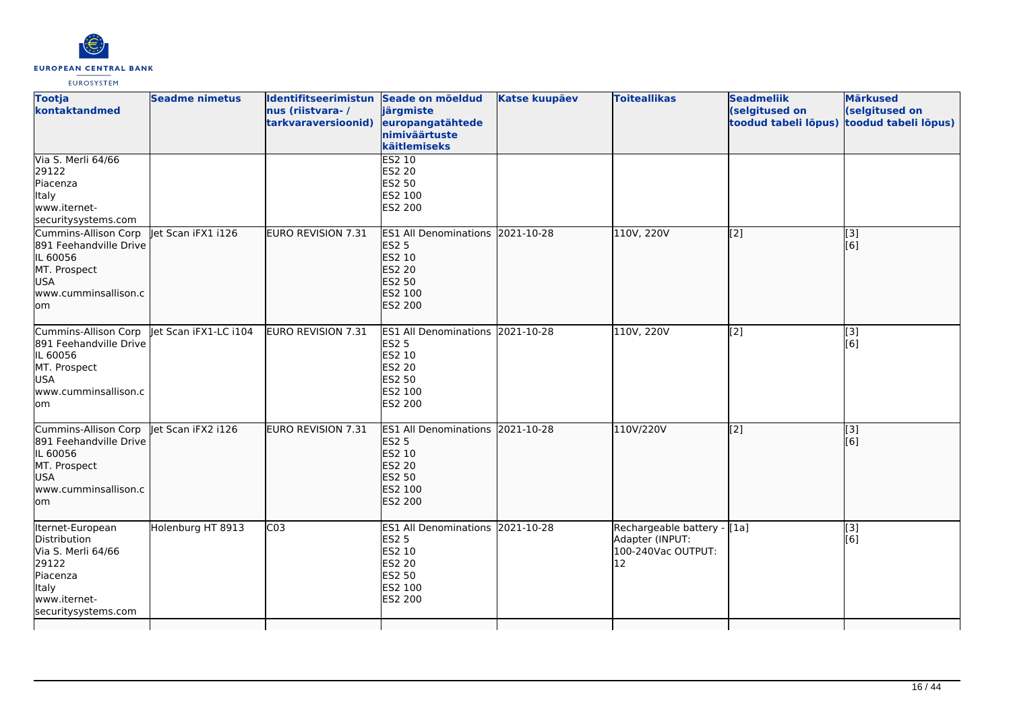

| <b>Tootja</b><br>kontaktandmed                                                                                                     | <b>Seadme nimetus</b> | Identifitseerimistun Seade on mõeldud<br>nus (riistvara-/<br>tarkvaraversioonid) | järgmiste<br>europangatähtede<br>nimiväärtuste<br>käitlemiseks                                                            | <b>Katse kuupäev</b> | <b>Toiteallikas</b>                                                        | <b>Seadmeliik</b><br>(selgitused on<br>toodud tabeli lõpus) | <b>Märkused</b><br>(selgitused on<br>toodud tabeli lõpus) |
|------------------------------------------------------------------------------------------------------------------------------------|-----------------------|----------------------------------------------------------------------------------|---------------------------------------------------------------------------------------------------------------------------|----------------------|----------------------------------------------------------------------------|-------------------------------------------------------------|-----------------------------------------------------------|
| Via S. Merli 64/66<br>29122<br>Piacenza<br>Italy<br>www.iternet-<br>securitysystems.com                                            |                       |                                                                                  | ES2 10<br><b>ES2 20</b><br>ES2 50<br>ES2 100<br>ES2 200                                                                   |                      |                                                                            |                                                             |                                                           |
| Cummins-Allison Corp<br>891 Feehandville Drive<br>IL 60056<br>MT. Prospect<br><b>USA</b><br>lwww.cumminsallison.c<br>lom           | let Scan iFX1 i126    | <b>EURO REVISION 7.31</b>                                                        | ES1 All Denominations 2021-10-28<br><b>ES2 5</b><br>ES2 10<br><b>ES2 20</b><br>ES2 50<br>ES2 100<br>ES2 200               |                      | 110V, 220V                                                                 | $\overline{[2]}$                                            | [3]<br>[6]                                                |
| Cummins-Allison Corp<br>891 Feehandville Drive<br>IL 60056<br>MT. Prospect<br><b>USA</b><br>www.cumminsallison.c<br>lom            | let Scan iFX1-LC i104 | EURO REVISION 7.31                                                               | ES1 All Denominations 2021-10-28<br><b>ES2 5</b><br><b>ES2 10</b><br><b>ES2 20</b><br>ES2 50<br>ES2 100<br>ES2 200        |                      | 110V, 220V                                                                 | $\left[2\right]$                                            | [3]<br>[6]                                                |
| Cummins-Allison Corp<br>891 Feehandville Drive<br>IL 60056<br>MT. Prospect<br><b>USA</b><br>www.cumminsallison.c<br>lom            | llet Scan iFX2 i126   | EURO REVISION 7.31                                                               | ES1 All Denominations 2021-10-28<br><b>ES2 5</b><br><b>ES2 10</b><br><b>ES2 20</b><br><b>ES2 50</b><br>ES2 100<br>ES2 200 |                      | 110V/220V                                                                  | $\overline{[2]}$                                            | $\left[ \begin{matrix} 3 \end{matrix} \right]$<br>[6]     |
| Iternet-European<br>Distribution<br>Via S. Merli 64/66<br>29122<br>Piacenza<br><b>Italy</b><br>www.iternet-<br>securitysystems.com | Holenburg HT 8913     | CO <sub>3</sub>                                                                  | ES1 All Denominations 2021-10-28<br><b>ES2 5</b><br>ES2 10<br>ES2 20<br><b>ES2 50</b><br>ES2 100<br>ES2 200               |                      | Rechargeable battery - [1a]<br>Adapter (INPUT:<br>100-240Vac OUTPUT:<br>12 |                                                             | [3]<br>[6]                                                |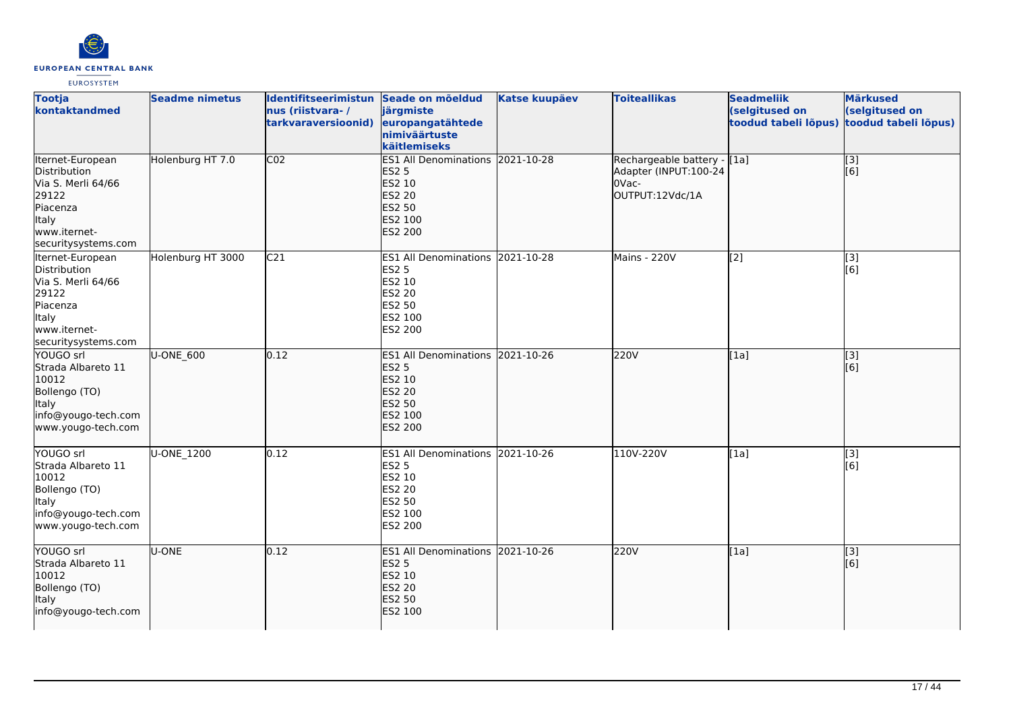

| <b>Tootja</b><br>kontaktandmed                                                                                              | <b>Seadme nimetus</b> | Identifitseerimistun Seade on mõeldud<br>nus (riistvara-/<br>tarkvaraversioonid) | järgmiste<br>europangatähtede<br>nimiväärtuste<br>käitlemiseks                                                     | <b>Katse kuupäev</b> | <b>Toiteallikas</b>                                                               | <b>Seadmeliik</b><br>(selgitused on<br>toodud tabeli lõpus) | <b>Märkused</b><br>(selgitused on<br>toodud tabeli lõpus) |
|-----------------------------------------------------------------------------------------------------------------------------|-----------------------|----------------------------------------------------------------------------------|--------------------------------------------------------------------------------------------------------------------|----------------------|-----------------------------------------------------------------------------------|-------------------------------------------------------------|-----------------------------------------------------------|
| Iternet-European<br>Distribution<br>Via S. Merli 64/66<br>29122<br>Piacenza<br>Italy<br>www.iternet-<br>securitysystems.com | Holenburg HT 7.0      | CO <sub>2</sub>                                                                  | <b>ES1 All Denominations</b><br><b>ES2 5</b><br>ES2 10<br>ES2 20<br><b>ES2 50</b><br>ES2 100<br><b>ES2 200</b>     | 2021-10-28           | Rechargeable battery - [[1a]<br>Adapter (INPUT:100-24<br>OVac-<br>OUTPUT:12Vdc/1A |                                                             | [3]<br>[6]                                                |
| Iternet-European<br>Distribution<br>Via S. Merli 64/66<br>29122<br>Piacenza<br>Italy<br>www.iternet-<br>securitysystems.com | Holenburg HT 3000     | C <sub>21</sub>                                                                  | ES1 All Denominations 2021-10-28<br><b>ES2 5</b><br>ES2 10<br>ES2 20<br>ES2 50<br>ES2 100<br>ES2 200               |                      | Mains - 220V                                                                      | $\overline{[2]}$                                            | $\overline{[3]}$<br>[6]                                   |
| YOUGO srl<br>Strada Albareto 11<br>10012<br>Bollengo (TO)<br>Italy<br>info@yougo-tech.com<br>www.yougo-tech.com             | U-ONE_600             | 0.12                                                                             | ES1 All Denominations 2021-10-26<br><b>ES2 5</b><br>ES2 10<br><b>ES2 20</b><br>ES2 50<br>ES2 100<br><b>ES2 200</b> |                      | 220V                                                                              | [1a]                                                        | $\vert$ [3]<br>[6]                                        |
| YOUGO srl<br>Strada Albareto 11<br>10012<br>Bollengo (TO)<br>Italy<br>info@yougo-tech.com<br>www.yougo-tech.com             | U-ONE_1200            | 0.12                                                                             | ES1 All Denominations 2021-10-26<br><b>ES2 5</b><br>ES2 10<br>ES2 20<br>ES2 50<br>ES2 100<br>ES2 200               |                      | 110V-220V                                                                         | [1a]                                                        | [3]<br>[6]                                                |
| YOUGO srl<br>Strada Albareto 11<br>10012<br>Bollengo (TO)<br>Italy<br>info@yougo-tech.com                                   | <b>U-ONE</b>          | 0.12                                                                             | ES1 All Denominations 2021-10-26<br><b>ES2 5</b><br>ES2 10<br>ES2 20<br>ES2 50<br>ES2 100                          |                      | 220V                                                                              | [1a]                                                        | $\left[ \begin{matrix} 3 \end{matrix} \right]$<br>[6]     |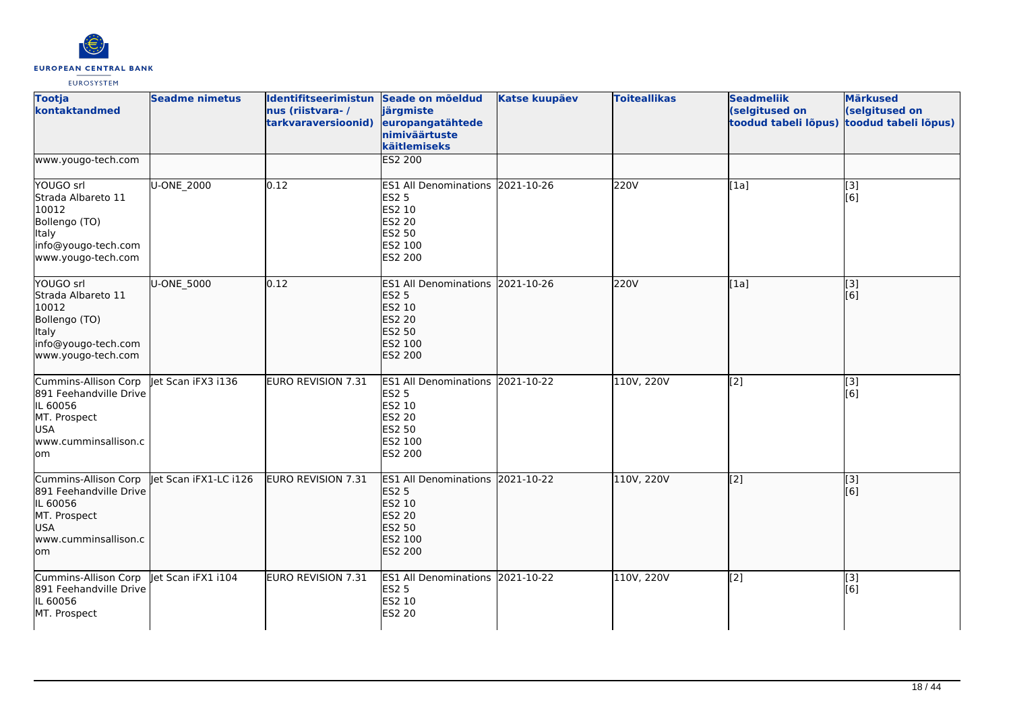

| <b>Tootja</b><br>kontaktandmed                                                                                           | <b>Seadme nimetus</b> | Identifitseerimistun Seade on mõeldud<br>nus (riistvara-/<br>tarkvaraversioonid) | järgmiste<br>europangatähtede<br>nimiväärtuste<br>käitlemiseks                                                     | <b>Katse kuupäev</b> | <b>Toiteallikas</b> | <b>Seadmeliik</b><br>(selgitused on<br>toodud tabeli lõpus) | <b>Märkused</b><br>(selgitused on<br>toodud tabeli lõpus) |
|--------------------------------------------------------------------------------------------------------------------------|-----------------------|----------------------------------------------------------------------------------|--------------------------------------------------------------------------------------------------------------------|----------------------|---------------------|-------------------------------------------------------------|-----------------------------------------------------------|
| www.yougo-tech.com                                                                                                       |                       |                                                                                  | <b>ES2 200</b>                                                                                                     |                      |                     |                                                             |                                                           |
| YOUGO srl<br>Strada Albareto 11<br>10012<br>Bollengo (TO)<br>Italy<br>info@yougo-tech.com<br>www.yougo-tech.com          | U-ONE_2000            | 0.12                                                                             | ES1 All Denominations 2021-10-26<br>ES2 5<br>ES2 10<br>ES2 20<br>ES2 50<br>ES2 100<br>ES2 200                      |                      | 220V                | [1a]                                                        | $\overline{[3]}$<br>[6]                                   |
| YOUGO srl<br>Strada Albareto 11<br>10012<br>Bollengo (TO)<br>ltaly<br>info@yougo-tech.com<br>www.yougo-tech.com          | U-ONE 5000            | 0.12                                                                             | ES1 All Denominations 2021-10-26<br><b>ES2 5</b><br>ES2 10<br>ES2 20<br><b>ES2 50</b><br>ES2 100<br><b>ES2 200</b> |                      | 220V                | [1a]                                                        | [3]<br>[6]                                                |
| Cummins-Allison Corp<br>891 Feehandville Drive<br>IL 60056<br>MT. Prospect<br><b>USA</b><br>www.cumminsallison.c<br>lom  | let Scan iFX3 i136    | EURO REVISION 7.31                                                               | <b>ES1 All Denominations</b><br><b>ES2 5</b><br>ES2 10<br>ES2 20<br>ES2 50<br>ES2 100<br>ES2 200                   | 2021-10-22           | 110V, 220V          | [2]                                                         | [3]<br>[6]                                                |
| Cummins-Allison Corp<br>891 Feehandville Drive<br>IL 60056<br>MT. Prospect<br><b>USA</b><br>www.cumminsallison.c<br>lom. | Jet Scan iFX1-LC i126 | EURO REVISION 7.31                                                               | ES1 All Denominations 2021-10-22<br><b>ES2 5</b><br>ES2 10<br><b>ES2 20</b><br><b>ES2 50</b><br>ES2 100<br>ES2 200 |                      | 110V, 220V          | [2]                                                         | [3]<br>[6]                                                |
| Cummins-Allison Corp<br>891 Feehandville Drive<br>IL 60056<br>MT. Prospect                                               | Jet Scan iFX1 i104    | EURO REVISION 7.31                                                               | ES1 All Denominations 2021-10-22<br><b>ES2 5</b><br>ES2 10<br><b>ES2 20</b>                                        |                      | 110V, 220V          | [2]                                                         | [3]<br>[6]                                                |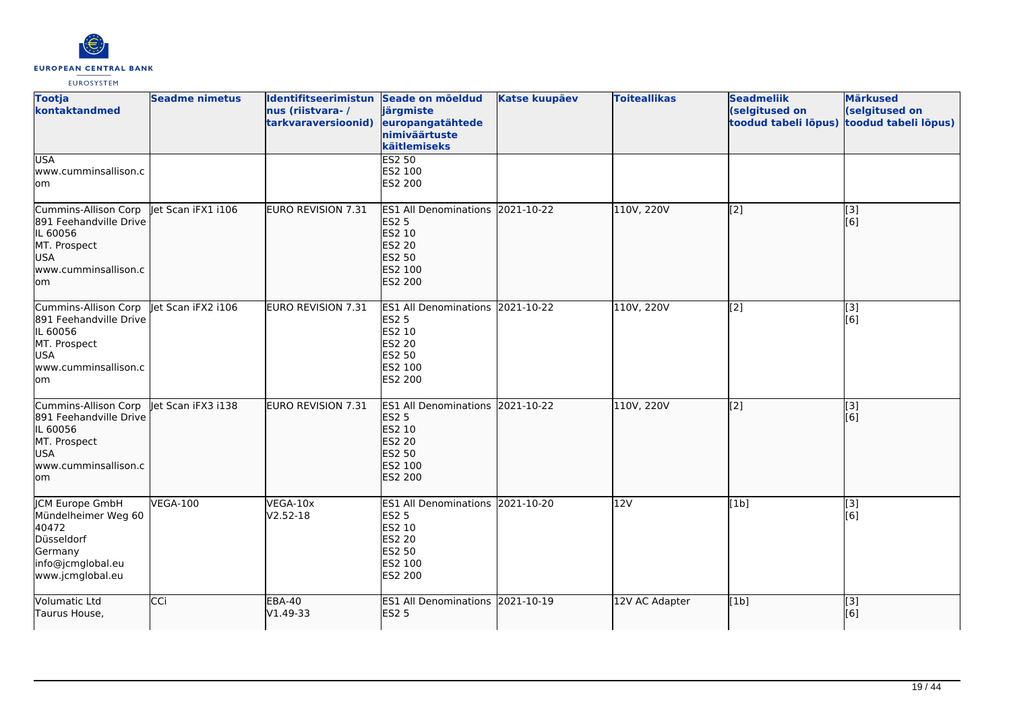

| <b>Tootja</b><br>kontaktandmed                                                                                           | <b>Seadme nimetus</b> | Identifitseerimistun Seade on mõeldud<br>nus (riistvara-/<br>tarkvaraversioonid) | järgmiste<br>europangatähtede<br>nimiväärtuste<br>käitlemiseks                                                     | <b>Katse kuupäev</b> | <b>Toiteallikas</b> | <b>Seadmeliik</b><br>(selgitused on<br>toodud tabeli lõpus) | <b>Märkused</b><br>(selgitused on<br>toodud tabeli lõpus) |
|--------------------------------------------------------------------------------------------------------------------------|-----------------------|----------------------------------------------------------------------------------|--------------------------------------------------------------------------------------------------------------------|----------------------|---------------------|-------------------------------------------------------------|-----------------------------------------------------------|
| <b>USA</b><br>www.cumminsallison.c<br>lom                                                                                |                       |                                                                                  | ES2 50<br>ES2 100<br>ES2 200                                                                                       |                      |                     |                                                             |                                                           |
| Cummins-Allison Corp<br>891 Feehandville Drive<br>IL 60056<br>MT. Prospect<br>USA<br>www.cumminsallison.c<br>lom         | let Scan iFX1 i106    | EURO REVISION 7.31                                                               | ES1 All Denominations 2021-10-22<br><b>ES2 5</b><br>ES2 10<br><b>ES2 20</b><br><b>ES2 50</b><br>ES2 100<br>ES2 200 |                      | 110V, 220V          | [2]                                                         | [3]<br>[6]                                                |
| Cummins-Allison Corp<br>891 Feehandville Drive<br>IL 60056<br>MT. Prospect<br><b>USA</b><br>www.cumminsallison.c<br>lom. | let Scan iFX2 i106    | <b>EURO REVISION 7.31</b>                                                        | ES1 All Denominations 2021-10-22<br><b>ES2 5</b><br>ES2 10<br>ES2 20<br>ES2 50<br>ES2 100<br>ES2 200               |                      | 110V, 220V          | [2]                                                         | [3]<br>[6]                                                |
| Cummins-Allison Corp<br>891 Feehandville Drive<br>IL 60056<br>MT. Prospect<br><b>USA</b><br>lwww.cumminsallison.c<br>lom | let Scan iFX3 i138    | EURO REVISION 7.31                                                               | ES1 All Denominations 2021-10-22<br><b>ES2 5</b><br>ES2 10<br>ES2 20<br><b>ES2 50</b><br>ES2 100<br><b>ES2 200</b> |                      | 110V, 220V          | [2]                                                         | [3]<br>[6]                                                |
| JCM Europe GmbH<br>Mündelheimer Weg 60<br>40472<br>Düsseldorf<br>Germany<br>info@jcmglobal.eu<br>www.jcmglobal.eu        | <b>VEGA-100</b>       | VEGA-10x<br>V2.52-18                                                             | ES1 All Denominations 2021-10-20<br><b>ES2 5</b><br>ES2 10<br>ES2 20<br>ES2 50<br>ES2 100<br>ES2 200               |                      | 12V                 | [1b]                                                        | [3]<br>[6]                                                |
| Volumatic Ltd<br>Taurus House,                                                                                           | CCi                   | <b>EBA-40</b><br>V1.49-33                                                        | ES1 All Denominations 2021-10-19<br><b>ES2 5</b>                                                                   |                      | 12V AC Adapter      | [1b]                                                        | $\overline{[}$ [3]<br>[6]                                 |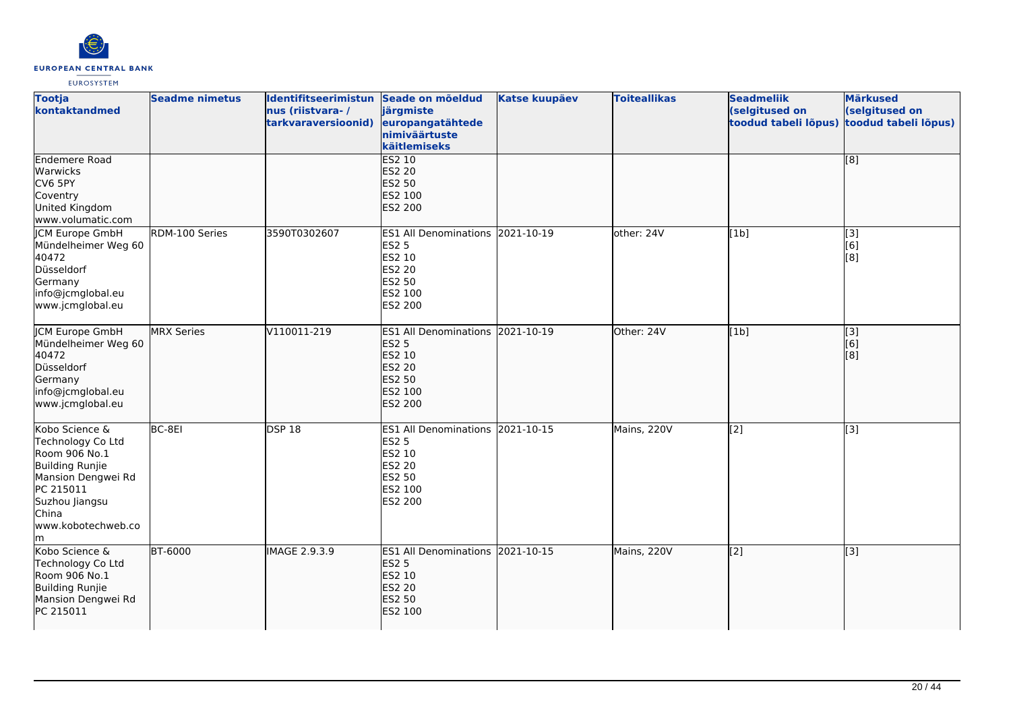

| <b>Tootja</b><br>kontaktandmed                                                                                                                                           | <b>Seadme nimetus</b> | Identifitseerimistun Seade on mõeldud<br>nus (riistvara-/<br>tarkvaraversioonid) | järgmiste<br>europangatähtede<br>nimiväärtuste<br>käitlemiseks                                                     | <b>Katse kuupäev</b> | <b>Toiteallikas</b> | <b>Seadmeliik</b><br>(selgitused on<br>toodud tabeli lõpus) | <b>Märkused</b><br>(selgitused on<br>toodud tabeli lõpus) |
|--------------------------------------------------------------------------------------------------------------------------------------------------------------------------|-----------------------|----------------------------------------------------------------------------------|--------------------------------------------------------------------------------------------------------------------|----------------------|---------------------|-------------------------------------------------------------|-----------------------------------------------------------|
| Endemere Road<br>Warwicks<br>CV6 5PY<br>Coventry<br>United Kingdom<br>www.volumatic.com                                                                                  |                       |                                                                                  | <b>ES2 10</b><br><b>ES2 20</b><br>ES2 50<br>ES2 100<br>ES2 200                                                     |                      |                     |                                                             | $\overline{[8]}$                                          |
| JCM Europe GmbH<br>Mündelheimer Weg 60<br>40472<br>Düsseldorf<br>Germany<br>info@jcmglobal.eu<br>www.jcmglobal.eu                                                        | RDM-100 Series        | 3590T0302607                                                                     | ES1 All Denominations 2021-10-19<br><b>ES2 5</b><br>ES2 10<br>ES2 20<br>ES2 50<br>ES2 100<br>ES2 200               |                      | other: 24V          | [1b]                                                        | [3]<br>[6]<br>[8]                                         |
| <b>ICM Europe GmbH</b><br>Mündelheimer Weg 60<br>40472<br>Düsseldorf<br>Germany<br>info@jcmglobal.eu<br>www.jcmglobal.eu                                                 | <b>MRX</b> Series     | V110011-219                                                                      | ES1 All Denominations 2021-10-19<br><b>ES2 5</b><br>ES2 10<br><b>ES2 20</b><br><b>ES2 50</b><br>ES2 100<br>ES2 200 |                      | Other: 24V          | [1b]                                                        | [3]<br>[6]<br>[8]                                         |
| Kobo Science &<br>Technology Co Ltd<br>Room 906 No.1<br><b>Building Runjie</b><br>Mansion Dengwei Rd<br>PC 215011<br>Suzhou Jiangsu<br>China<br>www.kobotechweb.co<br>lm | BC-8EI                | <b>DSP 18</b>                                                                    | ES1 All Denominations 2021-10-15<br>ES2 5<br>ES2 10<br>ES2 20<br>ES2 50<br>ES2 100<br>ES2 200                      |                      | Mains, 220V         | $\overline{[2]}$                                            | [3]                                                       |
| Kobo Science &<br>Technology Co Ltd<br>Room 906 No.1<br><b>Building Runjie</b><br>Mansion Dengwei Rd<br>PC 215011                                                        | <b>BT-6000</b>        | <b>IMAGE 2.9.3.9</b>                                                             | ES1 All Denominations 2021-10-15<br><b>ES2 5</b><br>ES2 10<br><b>ES2 20</b><br>ES2 50<br>ES2 100                   |                      | Mains, 220V         | $\left[2\right]$                                            | $\left[ \begin{matrix} 3 \end{matrix} \right]$            |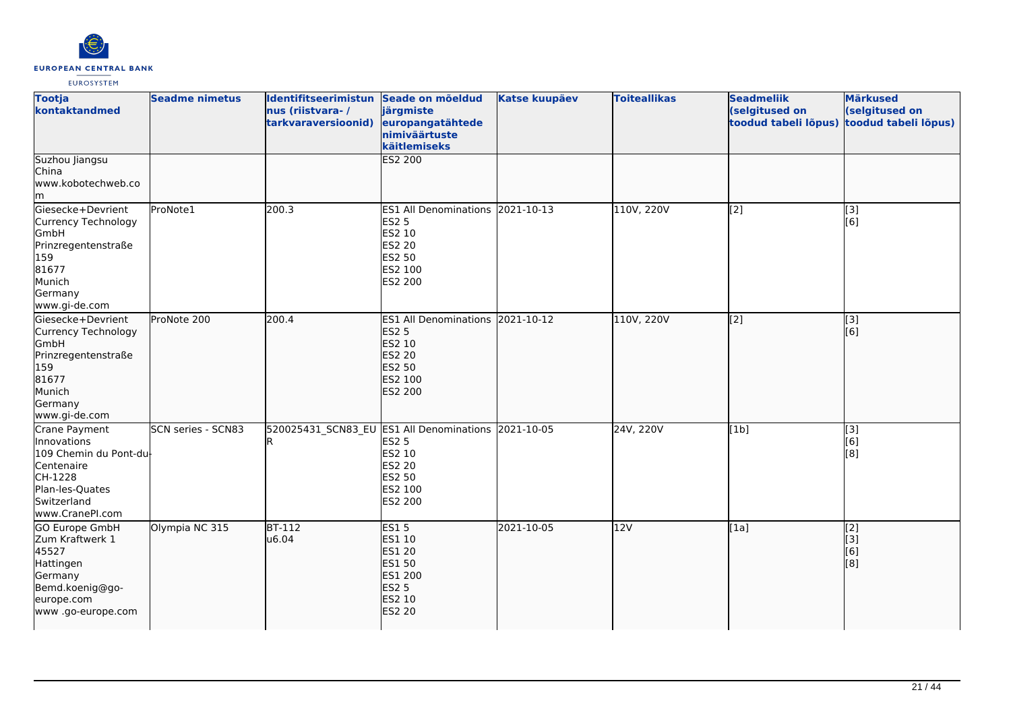

| <b>Tootja</b><br>kontaktandmed                                                                                                       | <b>Seadme nimetus</b>     | Identifitseerimistun Seade on mõeldud<br>nus (riistvara-/<br>tarkvaraversioonid) | järgmiste<br>europangatähtede<br>nimiväärtuste<br>käitlemiseks                                                          | <b>Katse kuupäev</b> | <b>Toiteallikas</b> | <b>Seadmeliik</b><br>(selgitused on<br>toodud tabeli lõpus) | <b>Märkused</b><br>(selgitused on<br>toodud tabeli lõpus) |
|--------------------------------------------------------------------------------------------------------------------------------------|---------------------------|----------------------------------------------------------------------------------|-------------------------------------------------------------------------------------------------------------------------|----------------------|---------------------|-------------------------------------------------------------|-----------------------------------------------------------|
| Suzhou Jiangsu<br>China<br>www.kobotechweb.co<br>m                                                                                   |                           |                                                                                  | <b>ES2 200</b>                                                                                                          |                      |                     |                                                             |                                                           |
| Giesecke+Devrient<br>Currency Technology<br>GmbH<br>Prinzregentenstraße<br>159<br>81677<br>Munich<br>Germany<br>www.gi-de.com        | ProNote1                  | 200.3                                                                            | <b>ES1 All Denominations</b><br><b>ES2 5</b><br>ES2 10<br>ES2 20<br><b>ES2 50</b><br>ES2 100<br>ES2 200                 | 2021-10-13           | 110V, 220V          | [2]                                                         | [3]<br>[6]                                                |
| Giesecke+Devrient<br>Currency Technology<br>GmbH<br>Prinzregentenstraße<br>159<br>81677<br>Munich<br>Germany<br>www.gi-de.com        | ProNote 200               | 200.4                                                                            | ES1 All Denominations 2021-10-12<br><b>ES2 5</b><br>ES2 10<br>ES2 20<br>ES2 50<br>ES2 100<br><b>ES2 200</b>             |                      | 110V, 220V          | $\overline{[2]}$                                            | $\overline{[3]}$<br>[6]                                   |
| Crane Payment<br>Innovations<br>109 Chemin du Pont-du-<br>Centenaire<br>CH-1228<br>Plan-les-Quates<br>Switzerland<br>www.CranePI.com | <b>SCN series - SCN83</b> |                                                                                  | 520025431 SCN83 EU ES1 All Denominations 2021-10-05<br><b>ES2 5</b><br>ES2 10<br>ES2 20<br>ES2 50<br>ES2 100<br>ES2 200 |                      | 24V, 220V           | [1b]                                                        | [3]<br>[6]<br>[8]                                         |
| <b>GO Europe GmbH</b><br>Zum Kraftwerk 1<br>45527<br>Hattingen<br>Germany<br>Bemd.koenig@go-<br>europe.com<br>www.go-europe.com      | Olympia NC 315            | $BT-112$<br>u6.04                                                                | <b>ES15</b><br>ES1 10<br><b>ES1 20</b><br><b>ES1 50</b><br>ES1 200<br><b>ES2 5</b><br><b>ES2 10</b><br><b>ES2 20</b>    | 2021-10-05           | 12V                 | [1a]                                                        | [2]<br>[3]<br>[6]<br>[8]                                  |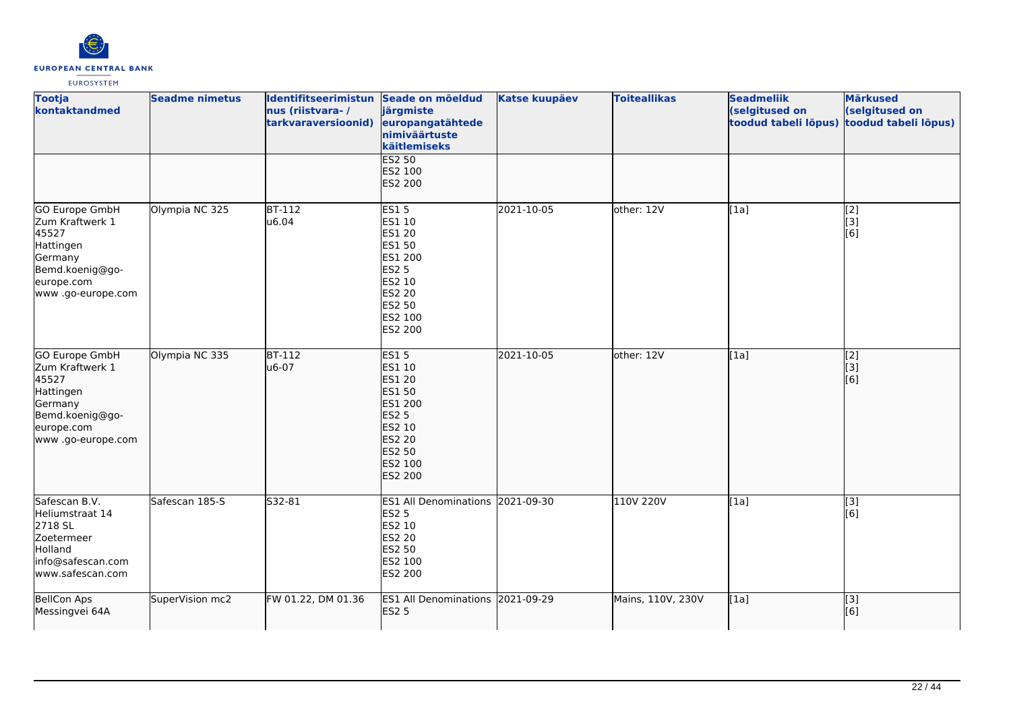

| <b>Tootja</b><br>kontaktandmed                                                                                           | <b>Seadme nimetus</b> | Identifitseerimistun Seade on mõeldud<br>nus (riistvara-/<br>tarkvaraversioonid) | järgmiste<br>europangatähtede<br>nimiväärtuste<br>käitlemiseks                                                                  | <b>Katse kuupäev</b> | <b>Toiteallikas</b> | <b>Seadmeliik</b><br>(selgitused on<br>toodud tabeli lõpus) | <b>Märkused</b><br>(selgitused on<br>toodud tabeli lõpus) |
|--------------------------------------------------------------------------------------------------------------------------|-----------------------|----------------------------------------------------------------------------------|---------------------------------------------------------------------------------------------------------------------------------|----------------------|---------------------|-------------------------------------------------------------|-----------------------------------------------------------|
|                                                                                                                          |                       |                                                                                  | <b>ES2 50</b><br>ES2 100<br>ES2 200                                                                                             |                      |                     |                                                             |                                                           |
| GO Europe GmbH<br>Zum Kraftwerk 1<br>45527<br>Hattingen<br>Germany<br>Bemd.koenig@go-<br>europe.com<br>www.go-europe.com | Olympia NC 325        | <b>BT-112</b><br>u6.04                                                           | <b>ES15</b><br>ES1 10<br>ES1 20<br>ES1 50<br>ES1 200<br><b>ES2 5</b><br>ES2 10<br>ES2 20<br>ES2 50<br>ES2 100<br>ES2 200        | 2021-10-05           | other: 12V          | [1a]                                                        | [2]<br>[3]<br>[6]                                         |
| GO Europe GmbH<br>Zum Kraftwerk 1<br>45527<br>Hattingen<br>Germany<br>Bemd.koenig@go-<br>europe.com<br>www.go-europe.com | Olympia NC 335        | $BT-112$<br>u6-07                                                                | <b>ES15</b><br>ES1 10<br>ES1 20<br>ES1 50<br>ES1 200<br><b>ES2 5</b><br>ES2 10<br><b>ES2 20</b><br>ES2 50<br>ES2 100<br>ES2 200 | 2021-10-05           | other: 12V          | [1a]                                                        | [2]<br> 3]<br>[6]                                         |
| Safescan B.V.<br>Heliumstraat 14<br>2718 SL<br>Zoetermeer<br>Holland<br>info@safescan.com<br>www.safescan.com            | Safescan 185-S        | S32-81                                                                           | ES1 All Denominations 2021-09-30<br>ES2 5<br>ES2 10<br>ES2 20<br>ES2 50<br>ES2 100<br>ES2 200                                   |                      | 110V 220V           | [1a]                                                        | $\overline{[3]}$<br>[6]                                   |
| <b>BellCon Aps</b><br>Messingvei 64A                                                                                     | SuperVision mc2       | FW 01.22, DM 01.36                                                               | ES1 All Denominations 2021-09-29<br><b>ES2 5</b>                                                                                |                      | Mains, 110V, 230V   | [1a]                                                        | [3]<br>[6]                                                |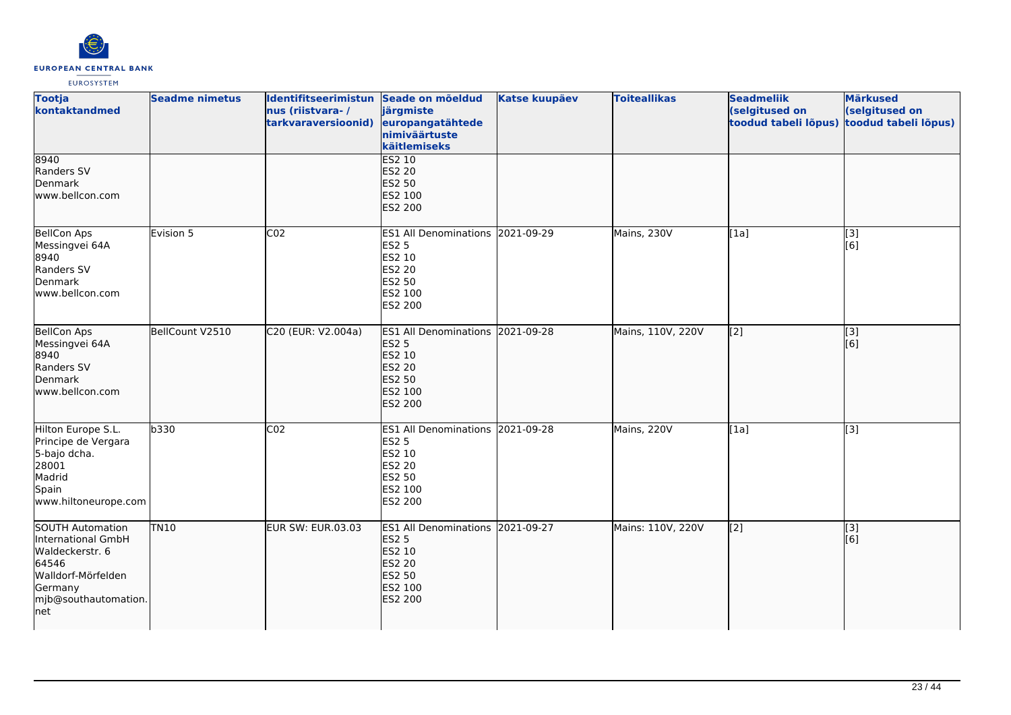

| <b>Tootja</b><br>kontaktandmed                                                                                                      | <b>Seadme nimetus</b> | Identifitseerimistun Seade on mõeldud<br>nus (riistvara-/<br>tarkvaraversioonid) | järgmiste<br>europangatähtede<br>nimiväärtuste<br>käitlemiseks                                              | <b>Katse kuupäev</b> | <b>Toiteallikas</b> | <b>Seadmeliik</b><br>(selgitused on<br>toodud tabeli lõpus) | <b>Märkused</b><br>(selgitused on<br>toodud tabeli lõpus) |
|-------------------------------------------------------------------------------------------------------------------------------------|-----------------------|----------------------------------------------------------------------------------|-------------------------------------------------------------------------------------------------------------|----------------------|---------------------|-------------------------------------------------------------|-----------------------------------------------------------|
| 8940<br>Randers SV<br>Denmark<br>www.bellcon.com                                                                                    |                       |                                                                                  | <b>ES2 10</b><br>ES2 20<br>ES2 50<br>ES2 100<br>ES2 200                                                     |                      |                     |                                                             |                                                           |
| <b>BellCon Aps</b><br>Messingvei 64A<br>8940<br>Randers SV<br>Denmark<br>lwww.bellcon.com                                           | Evision 5             | CO <sub>2</sub>                                                                  | ES1 All Denominations 2021-09-29<br><b>ES2 5</b><br>ES2 10<br>ES2 20<br>ES2 50<br>ES2 100<br>ES2 200        |                      | Mains, 230V         | [1a]                                                        | $\overline{[3]}$<br>[6]                                   |
| <b>BellCon Aps</b><br>Messingvei 64A<br>8940<br>Randers SV<br>Denmark<br>www.bellcon.com                                            | BellCount V2510       | C20 (EUR: V2.004a)                                                               | ES1 All Denominations 2021-09-28<br><b>ES2 5</b><br>ES2 10<br>ES2 20<br>ES2 50<br>ES2 100<br><b>ES2 200</b> |                      | Mains, 110V, 220V   | [[2]                                                        | [3]<br>[6]                                                |
| Hilton Europe S.L.<br>Principe de Vergara<br>5-bajo dcha.<br>28001<br>Madrid<br>Spain<br>www.hiltoneurope.com                       | b330                  | CO <sub>2</sub>                                                                  | ES1 All Denominations 2021-09-28<br>ES2 5<br>ES2 10<br>ES2 20<br>ES2 50<br>ES2 100<br>ES2 200               |                      | Mains, 220V         | [1a]                                                        | $\overline{[}3]$                                          |
| SOUTH Automation<br>International GmbH<br>Waldeckerstr. 6<br>64546<br>Walldorf-Mörfelden<br>Germany<br>mjb@southautomation.<br> net | <b>TN10</b>           | <b>EUR SW: EUR.03.03</b>                                                         | ES1 All Denominations 2021-09-27<br><b>ES2 5</b><br>ES2 10<br>ES2 20<br>ES2 50<br>ES2 100<br><b>ES2 200</b> |                      | Mains: 110V, 220V   | $\sqrt{2}$                                                  | [3]<br>[6]                                                |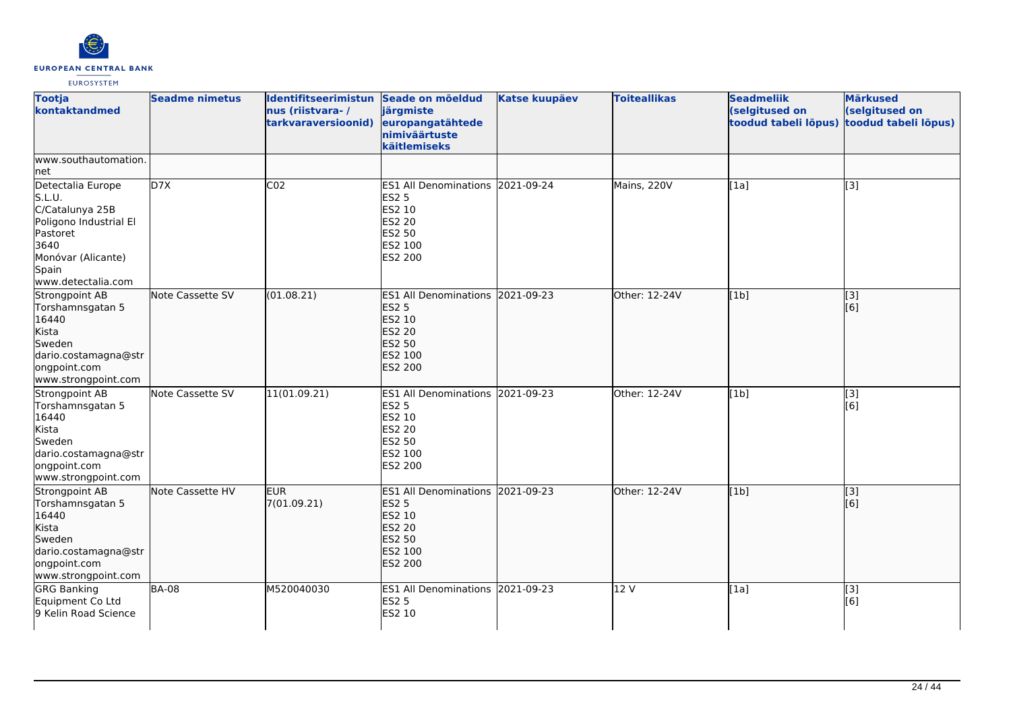

| <b>Tootja</b><br>kontaktandmed                                                                                                                    | <b>Seadme nimetus</b> | Identifitseerimistun Seade on mõeldud<br>nus (riistvara-/<br>tarkvaraversioonid) | järgmiste<br>europangatähtede<br>nimiväärtuste<br>käitlemiseks                                                            | <b>Katse kuupäev</b> | <b>Toiteallikas</b> | <b>Seadmeliik</b><br>(selgitused on<br>toodud tabeli lõpus) | <b>Märkused</b><br>(selgitused on<br>toodud tabeli lõpus) |
|---------------------------------------------------------------------------------------------------------------------------------------------------|-----------------------|----------------------------------------------------------------------------------|---------------------------------------------------------------------------------------------------------------------------|----------------------|---------------------|-------------------------------------------------------------|-----------------------------------------------------------|
| www.southautomation.<br> net                                                                                                                      |                       |                                                                                  |                                                                                                                           |                      |                     |                                                             |                                                           |
| Detectalia Europe<br>S.L.U.<br>C/Catalunya 25B<br>Poligono Industrial El<br>Pastoret<br>3640<br>Monóvar (Alicante)<br>Spain<br>www.detectalia.com | D7X                   | CO <sub>2</sub>                                                                  | ES1 All Denominations 2021-09-24<br>ES2 5<br>ES2 10<br><b>ES2 20</b><br>ES2 50<br>ES2 100<br>ES2 200                      |                      | Mains, 220V         | [1a]                                                        | $\overline{[3]}$                                          |
| Strongpoint AB<br>Torshamnsgatan 5<br>16440<br>Kista<br>Sweden<br>dario.costamagna@str<br>ongpoint.com<br>www.strongpoint.com                     | Note Cassette SV      | (01.08.21)                                                                       | <b>ES1 All Denominations</b><br><b>ES2 5</b><br>ES2 10<br><b>ES2 20</b><br><b>ES2 50</b><br>ES2 100<br><b>ES2 200</b>     | 2021-09-23           | Other: 12-24V       | [1b]                                                        | [3]<br>[6]                                                |
| Strongpoint AB<br>Torshamnsgatan 5<br>16440<br>Kista<br>Sweden<br>dario.costamagna@str<br>ongpoint.com<br>www.strongpoint.com                     | Note Cassette SV      | 11(01.09.21)                                                                     | ES1 All Denominations 2021-09-23<br><b>ES2 5</b><br>ES2 10<br><b>ES2 20</b><br><b>ES2 50</b><br>ES2 100<br>ES2 200        |                      | Other: 12-24V       | [1b]                                                        | [3]<br>[6]                                                |
| Strongpoint AB<br>Torshamnsgatan 5<br>16440<br>Kista<br>Sweden<br>dario.costamagna@str<br>ongpoint.com<br>www.strongpoint.com                     | Note Cassette HV      | <b>EUR</b><br>7(01.09.21)                                                        | ES1 All Denominations 2021-09-23<br><b>ES2 5</b><br>ES2 10<br><b>ES2 20</b><br><b>ES2 50</b><br>ES2 100<br><b>ES2 200</b> |                      | lOther: 12-24V      | [1b]                                                        | [3]<br>[6]                                                |
| <b>GRG Banking</b><br>Equipment Co Ltd<br>9 Kelin Road Science                                                                                    | <b>BA-08</b>          | M520040030                                                                       | ES1 All Denominations 2021-09-23<br><b>ES2 5</b><br>ES2 10                                                                |                      | 12V                 | [1a]                                                        | [3]<br>[6]                                                |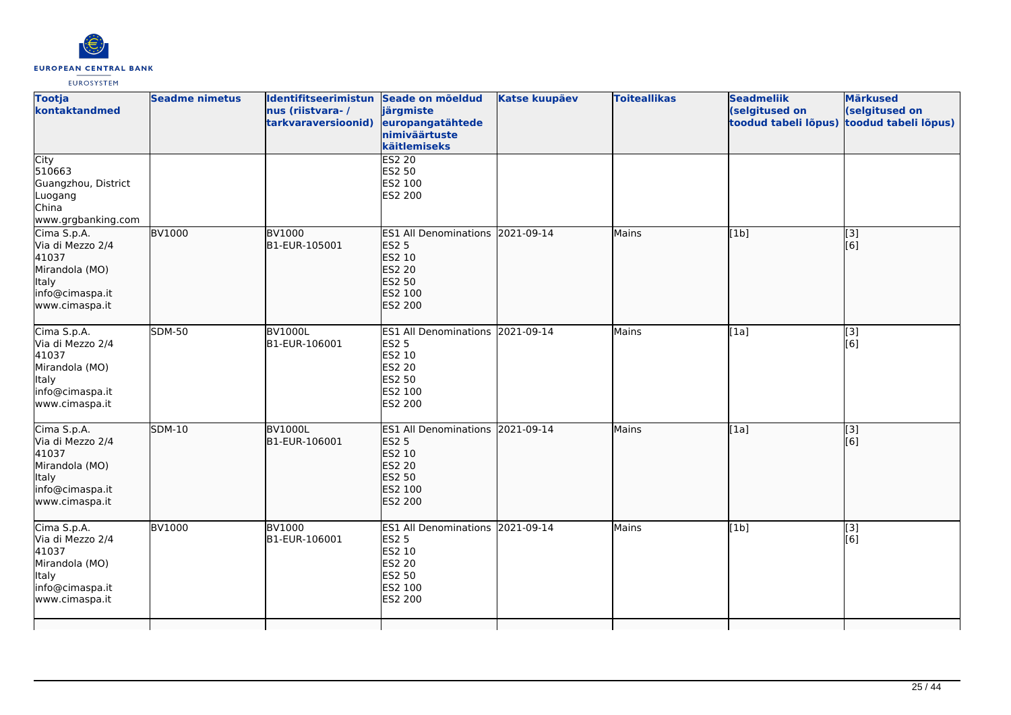

| <b>Tootja</b><br>kontaktandmed                                                                           | <b>Seadme nimetus</b> | Identifitseerimistun Seade on mõeldud<br>nus (riistvara-/<br>tarkvaraversioonid) | järgmiste<br>europangatähtede<br>nimiväärtuste<br>käitlemiseks                                                            | <b>Katse kuupäev</b> | <b>Toiteallikas</b> | <b>Seadmeliik</b><br>(selgitused on<br>toodud tabeli lõpus) | <b>Märkused</b><br>(selgitused on<br>toodud tabeli lõpus) |
|----------------------------------------------------------------------------------------------------------|-----------------------|----------------------------------------------------------------------------------|---------------------------------------------------------------------------------------------------------------------------|----------------------|---------------------|-------------------------------------------------------------|-----------------------------------------------------------|
| City<br>510663<br>Guangzhou, District<br>Luogang<br>China<br>www.grgbanking.com                          |                       |                                                                                  | <b>ES2 20</b><br>ES2 50<br>ES2 100<br>ES2 200                                                                             |                      |                     |                                                             |                                                           |
| Cima S.p.A.<br>Via di Mezzo 2/4<br>41037<br>Mirandola (MO)<br>ltaly<br>info@cimaspa.it<br>www.cimaspa.it | <b>BV1000</b>         | <b>BV1000</b><br>B1-EUR-105001                                                   | ES1 All Denominations 2021-09-14<br><b>ES2 5</b><br>ES2 10<br><b>ES2 20</b><br>ES2 50<br>ES2 100<br>ES2 200               |                      | Mains               | [1b]                                                        | [3]<br>[6]                                                |
| Cima S.p.A.<br>Via di Mezzo 2/4<br>41037<br>Mirandola (MO)<br>Italy<br>info@cimaspa.it<br>www.cimaspa.it | <b>SDM-50</b>         | <b>BV1000L</b><br>B1-EUR-106001                                                  | <b>ES1 All Denominations</b><br><b>ES2 5</b><br>ES2 10<br>ES2 20<br><b>ES2 50</b><br>ES2 100<br>ES2 200                   | 2021-09-14           | Mains               | [1a]                                                        | $\left[ \begin{matrix} 1 & 3 \end{matrix} \right]$<br>[6] |
| Cima S.p.A.<br>Via di Mezzo 2/4<br>41037<br>Mirandola (MO)<br>Italy<br>info@cimaspa.it<br>www.cimaspa.it | <b>SDM-10</b>         | <b>BV1000L</b><br>B1-EUR-106001                                                  | ES1 All Denominations 2021-09-14<br><b>ES2 5</b><br><b>ES2 10</b><br><b>ES2 20</b><br><b>ES2 50</b><br>ES2 100<br>ES2 200 |                      | Mains               | [1a]                                                        | $\sqrt{3}$<br>[6]                                         |
| Cima S.p.A.<br>Via di Mezzo 2/4<br>41037<br>Mirandola (MO)<br>Italy<br>info@cimaspa.it<br>www.cimaspa.it | <b>BV1000</b>         | <b>BV1000</b><br>B1-EUR-106001                                                   | ES1 All Denominations 2021-09-14<br><b>ES2 5</b><br>ES2 10<br><b>ES2 20</b><br>ES2 50<br>ES2 100<br>ES2 200               |                      | Mains               | [1b]                                                        | [3]<br>[6]                                                |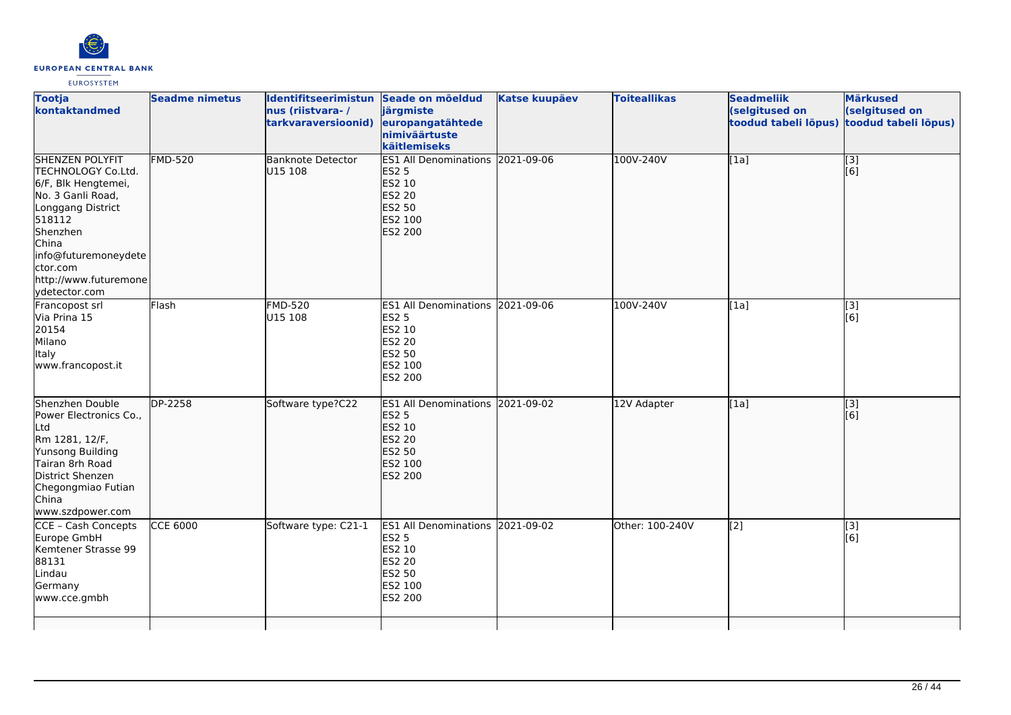

| <b>Tootja</b><br>kontaktandmed                                                                                                                                                                                             | <b>Seadme nimetus</b> | Identifitseerimistun Seade on mõeldud<br>nus (riistvara-/<br>tarkvaraversioonid) | järgmiste<br>europangatähtede<br>nimiväärtuste<br>käitlemiseks                                              | <b>Katse kuupäev</b> | <b>Toiteallikas</b> | <b>Seadmeliik</b><br>(selgitused on<br>toodud tabeli lõpus) | <b>Märkused</b><br>(selgitused on<br>toodud tabeli lõpus) |
|----------------------------------------------------------------------------------------------------------------------------------------------------------------------------------------------------------------------------|-----------------------|----------------------------------------------------------------------------------|-------------------------------------------------------------------------------------------------------------|----------------------|---------------------|-------------------------------------------------------------|-----------------------------------------------------------|
| <b>SHENZEN POLYFIT</b><br>TECHNOLOGY Co.Ltd.<br>6/F, Blk Hengtemei,<br>No. 3 Ganli Road,<br>Longgang District<br>518112<br>Shenzhen<br>China<br>info@futuremoneydete<br>ctor.com<br>http://www.futuremone<br>ydetector.com | <b>FMD-520</b>        | <b>Banknote Detector</b><br>U15 108                                              | <b>ES1 All Denominations</b><br><b>ES2 5</b><br>ES2 10<br>ES2 20<br>ES2 50<br>ES2 100<br><b>ES2 200</b>     | 2021-09-06           | 100V-240V           | [1a]                                                        | $\begin{bmatrix} 3 \\ 6 \end{bmatrix}$                    |
| Francopost srl<br>Via Prina 15<br>20154<br>Milano<br><b>Italy</b><br>www.francopost.it                                                                                                                                     | Flash                 | <b>FMD-520</b><br>U15 108                                                        | ES1 All Denominations 2021-09-06<br><b>ES2 5</b><br>ES2 10<br>ES2 20<br>ES2 50<br>ES2 100<br>ES2 200        |                      | 100V-240V           | [1a]                                                        | $\overline{[}3]$<br>[6]                                   |
| Shenzhen Double<br>Power Electronics Co.,<br>Ltd<br>Rm 1281, 12/F,<br>Yunsong Building<br>Tairan 8rh Road<br>District Shenzen<br>Chegongmiao Futian<br><b>China</b><br>www.szdpower.com                                    | DP-2258               | Software type?C22                                                                | ES1 All Denominations 2021-09-02<br><b>ES2 5</b><br>ES2 10<br>ES2 20<br>ES2 50<br>ES2 100<br><b>ES2 200</b> |                      | 12V Adapter         | [1a]                                                        | [3]<br>[6]                                                |
| CCE - Cash Concepts<br>Europe GmbH<br>Kemtener Strasse 99<br>88131<br>Lindau<br>Germany<br>www.cce.gmbh                                                                                                                    | <b>CCE 6000</b>       | Software type: C21-1                                                             | ES1 All Denominations 2021-09-02<br><b>ES2 5</b><br>ES2 10<br>ES2 20<br>ES2 50<br>ES2 100<br>ES2 200        |                      | Other: 100-240V     | [2]                                                         | [3]<br>[6]                                                |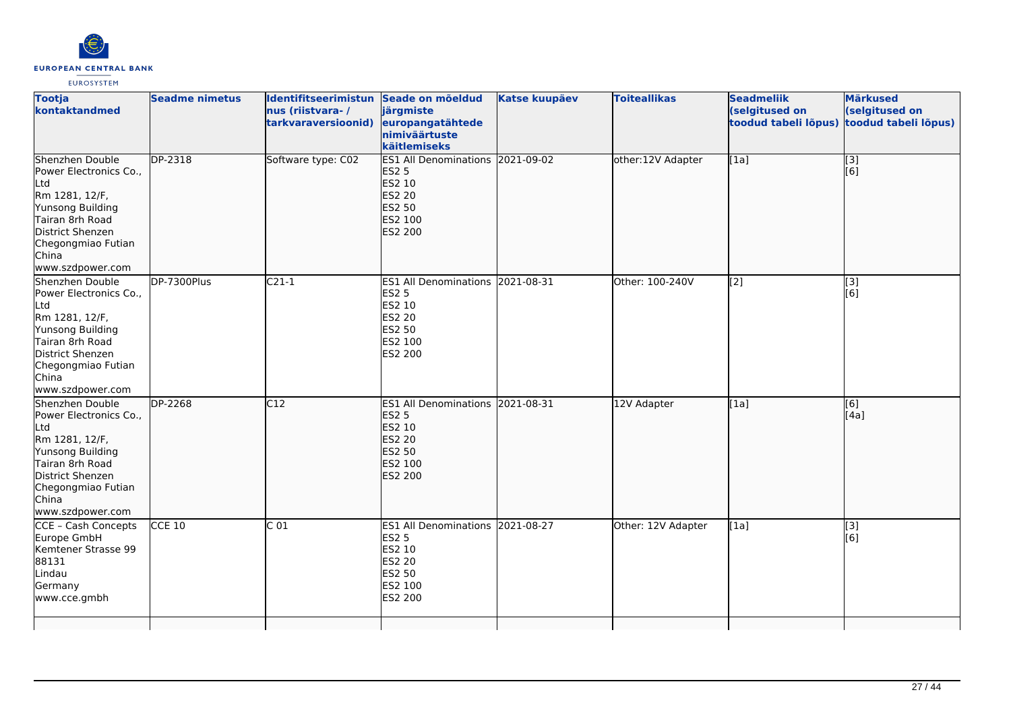

| <b>Tootja</b><br>kontaktandmed                                                                                                                                                   | <b>Seadme nimetus</b> | Identifitseerimistun Seade on mõeldud<br>nus (riistvara-/<br>tarkvaraversioonid) | järgmiste<br>europangatähtede<br>nimiväärtuste<br>käitlemiseks                                                 | <b>Katse kuupäev</b> | <b>Toiteallikas</b> | <b>Seadmeliik</b><br>(selgitused on<br>toodud tabeli lõpus) | <b>Märkused</b><br>(selgitused on<br>toodud tabeli lõpus) |
|----------------------------------------------------------------------------------------------------------------------------------------------------------------------------------|-----------------------|----------------------------------------------------------------------------------|----------------------------------------------------------------------------------------------------------------|----------------------|---------------------|-------------------------------------------------------------|-----------------------------------------------------------|
| Shenzhen Double<br>Power Electronics Co.,<br>Ltd<br>Rm 1281, 12/F,<br>Yunsong Building<br>Tairan 8rh Road<br>District Shenzen<br>Chegongmiao Futian<br>China<br>www.szdpower.com | DP-2318               | Software type: C02                                                               | <b>ES1 All Denominations</b><br><b>ES2 5</b><br>ES2 10<br><b>ES2 20</b><br>ES2 50<br>ES2 100<br><b>ES2 200</b> | 2021-09-02           | other:12V Adapter   | [1a]                                                        | [3]<br>[6]                                                |
| Shenzhen Double<br>Power Electronics Co.,<br>Ltd<br>Rm 1281, 12/F,<br>Yunsong Building<br>Tairan 8rh Road<br>District Shenzen<br>Chegongmiao Futian<br>China<br>www.szdpower.com | DP-7300Plus           | $C21-1$                                                                          | <b>ES1 All Denominations</b><br><b>ES2 5</b><br>ES2 10<br><b>ES2 20</b><br><b>ES2 50</b><br>ES2 100<br>ES2 200 | 2021-08-31           | Other: 100-240V     | [2]                                                         | [3]<br>[6]                                                |
| Shenzhen Double<br>Power Electronics Co.,<br>Ltd<br>Rm 1281, 12/F,<br>Yunsong Building<br>Tairan 8rh Road<br>District Shenzen<br>Chegongmiao Futian<br>China<br>www.szdpower.com | DP-2268               | C12                                                                              | <b>ES1 All Denominations</b><br><b>ES2 5</b><br>ES2 10<br><b>ES2 20</b><br>ES2 50<br>ES2 100<br>ES2 200        | 2021-08-31           | 12V Adapter         | [1a]                                                        | [6]<br>[4a]                                               |
| CCE - Cash Concepts<br>Europe GmbH<br>Kemtener Strasse 99<br>88131<br>Lindau<br>Germany<br>www.cce.gmbh                                                                          | <b>CCE 10</b>         | C <sub>01</sub>                                                                  | ES1 All Denominations 2021-08-27<br><b>ES2 5</b><br>ES2 10<br><b>ES2 20</b><br>ES2 50<br>ES2 100<br>ES2 200    |                      | Other: 12V Adapter  | [1a]                                                        | [3]<br>[6]                                                |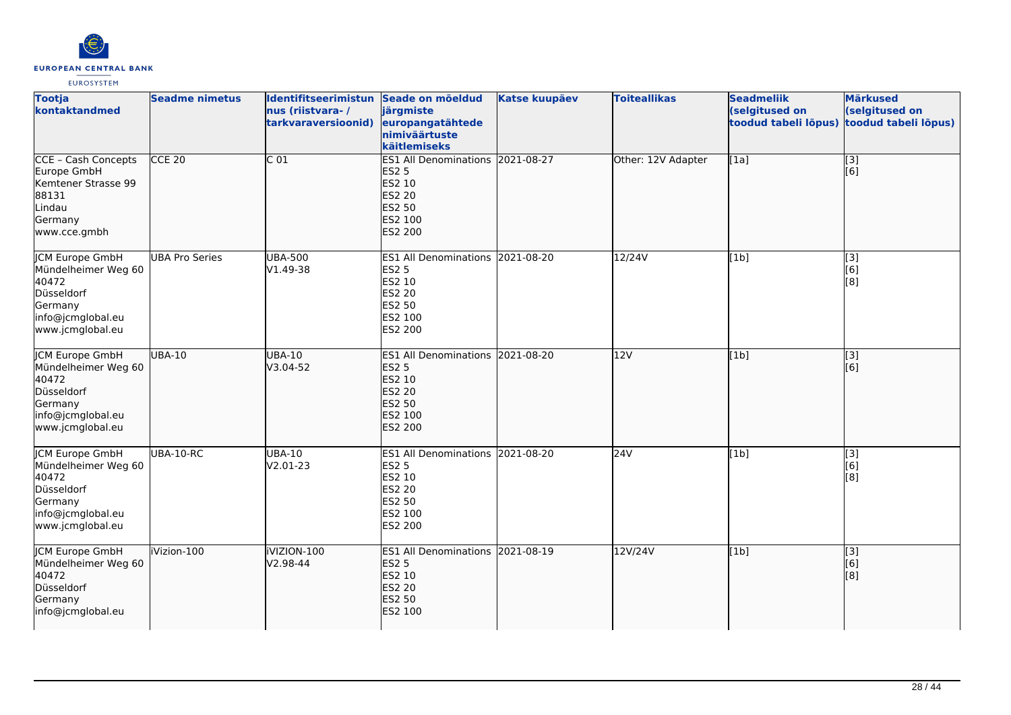

| <b>Tootja</b><br>kontaktandmed                                                                                           | <b>Seadme nimetus</b> | Identifitseerimistun Seade on mõeldud<br>nus (riistvara-/<br>tarkvaraversioonid) | järgmiste<br>europangatähtede<br>nimiväärtuste<br>käitlemiseks                                                     | <b>Katse kuupäev</b> | <b>Toiteallikas</b> | <b>Seadmeliik</b><br>(selgitused on<br>toodud tabeli lõpus) | <b>Märkused</b><br>(selgitused on<br>toodud tabeli lõpus) |
|--------------------------------------------------------------------------------------------------------------------------|-----------------------|----------------------------------------------------------------------------------|--------------------------------------------------------------------------------------------------------------------|----------------------|---------------------|-------------------------------------------------------------|-----------------------------------------------------------|
| CCE - Cash Concepts<br>Europe GmbH<br>Kemtener Strasse 99<br>88131<br>Lindau<br>Germany<br>www.cce.gmbh                  | $CCE$ 20              | C <sub>01</sub>                                                                  | ES1 All Denominations 2021-08-27<br><b>ES2 5</b><br>ES2 10<br><b>ES2 20</b><br><b>ES2 50</b><br>ES2 100<br>ES2 200 |                      | Other: 12V Adapter  | [1a]                                                        | $\sqrt{3}$<br>[6]                                         |
| <b>JCM Europe GmbH</b><br>Mündelheimer Weg 60<br>40472<br>Düsseldorf<br>Germany<br>info@jcmglobal.eu<br>www.jcmglobal.eu | <b>UBA Pro Series</b> | <b>UBA-500</b><br>V1.49-38                                                       | ES1 All Denominations 2021-08-20<br>ES2 5<br>ES2 10<br><b>ES2 20</b><br>ES2 50<br>ES2 100<br>ES2 200               |                      | $12/24V$            | [1b]                                                        | $\overline{[3]}$<br>[6]<br>[8]                            |
| <b>JCM Europe GmbH</b><br>Mündelheimer Weg 60<br>40472<br>Düsseldorf<br>Germany<br>info@jcmglobal.eu<br>www.jcmglobal.eu | <b>UBA-10</b>         | <b>UBA-10</b><br>V3.04-52                                                        | ES1 All Denominations 2021-08-20<br><b>ES2 5</b><br>ES2 10<br><b>ES2 20</b><br>ES2 50<br>ES2 100<br><b>ES2 200</b> |                      | 12V                 | [1b]                                                        | [3]<br>[6]                                                |
| JCM Europe GmbH<br>Mündelheimer Weg 60<br>40472<br>Düsseldorf<br>Germany<br>info@jcmglobal.eu<br>www.jcmglobal.eu        | UBA-10-RC             | <b>UBA-10</b><br>V2.01-23                                                        | ES1 All Denominations 2021-08-20<br><b>ES2 5</b><br>ES2 10<br><b>ES2 20</b><br>ES2 50<br>ES2 100<br>ES2 200        |                      | 24V                 | [1b]                                                        | [3]<br>[6]<br>[8]                                         |
| <b>JCM Europe GmbH</b><br>Mündelheimer Weg 60<br>40472<br>Düsseldorf<br>Germany<br>info@jcmglobal.eu                     | iVizion-100           | IVIZION-100<br>V2.98-44                                                          | ES1 All Denominations 2021-08-19<br><b>ES2 5</b><br>ES2 10<br><b>ES2 20</b><br><b>ES2 50</b><br>ES2 100            |                      | 12V/24V             | [1b]                                                        | [3]<br>[6]<br>[8]                                         |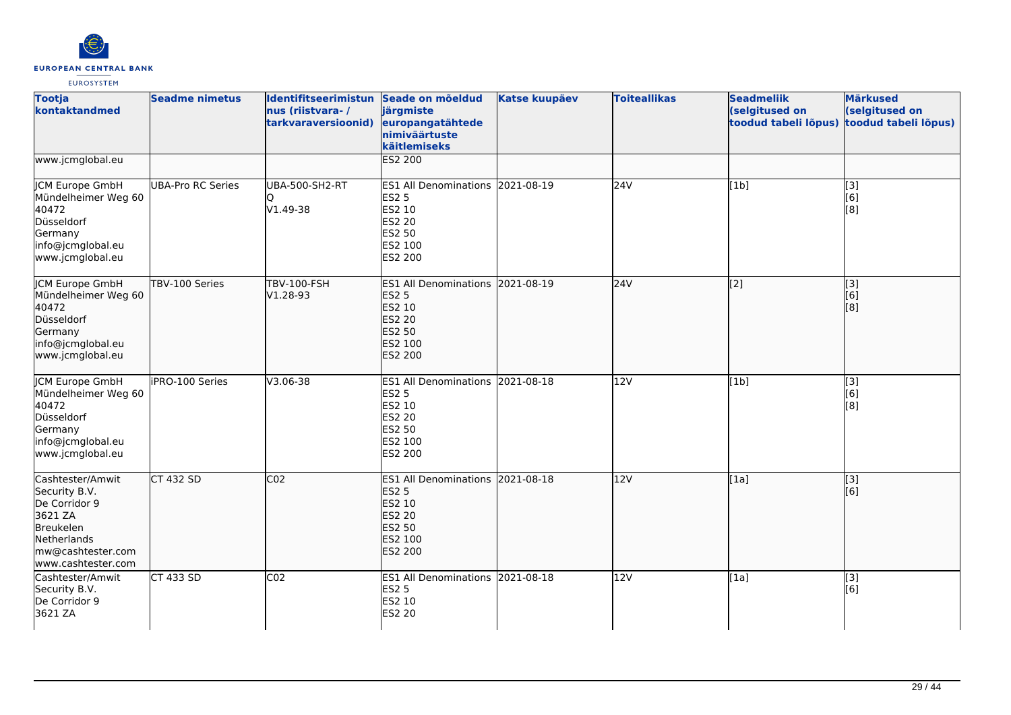

| <b>Tootja</b><br>kontaktandmed                                                                                                       | <b>Seadme nimetus</b>    | Identifitseerimistun Seade on mõeldud<br>nus (riistvara-/<br>tarkvaraversioonid) | järgmiste<br>europangatähtede<br>nimiväärtuste<br>käitlemiseks                                                     | <b>Katse kuupäev</b> | <b>Toiteallikas</b> | <b>Seadmeliik</b><br>(selgitused on<br>toodud tabeli lõpus) | <b>Märkused</b><br>(selgitused on<br>toodud tabeli lõpus)                           |
|--------------------------------------------------------------------------------------------------------------------------------------|--------------------------|----------------------------------------------------------------------------------|--------------------------------------------------------------------------------------------------------------------|----------------------|---------------------|-------------------------------------------------------------|-------------------------------------------------------------------------------------|
| www.jcmglobal.eu                                                                                                                     |                          |                                                                                  | <b>ES2 200</b>                                                                                                     |                      |                     |                                                             |                                                                                     |
| JCM Europe GmbH<br>Mündelheimer Weg 60<br>40472<br>Düsseldorf<br>Germany<br>info@jcmglobal.eu<br>www.jcmglobal.eu                    | <b>UBA-Pro RC Series</b> | UBA-500-SH2-RT<br>V1.49-38                                                       | ES1 All Denominations 2021-08-19<br><b>ES2 5</b><br>ES2 10<br><b>ES2 20</b><br>ES2 50<br>ES2 100<br>ES2 200        |                      | 24V                 | [1b]                                                        | $\overline{[3]}$<br>[6]<br>[8]                                                      |
| <b>JCM Europe GmbH</b><br>Mündelheimer Weg 60<br>40472<br>Düsseldorf<br>Germany<br>info@jcmglobal.eu<br>www.jcmglobal.eu             | TBV-100 Series           | <b>TBV-100-FSH</b><br>V1.28-93                                                   | ES1 All Denominations 2021-08-19<br><b>ES2 5</b><br>ES2 10<br>ES2 20<br><b>ES2 50</b><br>ES2 100<br><b>ES2 200</b> |                      | 24V                 | $\left[2\right]$                                            | [3]<br>[6]<br>$\left[ \begin{smallmatrix} 1 & 0 \\ 0 & 1 \end{smallmatrix} \right]$ |
| <b>CM Europe GmbH</b><br>Mündelheimer Weg 60<br>40472<br>Düsseldorf<br>Germany<br>info@jcmglobal.eu<br>www.jcmglobal.eu              | iPRO-100 Series          | V3.06-38                                                                         | ES1 All Denominations 2021-08-18<br><b>ES2 5</b><br>ES2 10<br>ES2 20<br>ES2 50<br>ES2 100<br>ES2 200               |                      | 12V                 | [1b]                                                        | [3]<br>[6]<br>$\left[ \begin{smallmatrix} 8 \end{smallmatrix} \right]$              |
| Cashtester/Amwit<br>Security B.V.<br>De Corridor 9<br>3621 ZA<br>Breukelen<br>Netherlands<br>mw@cashtester.com<br>www.cashtester.com | <b>CT 432 SD</b>         | CO <sub>2</sub>                                                                  | ES1 All Denominations 2021-08-18<br><b>ES2 5</b><br>ES2 10<br>ES2 20<br>ES2 50<br>ES2 100<br><b>ES2 200</b>        |                      | 12V                 | [1a]                                                        | $\overline{[3]}$<br>[6]                                                             |
| Cashtester/Amwit<br>Security B.V.<br>De Corridor 9<br>3621 ZA                                                                        | <b>CT 433 SD</b>         | CO <sub>2</sub>                                                                  | ES1 All Denominations 2021-08-18<br><b>ES2 5</b><br>ES2 10<br>ES2 20                                               |                      | 12V                 | [1a]                                                        | $\overline{[}3]$<br>[6]                                                             |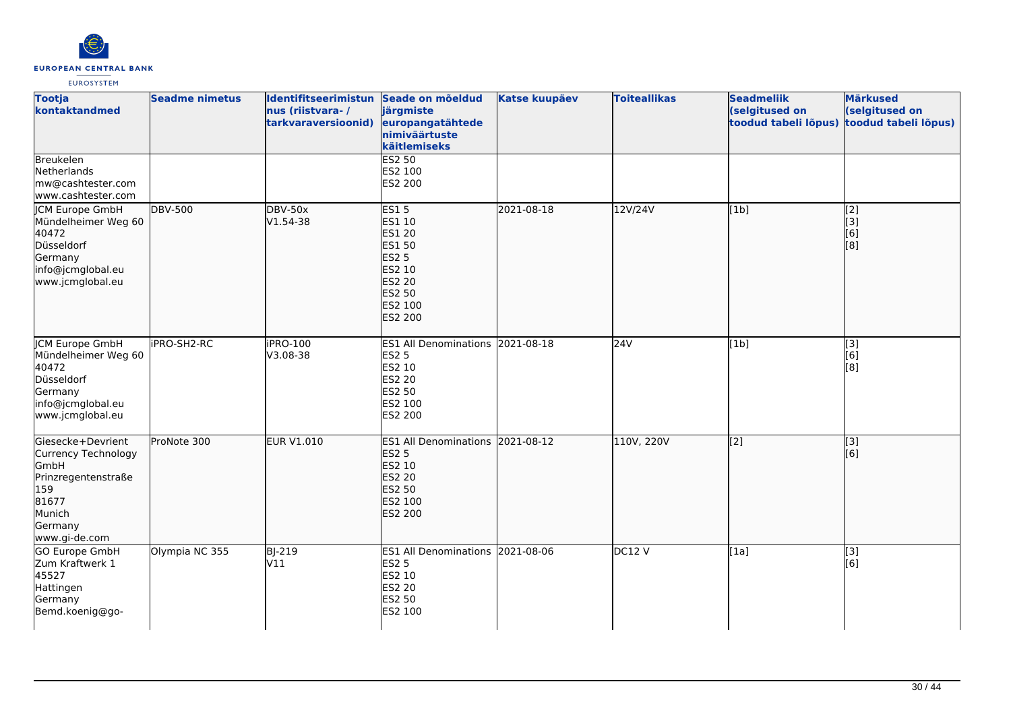

| <b>Tootja</b><br>kontaktandmed                                                                                                       | <b>Seadme nimetus</b> | Identifitseerimistun<br>nus (riistvara-/<br>tarkvaraversioonid) | Seade on mõeldud<br>järgmiste<br>europangatähtede<br>nimiväärtuste<br>käitlemiseks                                                 | <b>Katse kuupäev</b> | <b>Toiteallikas</b> | <b>Seadmeliik</b><br>(selgitused on<br>toodud tabeli lõpus) | <b>Märkused</b><br>(selgitused on<br>toodud tabeli lõpus)                                     |
|--------------------------------------------------------------------------------------------------------------------------------------|-----------------------|-----------------------------------------------------------------|------------------------------------------------------------------------------------------------------------------------------------|----------------------|---------------------|-------------------------------------------------------------|-----------------------------------------------------------------------------------------------|
| Breukelen<br>Netherlands<br>mw@cashtester.com<br>www.cashtester.com                                                                  |                       |                                                                 | <b>ES2 50</b><br>ES2 100<br>ES2 200                                                                                                |                      |                     |                                                             |                                                                                               |
| JCM Europe GmbH<br>Mündelheimer Weg 60<br>40472<br>Düsseldorf<br>Germany<br>info@jcmglobal.eu<br>www.jcmglobal.eu                    | <b>DBV-500</b>        | DBV-50x<br>$V1.54-38$                                           | <b>ES15</b><br>ES1 10<br><b>ES1 20</b><br><b>ES1 50</b><br><b>ES2 5</b><br>ES2 10<br><b>ES2 20</b><br>ES2 50<br>ES2 100<br>ES2 200 | 2021-08-18           | 12V/24V             | [1b]                                                        | $\sqrt{2}$<br>$\left[$ [3]<br>[6]<br>$\left[ \begin{smallmatrix} 8 \end{smallmatrix} \right]$ |
| <b>ICM Europe GmbH</b><br>Mündelheimer Weg 60<br>40472<br>Düsseldorf<br>Germany<br>info@jcmglobal.eu<br>www.jcmglobal.eu             | <b>iPRO-SH2-RC</b>    | <b>iPRO-100</b><br>V3.08-38                                     | ES1 All Denominations 2021-08-18<br>ES2 5<br>ES2 10<br>ES2 20<br>ES2 50<br>ES2 100<br>ES2 200                                      |                      | 24V                 | [1b]                                                        | [3]<br>[6]<br>[8]                                                                             |
| Giesecke+Devrient<br>Currency Technology<br><b>GmbH</b><br>Prinzregentenstraße<br>159<br>81677<br>Munich<br>Germany<br>www.gi-de.com | ProNote 300           | EUR V1.010                                                      | ES1 All Denominations 2021-08-12<br><b>ES2 5</b><br>ES2 10<br>ES2 20<br>ES2 50<br>ES2 100<br>ES2 200                               |                      | 110V, 220V          | [2]                                                         | $\vert$ [3]<br>[6]                                                                            |
| <b>GO Europe GmbH</b><br>Zum Kraftwerk 1<br>45527<br>Hattingen<br>Germany<br>Bemd.koenig@go-                                         | Olympia NC 355        | $B$ -219<br>V11                                                 | ES1 All Denominations 2021-08-06<br><b>ES2 5</b><br>ES2 10<br>ES2 20<br>ES2 50<br>ES2 100                                          |                      | DC12V               | $\overline{[1a]}$                                           | $\overline{[}3]$<br>[6]                                                                       |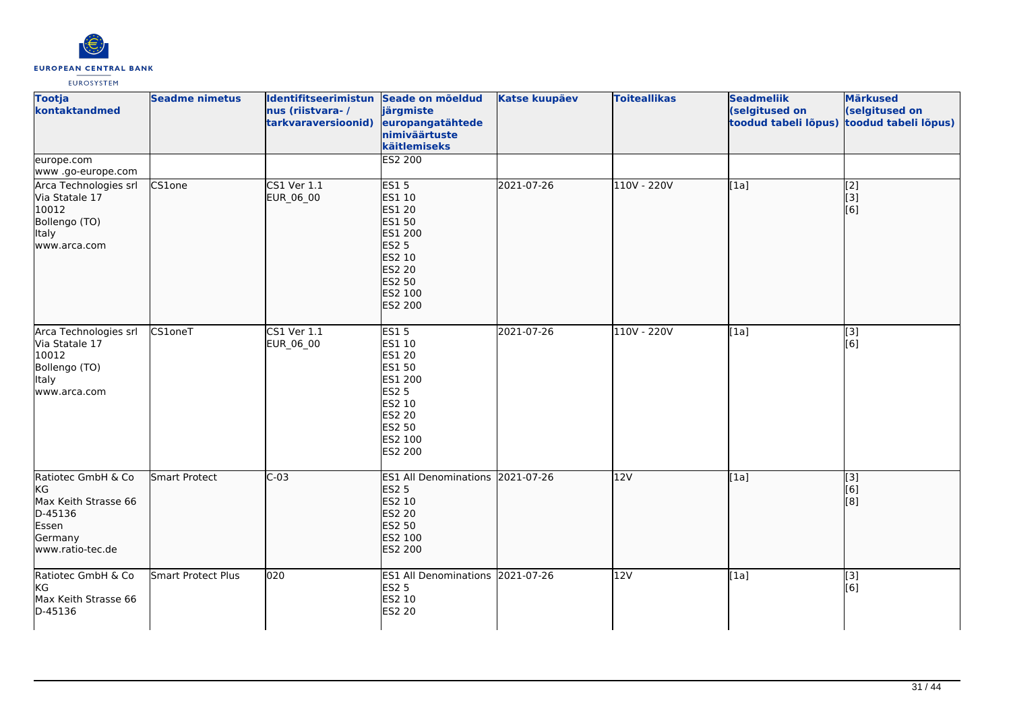

| <b>Tootja</b><br>kontaktandmed                                                                       | <b>Seadme nimetus</b> | Identifitseerimistun Seade on mõeldud<br>nus (riistvara-/<br>tarkvaraversioonid) | järgmiste<br>europangatähtede<br>nimiväärtuste<br>käitlemiseks                                                                         | <b>Katse kuupäev</b> | <b>Toiteallikas</b> | <b>Seadmeliik</b><br>(selgitused on<br>toodud tabeli lõpus) | <b>Märkused</b><br>(selgitused on<br>toodud tabeli lõpus) |
|------------------------------------------------------------------------------------------------------|-----------------------|----------------------------------------------------------------------------------|----------------------------------------------------------------------------------------------------------------------------------------|----------------------|---------------------|-------------------------------------------------------------|-----------------------------------------------------------|
| europe.com<br>www.go-europe.com                                                                      |                       |                                                                                  | <b>ES2 200</b>                                                                                                                         |                      |                     |                                                             |                                                           |
| Arca Technologies srl<br>Via Statale 17<br>10012<br>Bollengo (TO)<br>ltaly<br>lwww.arca.com          | CS1one                | <b>CS1 Ver 1.1</b><br>EUR_06_00                                                  | <b>ES15</b><br>ES1 10<br><b>ES1 20</b><br>ES1 50<br>ES1 200<br><b>ES2 5</b><br>ES2 10<br><b>ES2 20</b><br>ES2 50<br>ES2 100<br>ES2 200 | 2021-07-26           | 110V - 220V         | $\overline{[1a]}$                                           | $\sqrt{2}$<br> 3]<br>[6]                                  |
| Arca Technologies srl<br>Via Statale 17<br>10012<br>Bollengo (TO)<br>Italy<br>www.arca.com           | $CS1$ oneT            | CS1 Ver 1.1<br>EUR_06_00                                                         | <b>ES15</b><br>ES1 10<br>ES1 20<br>ES1 50<br>ES1 200<br><b>ES2 5</b><br>ES2 10<br><b>ES2 20</b><br>ES2 50<br>ES2 100<br>ES2 200        | 2021-07-26           | 110V - 220V         | [1a]                                                        | [3]<br>[6]                                                |
| Ratiotec GmbH & Co<br>lKG<br>Max Keith Strasse 66<br>D-45136<br>Essen<br>Germany<br>www.ratio-tec.de | Smart Protect         | $C-03$                                                                           | ES1 All Denominations 2021-07-26<br><b>ES2 5</b><br>ES2 10<br><b>ES2 20</b><br><b>ES2 50</b><br>ES2 100<br>ES2 200                     |                      | 12V                 | [1a]                                                        | [3]<br>[6]<br>[8]                                         |
| Ratiotec GmbH & Co<br>KG<br>Max Keith Strasse 66<br>D-45136                                          | Smart Protect Plus    | 020                                                                              | ES1 All Denominations 2021-07-26<br><b>ES2 5</b><br>ES2 10<br><b>ES2 20</b>                                                            |                      | 12V                 | [1a]                                                        | [3]<br>[6]                                                |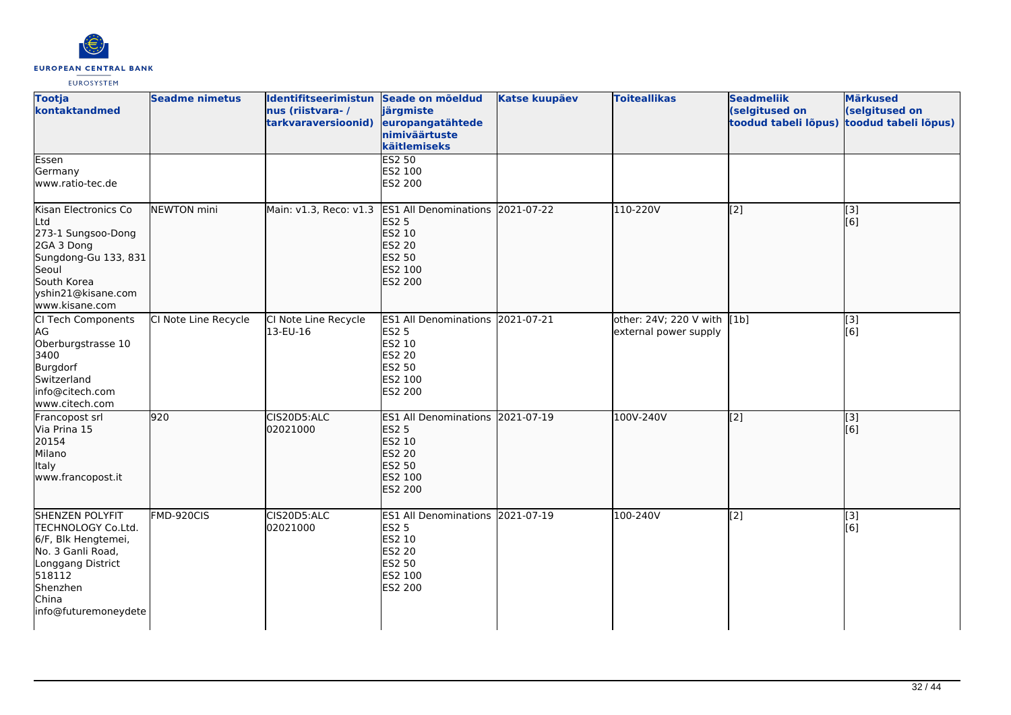

| <b>Tootja</b><br>kontaktandmed                                                                                                                                       | <b>Seadme nimetus</b> | Identifitseerimistun Seade on mõeldud<br>nus (riistvara-/<br>tarkvaraversioonid) | järgmiste<br>europangatähtede<br>nimiväärtuste<br>käitlemiseks                                                     | <b>Katse kuupäev</b> | <b>Toiteallikas</b>                                  | <b>Seadmeliik</b><br>(selgitused on<br>toodud tabeli lõpus) toodud tabeli lõpus) | <b>Märkused</b><br>(selgitused on |
|----------------------------------------------------------------------------------------------------------------------------------------------------------------------|-----------------------|----------------------------------------------------------------------------------|--------------------------------------------------------------------------------------------------------------------|----------------------|------------------------------------------------------|----------------------------------------------------------------------------------|-----------------------------------|
| Essen<br>Germany<br>www.ratio-tec.de                                                                                                                                 |                       |                                                                                  | ES2 50<br>ES2 100<br>ES2 200                                                                                       |                      |                                                      |                                                                                  |                                   |
| Kisan Electronics Co<br>Ltd<br>273-1 Sungsoo-Dong<br>2GA 3 Dong<br>Sungdong-Gu 133, 831<br>Seoul<br>South Korea<br>yshin21@kisane.com<br>www.kisane.com              | NEWTON mini           | Main: v1.3, Reco: v1.3 ES1 All Denominations                                     | <b>ES2 5</b><br>ES2 10<br><b>ES2 20</b><br>ES2 50<br>ES2 100<br><b>ES2 200</b>                                     | 2021-07-22           | 110-220V                                             | [2]                                                                              | [3]<br>[6]                        |
| CI Tech Components<br>AG<br>Oberburgstrasse 10<br>3400<br>Burgdorf<br>Switzerland<br>info@citech.com<br>www.citech.com                                               | CI Note Line Recycle  | CI Note Line Recycle<br>13-EU-16                                                 | ES1 All Denominations 2021-07-21<br><b>ES2 5</b><br><b>ES2 10</b><br><b>ES2 20</b><br>ES2 50<br>ES2 100<br>ES2 200 |                      | other: 24V; 220 V with [1b]<br>external power supply |                                                                                  | $[3]$<br>[6]                      |
| Francopost srl<br>Via Prina 15<br>20154<br>Milano<br>Italy<br>www.francopost.it                                                                                      | 920                   | CIS20D5:ALC<br>02021000                                                          | <b>ES1 All Denominations</b><br><b>ES2 5</b><br>ES2 10<br><b>ES2 20</b><br><b>ES2 50</b><br>ES2 100<br>ES2 200     | 2021-07-19           | 100V-240V                                            | $\left[2\right]$                                                                 | [[3]<br>[6]                       |
| <b>SHENZEN POLYFIT</b><br>TECHNOLOGY Co.Ltd.<br>6/F, Blk Hengtemei,<br>No. 3 Ganli Road,<br>Longgang District<br>518112<br>Shenzhen<br>China<br>info@futuremoneydete | FMD-920CIS            | CIS20D5:ALC<br>02021000                                                          | ES1 All Denominations 2021-07-19<br><b>ES2 5</b><br><b>ES2 10</b><br><b>ES2 20</b><br>ES2 50<br>ES2 100<br>ES2 200 |                      | 100-240V                                             | $\overline{[2]}$                                                                 | $\overline{[3]}$<br>[6]           |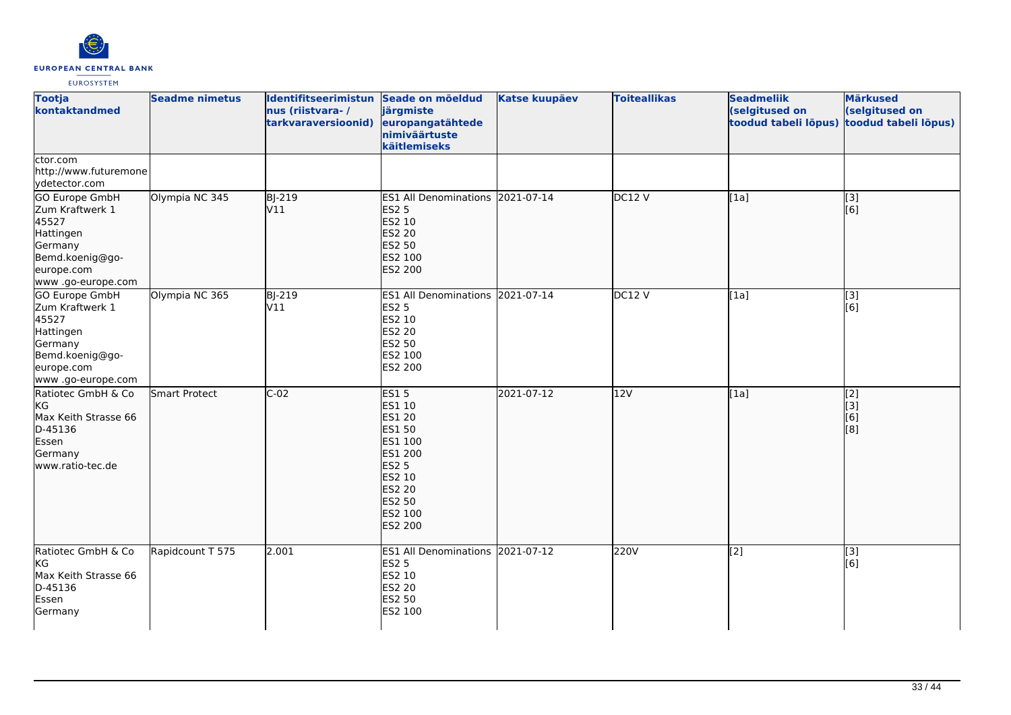

| <b>Tootja</b><br>kontaktandmed                                                                                                  | <b>Seadme nimetus</b> | Identifitseerimistun Seade on mõeldud<br>nus (riistvara-/<br>tarkvaraversioonid) | järgmiste<br>europangatähtede<br>nimiväärtuste<br>käitlemiseks                                                                                                  | <b>Katse kuupäev</b> | <b>Toiteallikas</b> | <b>Seadmeliik</b><br>(selgitused on<br>toodud tabeli lõpus) | <b>Märkused</b><br>(selgitused on<br>toodud tabeli lõpus) |
|---------------------------------------------------------------------------------------------------------------------------------|-----------------------|----------------------------------------------------------------------------------|-----------------------------------------------------------------------------------------------------------------------------------------------------------------|----------------------|---------------------|-------------------------------------------------------------|-----------------------------------------------------------|
| ctor.com<br>http://www.futuremone<br>vdetector.com                                                                              |                       |                                                                                  |                                                                                                                                                                 |                      |                     |                                                             |                                                           |
| <b>GO Europe GmbH</b><br>Zum Kraftwerk 1<br>45527<br>Hattingen<br>Germany<br>Bemd.koenig@go-<br>europe.com<br>www.go-europe.com | Olympia NC 345        | <b>BJ-219</b><br>V11                                                             | ES1 All Denominations 2021-07-14<br><b>ES2 5</b><br>ES2 10<br><b>ES2 20</b><br><b>ES2 50</b><br>ES2 100<br>ES2 200                                              |                      | DC12V               | [1a]                                                        | $\overline{[3]}$<br>[6]                                   |
| GO Europe GmbH<br>Zum Kraftwerk 1<br>45527<br>Hattingen<br>Germany<br>Bemd.koenig@go-<br>europe.com<br>www.go-europe.com        | Olympia NC 365        | BJ-219<br>V11                                                                    | <b>ES1 All Denominations</b><br><b>ES2 5</b><br>ES2 10<br><b>ES2 20</b><br>ES2 50<br>ES2 100<br>ES2 200                                                         | 2021-07-14           | <b>DC12 V</b>       | [1a]                                                        | [3]<br>[6]                                                |
| Ratiotec GmbH & Co<br>KG<br>Max Keith Strasse 66<br>D-45136<br>Essen<br>Germany<br>www.ratio-tec.de                             | Smart Protect         | $C-02$                                                                           | ES15<br>ES1 10<br><b>ES1 20</b><br><b>ES1 50</b><br>ES1 100<br><b>ES1 200</b><br><b>ES2 5</b><br>ES2 10<br><b>ES2 20</b><br><b>ES2 50</b><br>ES2 100<br>ES2 200 | 2021-07-12           | 12V                 | [1a]                                                        | $\overline{[2]}$<br>$\overline{[}3]$<br>[6]<br>[8]        |
| Ratiotec GmbH & Co<br>KG<br>Max Keith Strasse 66<br>D-45136<br>Essen<br>Germany                                                 | Rapidcount T 575      | 2.001                                                                            | ES1 All Denominations 2021-07-12<br><b>ES2 5</b><br>ES2 10<br>ES2 20<br>ES2 50<br>ES2 100                                                                       |                      | 220V                | $\overline{[2]}$                                            | [3]<br>[6]                                                |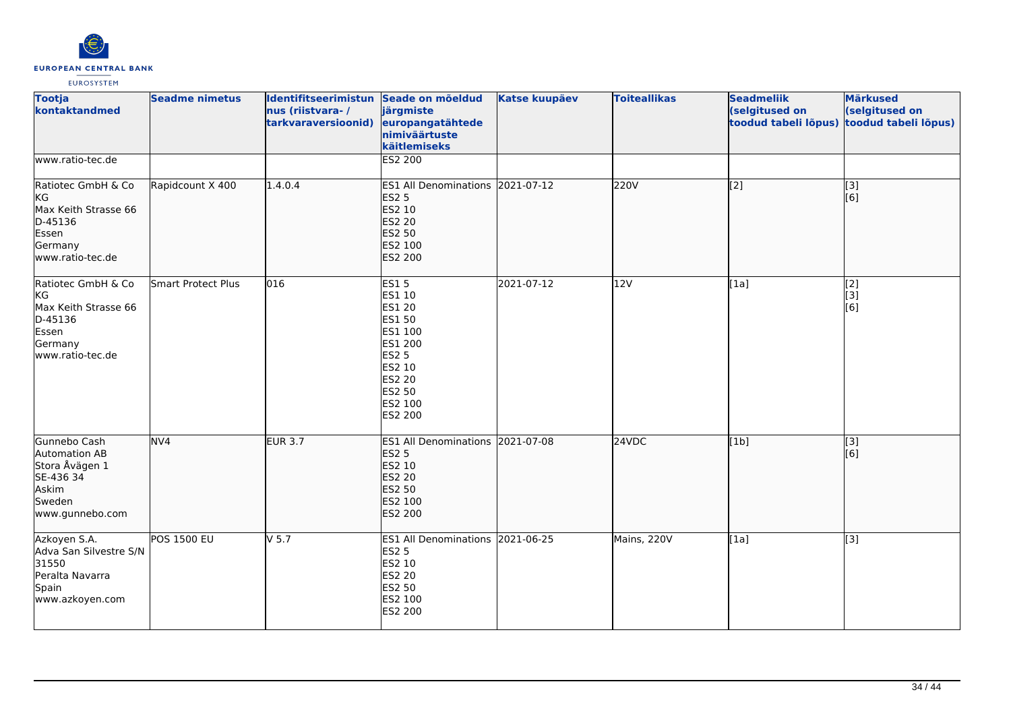

| <b>Tootja</b><br>kontaktandmed                                                                      | <b>Seadme nimetus</b> | Identifitseerimistun Seade on mõeldud<br>nus (riistvara-/<br>tarkvaraversioonid) | järgmiste<br>europangatähtede<br>nimiväärtuste<br>käitlemiseks                                                                             | <b>Katse kuupäev</b> | <b>Toiteallikas</b> | <b>Seadmeliik</b><br>(selgitused on<br>toodud tabeli lõpus) | <b>Märkused</b><br>(selgitused on<br>toodud tabeli lõpus) |
|-----------------------------------------------------------------------------------------------------|-----------------------|----------------------------------------------------------------------------------|--------------------------------------------------------------------------------------------------------------------------------------------|----------------------|---------------------|-------------------------------------------------------------|-----------------------------------------------------------|
| www.ratio-tec.de                                                                                    |                       |                                                                                  | ES2 200                                                                                                                                    |                      |                     |                                                             |                                                           |
| Ratiotec GmbH & Co<br>KG<br>Max Keith Strasse 66<br>D-45136<br>Essen<br>Germany<br>www.ratio-tec.de | Rapidcount X 400      | 1.4.0.4                                                                          | ES1 All Denominations 2021-07-12<br><b>ES2 5</b><br>ES2 10<br><b>ES2 20</b><br><b>ES2 50</b><br>ES2 100<br><b>ES2 200</b>                  |                      | 220V                | [2]                                                         | $\overline{[3]}$<br>[6]                                   |
| Ratiotec GmbH & Co<br>KG<br>Max Keith Strasse 66<br>D-45136<br>Essen<br>Germany<br>www.ratio-tec.de | Smart Protect Plus    | 016                                                                              | <b>ES15</b><br>ES1 10<br><b>ES1 20</b><br>ES1 50<br>ES1 100<br>ES1 200<br><b>ES2 5</b><br>ES2 10<br>ES2 20<br>ES2 50<br>ES2 100<br>ES2 200 | 2021-07-12           | 12V                 | [1a]                                                        | $[2]$<br>[3]<br>[6]                                       |
| Gunnebo Cash<br>Automation AB<br>Stora Åvägen 1<br>SE-436 34<br>Askim<br>Sweden<br>www.gunnebo.com  | NV4                   | <b>EUR 3.7</b>                                                                   | ES1 All Denominations 2021-07-08<br><b>ES2 5</b><br><b>ES2 10</b><br><b>ES2 20</b><br>ES2 50<br>ES2 100<br><b>ES2 200</b>                  |                      | 24VDC               | [1b]                                                        | $\overline{[}3]$<br>[6]                                   |
| Azkoyen S.A.<br>Adva San Silvestre S/N<br>31550<br>Peralta Navarra<br>Spain<br>www.azkoyen.com      | POS 1500 EU           | $V$ 5.7                                                                          | ES1 All Denominations 2021-06-25<br><b>ES2 5</b><br>ES2 10<br><b>ES2 20</b><br>ES2 50<br>ES2 100<br>ES2 200                                |                      | Mains, 220V         | [1a]                                                        | $\overline{[3]}$                                          |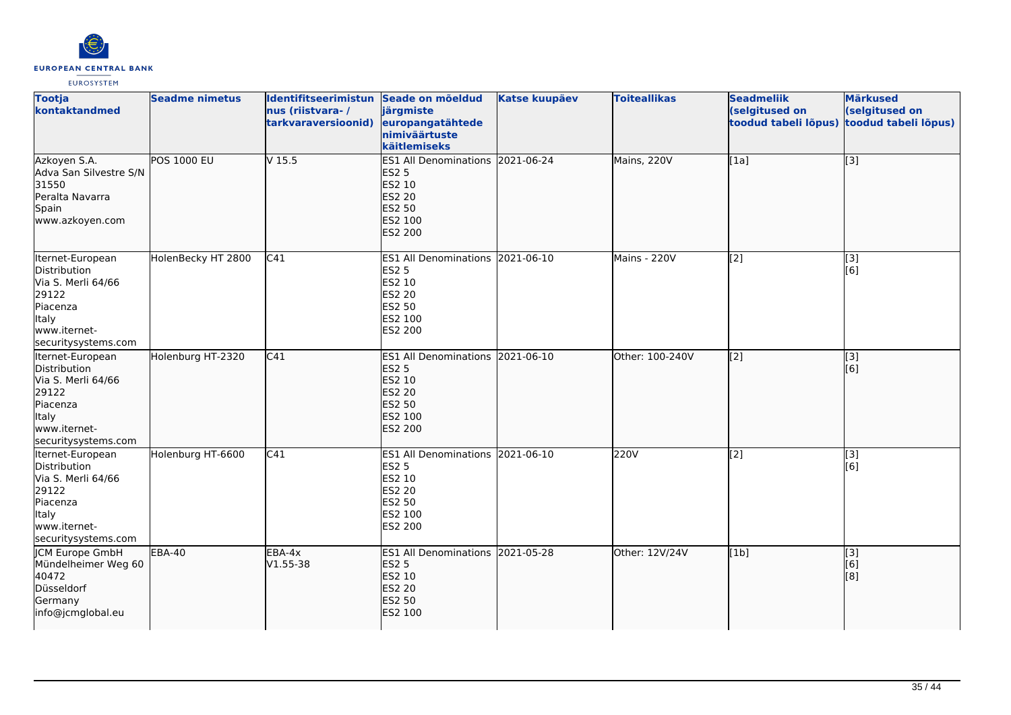

| <b>Tootja</b><br>kontaktandmed                                                                                              | <b>Seadme nimetus</b> | Identifitseerimistun Seade on mõeldud<br>nus (riistvara-/<br>tarkvaraversioonid) | järgmiste<br>europangatähtede<br>nimiväärtuste<br>käitlemiseks                                                     | <b>Katse kuupäev</b> | <b>Toiteallikas</b> | <b>Seadmeliik</b><br>(selgitused on<br>toodud tabeli lõpus) | <b>Märkused</b><br>(selgitused on<br>toodud tabeli lõpus) |
|-----------------------------------------------------------------------------------------------------------------------------|-----------------------|----------------------------------------------------------------------------------|--------------------------------------------------------------------------------------------------------------------|----------------------|---------------------|-------------------------------------------------------------|-----------------------------------------------------------|
| Azkoyen S.A.<br>Adva San Silvestre S/N<br>31550<br>Peralta Navarra<br>Spain<br>www.azkoyen.com                              | POS 1000 EU           | V <sub>15.5</sub>                                                                | ES1 All Denominations 2021-06-24<br><b>ES2 5</b><br>ES2 10<br><b>ES2 20</b><br>ES2 50<br>ES2 100<br><b>ES2 200</b> |                      | Mains, 220V         | [1a]                                                        | $\overline{[}3]$                                          |
| Iternet-European<br>Distribution<br>Via S. Merli 64/66<br>29122<br>Piacenza<br>Italy<br>www.iternet-<br>securitysystems.com | HolenBecky HT 2800    | C41                                                                              | ES1 All Denominations 2021-06-10<br><b>ES2 5</b><br>ES2 10<br><b>ES2 20</b><br>ES2 50<br>ES2 100<br>ES2 200        |                      | Mains - 220V        | $\overline{[2]}$                                            | $\overline{[}3]$<br>[6]                                   |
| Iternet-European<br>Distribution<br>Via S. Merli 64/66<br>29122<br>Piacenza<br>Italy<br>www.iternet-<br>securitysystems.com | Holenburg HT-2320     | C41                                                                              | ES1 All Denominations 2021-06-10<br><b>ES2 5</b><br>ES2 10<br><b>ES2 20</b><br>ES2 50<br>ES2 100<br><b>ES2 200</b> |                      | Other: 100-240V     | $\overline{[2]}$                                            | $\overline{[}3]$<br>[6]                                   |
| Iternet-European<br>Distribution<br>Via S. Merli 64/66<br>29122<br>Piacenza<br>Italy<br>www.iternet-<br>securitysystems.com | Holenburg HT-6600     | C41                                                                              | ES1 All Denominations 2021-06-10<br><b>ES2 5</b><br>ES2 10<br><b>ES2 20</b><br><b>ES2 50</b><br>ES2 100<br>ES2 200 |                      | 220V                | [2]                                                         | [3]<br>[6]                                                |
| <b>JCM Europe GmbH</b><br>Mündelheimer Weg 60<br>40472<br>Düsseldorf<br>Germany<br>info@jcmglobal.eu                        | <b>EBA-40</b>         | EBA-4x<br>$V1.55 - 38$                                                           | ES1 All Denominations 2021-05-28<br><b>ES2 5</b><br>ES2 10<br><b>ES2 20</b><br><b>ES2 50</b><br>ES2 100            |                      | Other: 12V/24V      | [1b]                                                        | $\overline{[3]}$<br>[6]<br>[8]                            |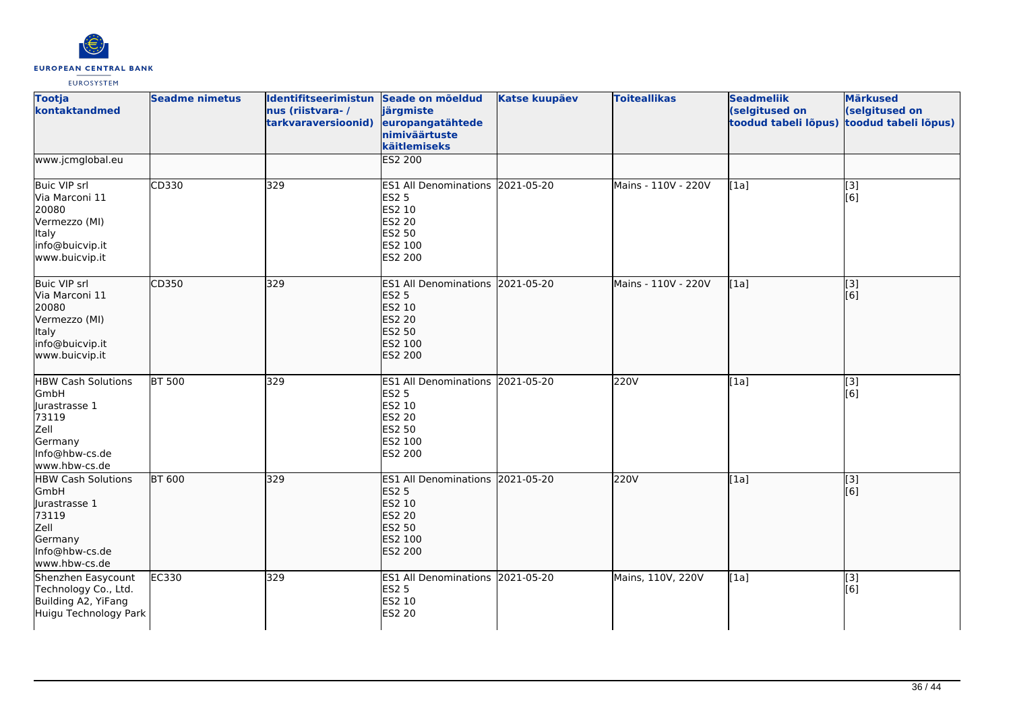

| <b>Tootja</b><br>kontaktandmed                                                                                       | <b>Seadme nimetus</b> | Identifitseerimistun Seade on mõeldud<br>nus (riistvara-/<br>tarkvaraversioonid) | järgmiste<br>europangatähtede<br>nimiväärtuste<br>käitlemiseks                                              | <b>Katse kuupäev</b> | <b>Toiteallikas</b> | <b>Seadmeliik</b><br>(selgitused on<br>toodud tabeli lõpus) | <b>Märkused</b><br>(selgitused on<br>toodud tabeli lõpus) |
|----------------------------------------------------------------------------------------------------------------------|-----------------------|----------------------------------------------------------------------------------|-------------------------------------------------------------------------------------------------------------|----------------------|---------------------|-------------------------------------------------------------|-----------------------------------------------------------|
| www.jcmglobal.eu                                                                                                     |                       |                                                                                  | ES2 200                                                                                                     |                      |                     |                                                             |                                                           |
| <b>Buic VIP srl</b><br>Via Marconi 11<br>20080<br>Vermezzo (MI)<br><b>Italy</b><br>info@buicvip.it<br>www.buicvip.it | CD330                 | 329                                                                              | ES1 All Denominations 2021-05-20<br>ES2 5<br>ES2 10<br>ES2 20<br>ES2 50<br>ES2 100<br>ES2 200               |                      | Mains - 110V - 220V | [1a]                                                        | [3]<br>[6]                                                |
| <b>Buic VIP srl</b><br>Via Marconi 11<br>20080<br>Vermezzo (MI)<br>Italy<br>info@buicvip.it<br>www.buicvip.it        | CD350                 | 329                                                                              | ES1 All Denominations 2021-05-20<br><b>ES2 5</b><br>ES2 10<br>ES2 20<br>ES2 50<br>ES2 100<br><b>ES2 200</b> |                      | Mains - 110V - 220V | [1a]                                                        | $\overline{[3]}$<br>[6]                                   |
| <b>HBW Cash Solutions</b><br>GmbH<br>Jurastrasse 1<br>73119<br>Zell<br>Germany<br>Info@hbw-cs.de<br>www.hbw-cs.de    | <b>BT 500</b>         | 329                                                                              | ES1 All Denominations 2021-05-20<br><b>ES2 5</b><br>ES2 10<br>ES2 20<br>ES2 50<br>ES2 100<br>ES2 200        |                      | 220V                | [1a]                                                        | [3]<br>[6]                                                |
| <b>HBW Cash Solutions</b><br>GmbH<br>Jurastrasse 1<br>73119<br>Zell<br>Germany<br>Info@hbw-cs.de<br>www.hbw-cs.de    | <b>BT 600</b>         | 329                                                                              | ES1 All Denominations 2021-05-20<br><b>ES2 5</b><br>ES2 10<br>ES2 20<br>ES2 50<br>ES2 100<br><b>ES2 200</b> |                      | 220V                | [1a]                                                        | $\overline{[3]}$<br>[6]                                   |
| Shenzhen Easycount<br>Technology Co., Ltd.<br>Building A2, YiFang<br>Huigu Technology Park                           | <b>EC330</b>          | 329                                                                              | ES1 All Denominations 2021-05-20<br><b>ES2 5</b><br>ES2 10<br>ES2 20                                        |                      | Mains, 110V, 220V   | [1a]                                                        | $\overline{[}3]$<br>[6]                                   |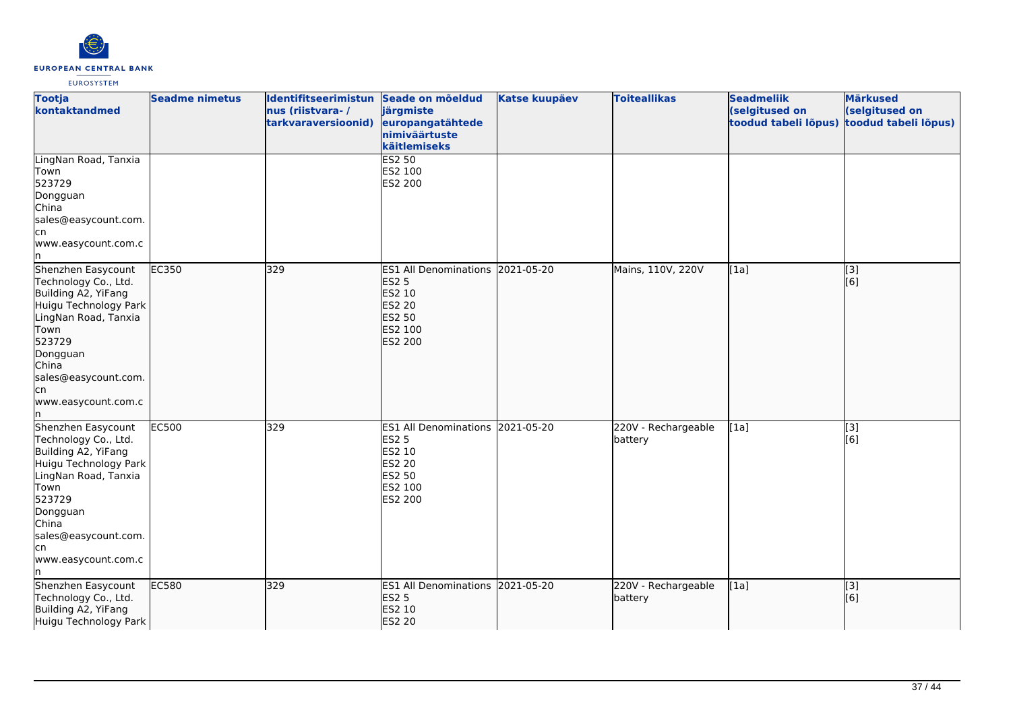

| <b>Tootja</b><br>kontaktandmed                                                                                                                                                                                  | <b>Seadme nimetus</b> | Identifitseerimistun Seade on mõeldud<br>nus (riistvara-/<br>tarkvaraversioonid) | järgmiste<br>europangatähtede<br>nimiväärtuste<br>käitlemiseks                                                     | <b>Katse kuupäev</b> | <b>Toiteallikas</b>            | <b>Seadmeliik</b><br>(selgitused on<br>toodud tabeli lõpus) | <b>Märkused</b><br>(selgitused on<br>toodud tabeli lõpus) |
|-----------------------------------------------------------------------------------------------------------------------------------------------------------------------------------------------------------------|-----------------------|----------------------------------------------------------------------------------|--------------------------------------------------------------------------------------------------------------------|----------------------|--------------------------------|-------------------------------------------------------------|-----------------------------------------------------------|
| LingNan Road, Tanxia<br>Town<br>523729<br>Dongguan<br>China<br>sales@easycount.com.<br>lcn<br>www.easycount.com.c                                                                                               |                       |                                                                                  | <b>ES2 50</b><br>ES2 100<br>ES2 200                                                                                |                      |                                |                                                             |                                                           |
| Shenzhen Easycount<br>Technology Co., Ltd.<br>Building A2, YiFang<br>Huigu Technology Park<br>LingNan Road, Tanxia<br>Town<br>523729<br>Dongguan<br>China<br>sales@easycount.com.<br>lcn<br>www.easycount.com.c | <b>EC350</b>          | 329                                                                              | ES1 All Denominations 2021-05-20<br><b>ES2 5</b><br>ES2 10<br>ES2 20<br><b>ES2 50</b><br>ES2 100<br><b>ES2 200</b> |                      | Mains, 110V, 220V              | [1a]                                                        | [3]<br>[6]                                                |
| Shenzhen Easycount<br>Technology Co., Ltd.<br>Building A2, YiFang<br>Huigu Technology Park<br>LingNan Road, Tanxia<br>Town<br>523729<br>Dongguan<br>China<br>sales@easycount.com.<br>lcn<br>www.easycount.com.c | <b>EC500</b>          | 329                                                                              | ES1 All Denominations 2021-05-20<br><b>ES2 5</b><br>ES2 10<br>ES2 20<br>ES2 50<br>ES2 100<br>ES2 200               |                      | 220V - Rechargeable<br>battery | [1a]                                                        | [3]<br>[6]                                                |
| Shenzhen Easycount<br>Technology Co., Ltd.<br>Building A2, YiFang<br>Huigu Technology Park                                                                                                                      | <b>EC580</b>          | 329                                                                              | ES1 All Denominations 2021-05-20<br><b>ES2 5</b><br><b>ES2 10</b><br><b>ES2 20</b>                                 |                      | 220V - Rechargeable<br>battery | [1a]                                                        | [3]<br>[6]                                                |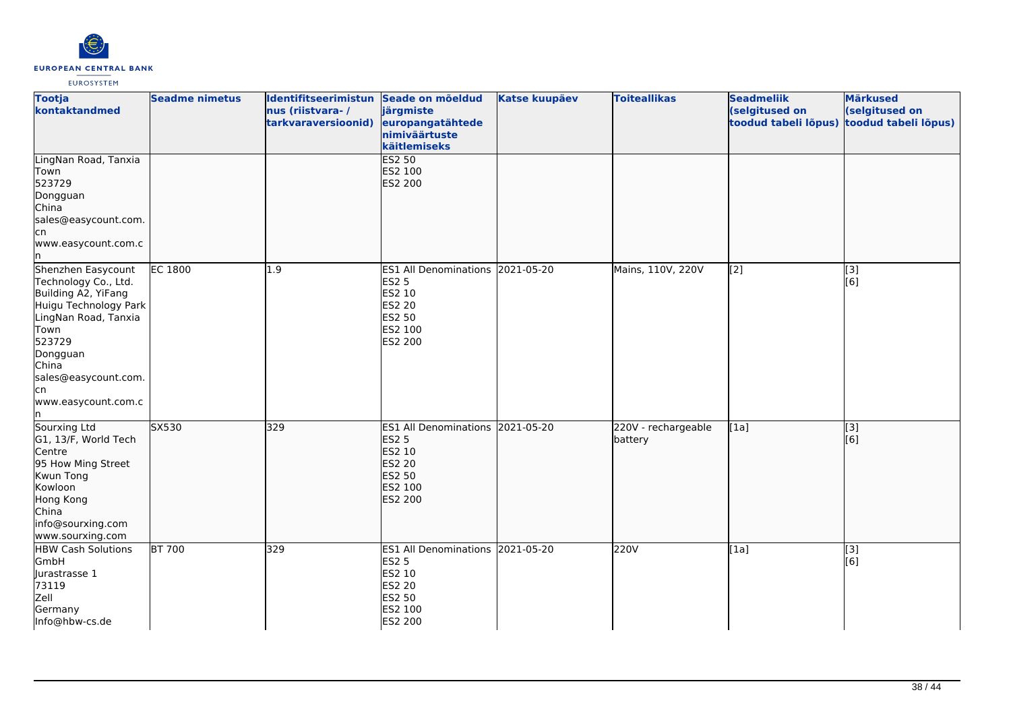

| <b>Tootja</b><br>kontaktandmed                                                                                                                                                                                  | <b>Seadme nimetus</b> | Identifitseerimistun Seade on mõeldud<br>nus (riistvara-/<br>tarkvaraversioonid) | järgmiste<br>europangatähtede<br>nimiväärtuste<br>käitlemiseks                                                     | <b>Katse kuupäev</b> | <b>Toiteallikas</b>            | <b>Seadmeliik</b><br>(selgitused on<br>toodud tabeli lõpus) | <b>Märkused</b><br>(selgitused on<br>toodud tabeli lõpus) |
|-----------------------------------------------------------------------------------------------------------------------------------------------------------------------------------------------------------------|-----------------------|----------------------------------------------------------------------------------|--------------------------------------------------------------------------------------------------------------------|----------------------|--------------------------------|-------------------------------------------------------------|-----------------------------------------------------------|
| LingNan Road, Tanxia<br>Town<br>523729<br>Dongguan<br>China<br>sales@easycount.com.<br>lcn<br>www.easycount.com.c                                                                                               |                       |                                                                                  | <b>ES2 50</b><br>ES2 100<br><b>ES2 200</b>                                                                         |                      |                                |                                                             |                                                           |
| Shenzhen Easycount<br>Technology Co., Ltd.<br>Building A2, YiFang<br>Huigu Technology Park<br>LingNan Road, Tanxia<br>Town<br>523729<br>Dongguan<br>China<br>sales@easycount.com.<br>lcn<br>www.easycount.com.c | <b>EC 1800</b>        | 1.9                                                                              | ES1 All Denominations 2021-05-20<br><b>ES2 5</b><br>ES2 10<br>ES2 20<br>ES2 50<br>ES2 100<br>ES2 200               |                      | Mains, 110V, 220V              | $\overline{[2]}$                                            | [3]<br>[6]                                                |
| Sourxing Ltd<br>G1, 13/F, World Tech<br>Centre<br>95 How Ming Street<br>Kwun Tong<br>Kowloon<br>Hong Kong<br>China<br>info@sourxing.com<br>www.sourxing.com                                                     | SX530                 | 329                                                                              | ES1 All Denominations 2021-05-20<br><b>ES2 5</b><br>ES2 10<br><b>ES2 20</b><br><b>ES2 50</b><br>ES2 100<br>ES2 200 |                      | 220V - rechargeable<br>battery | [1a]                                                        | $\overline{[}3]$<br>[6]                                   |
| <b>HBW Cash Solutions</b><br>GmbH<br>Jurastrasse 1<br>73119<br>Zell<br>Germany<br>Info@hbw-cs.de                                                                                                                | <b>BT 700</b>         | 329                                                                              | ES1 All Denominations 2021-05-20<br><b>ES2 5</b><br>ES2 10<br><b>ES2 20</b><br>ES2 50<br>ES2 100<br>ES2 200        |                      | 220V                           | [1a]                                                        | $\overline{[3]}$<br>[6]                                   |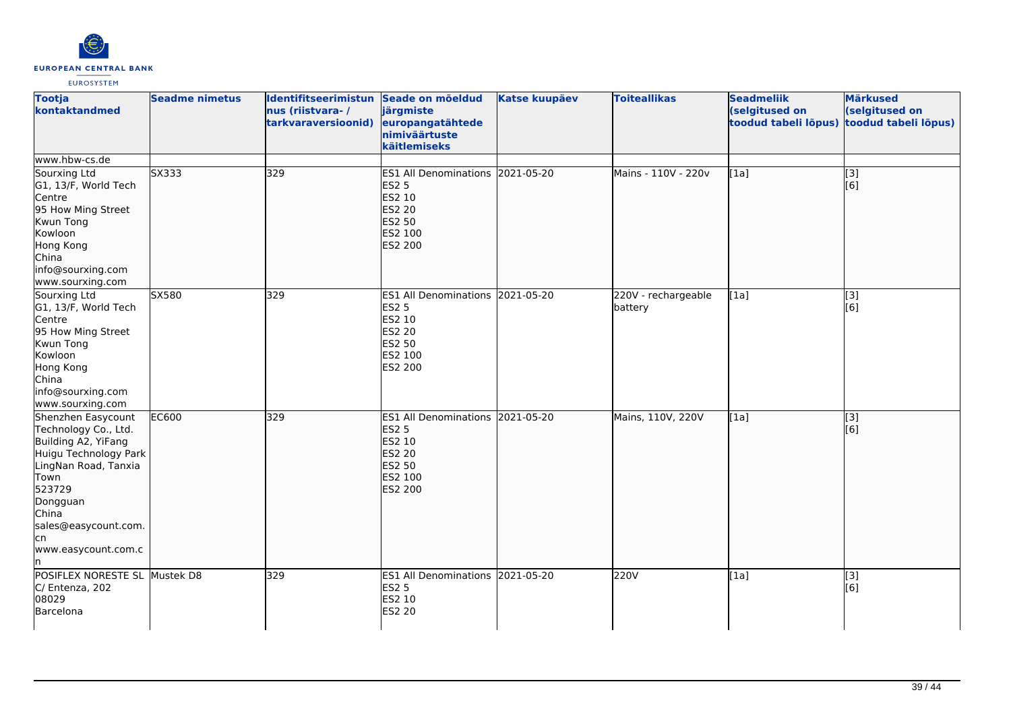

| <b>Tootja</b><br>kontaktandmed                                                                                                                                                                                         | <b>Seadme nimetus</b> | Identifitseerimistun Seade on mõeldud<br>nus (riistvara-/<br>tarkvaraversioonid) | järgmiste<br>europangatähtede<br>nimiväärtuste<br>käitlemiseks                                              | <b>Katse kuupäev</b> | <b>Toiteallikas</b>            | <b>Seadmeliik</b><br>(selgitused on<br>toodud tabeli lõpus) | <b>Märkused</b><br>(selgitused on<br>toodud tabeli lõpus) |
|------------------------------------------------------------------------------------------------------------------------------------------------------------------------------------------------------------------------|-----------------------|----------------------------------------------------------------------------------|-------------------------------------------------------------------------------------------------------------|----------------------|--------------------------------|-------------------------------------------------------------|-----------------------------------------------------------|
| www.hbw-cs.de                                                                                                                                                                                                          |                       |                                                                                  |                                                                                                             |                      |                                |                                                             |                                                           |
| Sourxing Ltd<br>G1, 13/F, World Tech<br>Centre<br>95 How Ming Street<br>Kwun Tong<br>Kowloon<br>Hong Kong<br>China<br>info@sourxing.com<br>www.sourxing.com                                                            | SX333                 | 329                                                                              | ES1 All Denominations 2021-05-20<br><b>ES2 5</b><br>ES2 10<br>ES2 20<br>ES2 50<br>ES2 100<br><b>ES2 200</b> |                      | Mains - 110V - 220v            | [1a]                                                        | $\overline{[3]}$<br>[6]                                   |
| Sourxing Ltd<br>G1, 13/F, World Tech<br>Centre<br>95 How Ming Street<br>Kwun Tong<br>Kowloon<br>Hong Kong<br>China<br>info@sourxing.com<br>www.sourxing.com                                                            | SX580                 | 329                                                                              | ES1 All Denominations 2021-05-20<br><b>ES2 5</b><br>ES2 10<br>ES2 20<br>ES2 50<br>ES2 100<br>ES2 200        |                      | 220V - rechargeable<br>battery | [1a]                                                        | [3]<br>[6]                                                |
| Shenzhen Easycount<br>Technology Co., Ltd.<br>Building A2, YiFang<br>Huigu Technology Park<br>LingNan Road, Tanxia<br>Town<br>523729<br>Dongguan<br>China<br>sales@easycount.com.<br>lcn<br>www.easycount.com.c<br>In. | EC600                 | 329                                                                              | ES1 All Denominations 2021-05-20<br><b>ES2 5</b><br>ES2 10<br>ES2 20<br>ES2 50<br>ES2 100<br><b>ES2 200</b> |                      | Mains, 110V, 220V              | [1a]                                                        | [3]<br>[6]                                                |
| POSIFLEX NORESTE SL<br>C/ Entenza, 202<br>08029<br>Barcelona                                                                                                                                                           | Mustek D8             | 329                                                                              | ES1 All Denominations 2021-05-20<br><b>ES2 5</b><br>ES2 10<br><b>ES2 20</b>                                 |                      | 220V                           | [1a]                                                        | [3]<br>[6]                                                |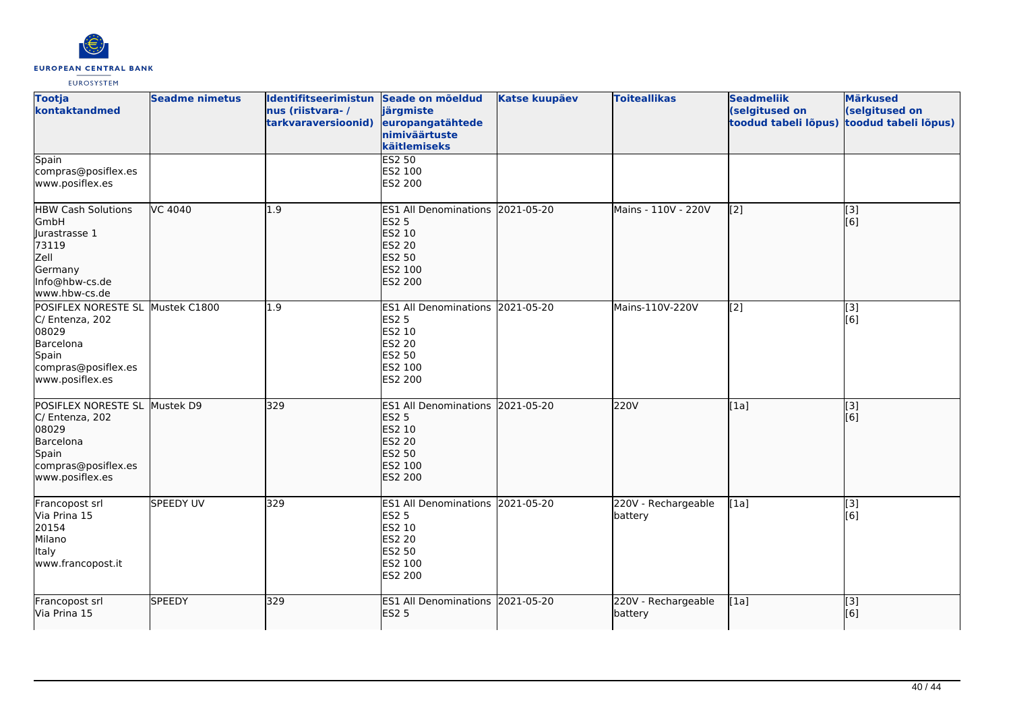

| <b>Tootja</b><br>kontaktandmed                                                                                               | <b>Seadme nimetus</b> | Identifitseerimistun Seade on mõeldud<br>nus (riistvara-/<br>tarkvaraversioonid) | järgmiste<br>europangatähtede<br>nimiväärtuste<br>käitlemiseks                                                     | <b>Katse kuupäev</b> | <b>Toiteallikas</b>            | <b>Seadmeliik</b><br>(selgitused on<br>toodud tabeli lõpus) | <b>Märkused</b><br>(selgitused on<br>toodud tabeli lõpus) |
|------------------------------------------------------------------------------------------------------------------------------|-----------------------|----------------------------------------------------------------------------------|--------------------------------------------------------------------------------------------------------------------|----------------------|--------------------------------|-------------------------------------------------------------|-----------------------------------------------------------|
| Spain<br>compras@posiflex.es<br>www.posiflex.es                                                                              |                       |                                                                                  | <b>ES2 50</b><br>ES2 100<br>ES2 200                                                                                |                      |                                |                                                             |                                                           |
| <b>HBW Cash Solutions</b><br><b>GmbH</b><br>Jurastrasse 1<br>73119<br>Zell<br>Germany<br>Info@hbw-cs.de<br>www.hbw-cs.de     | VC 4040               | 1.9                                                                              | ES1 All Denominations 2021-05-20<br><b>ES2 5</b><br>ES2 10<br><b>ES2 20</b><br>ES2 50<br>ES2 100<br><b>ES2 200</b> |                      | Mains - 110V - 220V            | $\left[2\right]$                                            | [3]<br>[6]                                                |
| POSIFLEX NORESTE SL Mustek C1800<br>C/ Entenza, 202<br>08029<br>Barcelona<br>Spain<br>compras@posiflex.es<br>www.posiflex.es |                       | 1.9                                                                              | ES1 All Denominations 2021-05-20<br><b>ES2 5</b><br>ES2 10<br>ES2 20<br>ES2 50<br>ES2 100<br>ES2 200               |                      | Mains-110V-220V                | [2]                                                         | $\overline{[3]}$<br>[6]                                   |
| POSIFLEX NORESTE SL Mustek D9<br>C/ Entenza, 202<br>08029<br>Barcelona<br>Spain<br>compras@posiflex.es<br>www.posiflex.es    |                       | 329                                                                              | ES1 All Denominations 2021-05-20<br><b>ES2 5</b><br>ES2 10<br>ES2 20<br><b>ES2 50</b><br>ES2 100<br><b>ES2 200</b> |                      | 220V                           | [1a]                                                        | $\overline{[3]}$<br>[6]                                   |
| Francopost srl<br>Via Prina 15<br>20154<br>Milano<br><b>I</b> taly<br>www.francopost.it                                      | <b>SPEEDY UV</b>      | 329                                                                              | ES1 All Denominations 2021-05-20<br><b>ES2 5</b><br>ES2 10<br>ES2 20<br>ES2 50<br>ES2 100<br>ES2 200               |                      | 220V - Rechargeable<br>battery | [1a]                                                        | [3]<br>$\overline{[}6\overline{)}$                        |
| Francopost srl<br>Via Prina 15                                                                                               | <b>SPEEDY</b>         | 329                                                                              | ES1 All Denominations 2021-05-20<br><b>ES2 5</b>                                                                   |                      | 220V - Rechargeable<br>battery | [1a]                                                        | [3]<br>[6]                                                |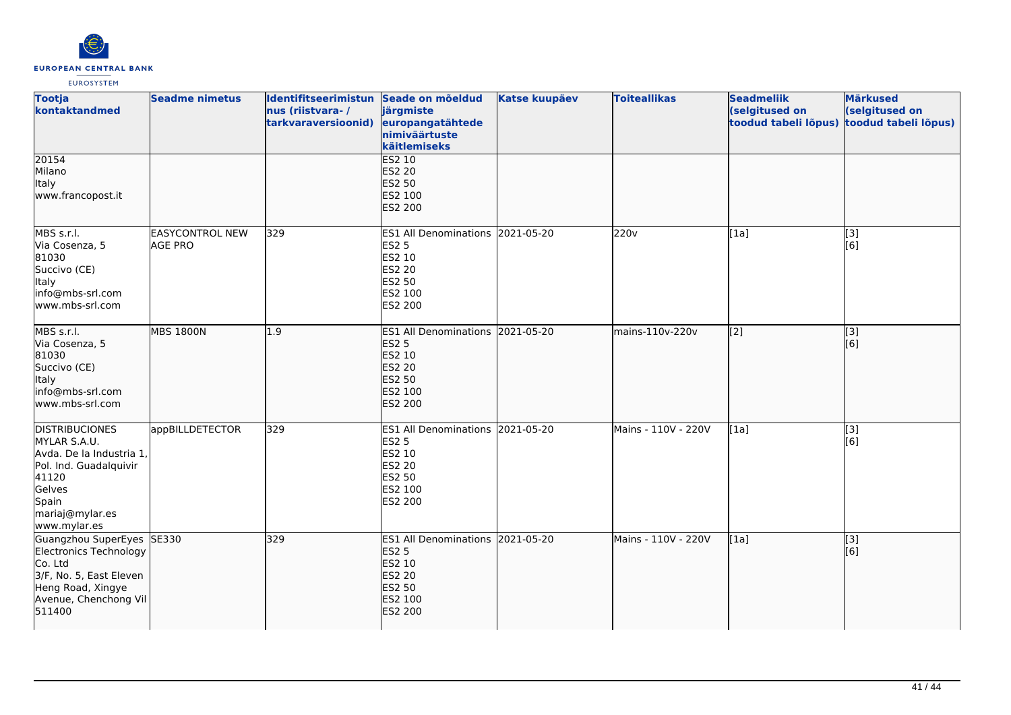

| <b>Tootja</b><br>kontaktandmed                                                                                                                             | <b>Seadme nimetus</b>                    | Identifitseerimistun Seade on mõeldud<br>nus (riistvara-/<br>tarkvaraversioonid) | järgmiste<br>europangatähtede<br>nimiväärtuste<br>käitlemiseks                                                        | <b>Katse kuupäev</b> | <b>Toiteallikas</b> | <b>Seadmeliik</b><br>(selgitused on<br>toodud tabeli lõpus) | <b>Märkused</b><br>(selgitused on<br>toodud tabeli lõpus) |
|------------------------------------------------------------------------------------------------------------------------------------------------------------|------------------------------------------|----------------------------------------------------------------------------------|-----------------------------------------------------------------------------------------------------------------------|----------------------|---------------------|-------------------------------------------------------------|-----------------------------------------------------------|
| 20154<br>Milano<br>Italy<br>www.francopost.it                                                                                                              |                                          |                                                                                  | <b>ES2 10</b><br><b>ES2 20</b><br><b>ES2 50</b><br>ES2 100<br>ES2 200                                                 |                      |                     |                                                             |                                                           |
| MBS s.r.l.<br>Via Cosenza, 5<br>81030<br>Succivo (CE)<br>Italy<br>info@mbs-srl.com<br>lwww.mbs-srl.com                                                     | <b>EASYCONTROL NEW</b><br><b>AGE PRO</b> | 329                                                                              | ES1 All Denominations 2021-05-20<br><b>ES2 5</b><br>ES2 10<br>ES2 20<br>ES2 50<br>ES2 100<br>ES2 200                  |                      | 220v                | [1a]                                                        | $[3]$<br>[6]                                              |
| MBS s.r.l.<br>Via Cosenza, 5<br>81030<br>Succivo (CE)<br>Italy<br>info@mbs-srl.com<br>www.mbs-srl.com                                                      | <b>MBS 1800N</b>                         | 1.9                                                                              | <b>ES1 All Denominations</b><br><b>ES2 5</b><br>ES2 10<br><b>ES2 20</b><br><b>ES2 50</b><br>ES2 100<br>ES2 200        | 2021-05-20           | mains-110v-220v     | $\left[ \begin{matrix} 2 \end{matrix} \right]$              | [3]<br>[6]                                                |
| <b>DISTRIBUCIONES</b><br>MYLAR S.A.U.<br>Avda. De la Industria 1,<br>Pol. Ind. Guadalquivir<br>41120<br>Gelves<br>Spain<br>mariaj@mylar.es<br>www.mylar.es | appBILLDETECTOR                          | 329                                                                              | ES1 All Denominations 2021-05-20<br><b>ES2 5</b><br>ES2 10<br><b>ES2 20</b><br>ES2 50<br>ES2 100<br>ES2 200           |                      | Mains - 110V - 220V | [1a]                                                        | $\overline{[3]}$<br>[6]                                   |
| Guangzhou SuperEyes SE330<br>Electronics Technology<br>Co. Ltd<br>3/F, No. 5, East Eleven<br>Heng Road, Xingye<br>Avenue, Chenchong Vil<br>511400          |                                          | 329                                                                              | <b>ES1 All Denominations</b><br><b>ES2 5</b><br>ES2 10<br><b>ES2 20</b><br><b>ES2 50</b><br>ES2 100<br><b>ES2 200</b> | 2021-05-20           | Mains - 110V - 220V | [1a]                                                        | [3]<br>[6]                                                |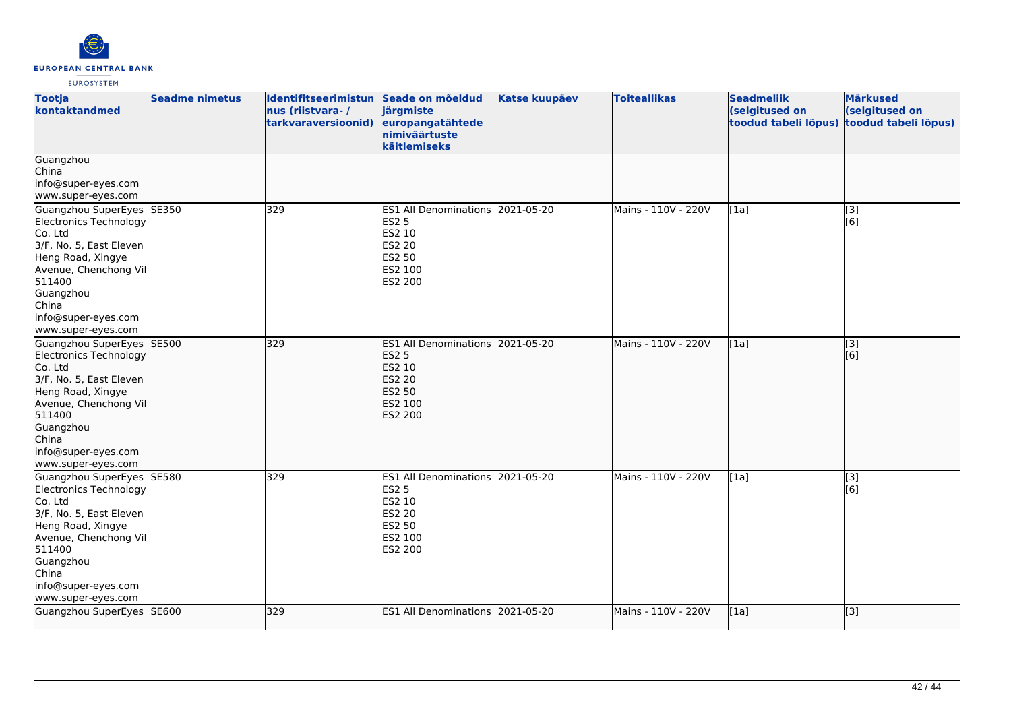

| <b>Tootja</b><br>kontaktandmed                                                                                                                                                                                       | <b>Seadme nimetus</b> | Identifitseerimistun Seade on mõeldud<br>nus (riistvara-/<br>tarkvaraversioonid) | järgmiste<br>europangatähtede<br>nimiväärtuste<br>käitlemiseks                                                            | <b>Katse kuupäev</b> | <b>Toiteallikas</b> | <b>Seadmeliik</b><br>(selgitused on<br>toodud tabeli lõpus) | <b>Märkused</b><br>(selgitused on<br>toodud tabeli lõpus) |
|----------------------------------------------------------------------------------------------------------------------------------------------------------------------------------------------------------------------|-----------------------|----------------------------------------------------------------------------------|---------------------------------------------------------------------------------------------------------------------------|----------------------|---------------------|-------------------------------------------------------------|-----------------------------------------------------------|
| Guangzhou<br>China<br>info@super-eyes.com<br>www.super-eyes.com                                                                                                                                                      |                       |                                                                                  |                                                                                                                           |                      |                     |                                                             |                                                           |
| Guangzhou SuperEyes SE350<br>Electronics Technology<br>Co. Ltd<br>3/F, No. 5, East Eleven<br>Heng Road, Xingye<br>Avenue, Chenchong Vil<br>511400<br>Guangzhou<br>China<br>info@super-eyes.com<br>www.super-eyes.com |                       | 329                                                                              | <b>ES1 All Denominations</b><br><b>ES2 5</b><br>ES2 10<br><b>ES2 20</b><br><b>ES2 50</b><br>ES2 100<br>ES2 200            | 2021-05-20           | Mains - 110V - 220V | [1a]                                                        | [3]<br>[6]                                                |
| Guangzhou SuperEyes SE500<br>Electronics Technology<br>Co. Ltd<br>3/F, No. 5, East Eleven<br>Heng Road, Xingye<br>Avenue, Chenchong Vil<br>511400<br>Guangzhou<br>China<br>info@super-eyes.com<br>www.super-eyes.com |                       | 329                                                                              | ES1 All Denominations 2021-05-20<br><b>ES2 5</b><br>ES2 10<br><b>ES2 20</b><br><b>ES2 50</b><br>ES2 100<br><b>ES2 200</b> |                      | Mains - 110V - 220V | [1a]                                                        | $\overline{[}3]$<br>[6]                                   |
| Guangzhou SuperEyes SE580<br>Electronics Technology<br>Co. Ltd<br>3/F, No. 5, East Eleven<br>Heng Road, Xingye<br>Avenue, Chenchong Vil<br>511400<br>Guangzhou<br>China<br>info@super-eyes.com<br>www.super-eyes.com |                       | 329                                                                              | ES1 All Denominations 2021-05-20<br><b>ES2 5</b><br>ES2 10<br><b>ES2 20</b><br><b>ES2 50</b><br>ES2 100<br>ES2 200        |                      | Mains - 110V - 220V | [1a]                                                        | $\overline{[3]}$<br>[6]                                   |
| Guangzhou SuperEyes SE600                                                                                                                                                                                            |                       | 329                                                                              | ES1 All Denominations 2021-05-20                                                                                          |                      | Mains - 110V - 220V | [1a]                                                        | [[3]                                                      |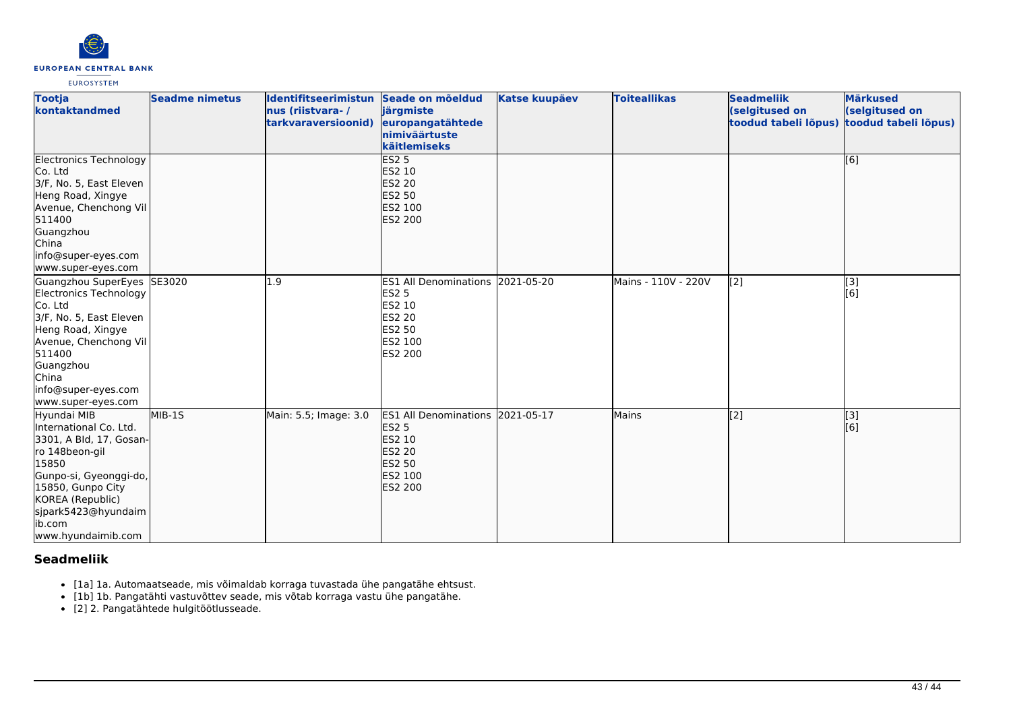

| <b>Tootja</b><br>kontaktandmed                                                                                                                                                                                        | <b>Seadme nimetus</b> | Identifitseerimistun Seade on mõeldud<br>nus (riistvara-/<br>tarkvaraversioonid) | järgmiste<br>europangatähtede<br>nimiväärtuste<br>käitlemiseks                                                      | <b>Katse kuupäev</b> | <b>Toiteallikas</b> | <b>Seadmeliik</b><br>(selgitused on<br>toodud tabeli lõpus) | <b>Märkused</b><br>(selgitused on<br>toodud tabeli lõpus) |
|-----------------------------------------------------------------------------------------------------------------------------------------------------------------------------------------------------------------------|-----------------------|----------------------------------------------------------------------------------|---------------------------------------------------------------------------------------------------------------------|----------------------|---------------------|-------------------------------------------------------------|-----------------------------------------------------------|
| <b>Electronics Technology</b><br>Co. Ltd<br>3/F, No. 5, East Eleven<br>Heng Road, Xingye<br>Avenue, Chenchong Vil<br>511400<br>Guangzhou<br>China<br>info@super-eyes.com<br>www.super-eyes.com                        |                       |                                                                                  | <b>ES2 5</b><br><b>ES2 10</b><br><b>ES2 20</b><br><b>ES2 50</b><br><b>ES2 100</b><br><b>ES2 200</b>                 |                      |                     |                                                             | [6]                                                       |
| Guangzhou SuperEyes<br>Electronics Technology<br>Co. Ltd<br>3/F, No. 5, East Eleven<br>Heng Road, Xingye<br>Avenue, Chenchong Vil<br>511400<br>Guangzhou<br>China<br>info@super-eyes.com<br>www.super-eyes.com        | SE3020                | $\overline{1.9}$                                                                 | ES1 All Denominations 2021-05-20<br><b>ES2 5</b><br>ES2 10<br><b>ES2 20</b><br>ES2 50<br><b>IES2 100</b><br>ES2 200 |                      | Mains - 110V - 220V | [2]                                                         | [3]<br>[6]                                                |
| Hyundai MIB<br>International Co. Ltd.<br>3301, A Bld, 17, Gosan-<br>ro 148beon-gil<br>15850<br>Gunpo-si, Gyeonggi-do,<br>15850, Gunpo City<br>KOREA (Republic)<br>sjpark5423@hyundaim<br>ib.com<br>www.hyundaimib.com | $MIB-15$              | Main: 5.5; Image: 3.0                                                            | ES1 All Denominations 2021-05-17<br><b>ES2 5</b><br>ES2 10<br><b>ES2 20</b><br><b>ES2 50</b><br>ES2 100<br>ES2 200  |                      | <b>Mains</b>        | $\overline{[2]}$                                            | $\overline{[3]}$<br>[6]                                   |

## **Seadmeliik**

- [1a] 1a. Automaatseade, mis võimaldab korraga tuvastada ühe pangatähe ehtsust.
- [1b] 1b. Pangatähti vastuvõttev seade, mis võtab korraga vastu ühe pangatähe.
- [2] 2. Pangatähtede hulgitöötlusseade.